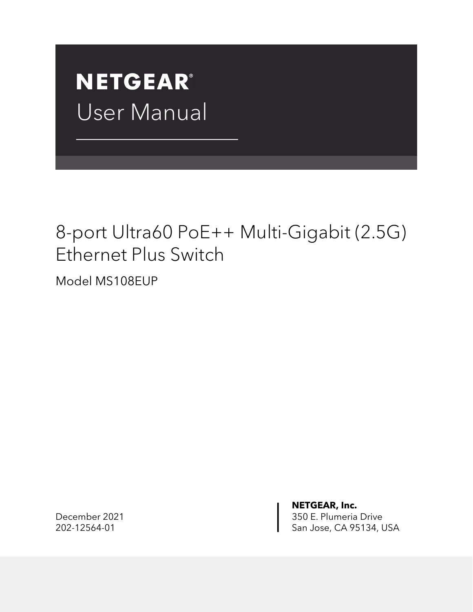# **NETGEAR®** User Manual

### 8-port Ultra60 PoE++ Multi-Gigabit (2.5G) Ethernet Plus Switch

Model MS108EUP

**NETGEAR, Inc.** December 2021 **350 E. Plumeria Drive** 202-12564-01 San Jose, CA 95134, USA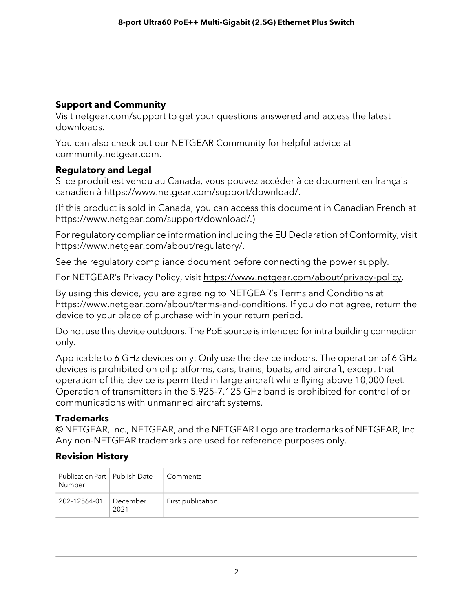#### **Support and Community**

Visit [netgear.com/support](https://www.netgear.com/support/) to get your questions answered and access the latest downloads.

You can also check out our NETGEAR Community for helpful advice at [community.netgear.com](https://community.netgear.com/).

#### **Regulatory and Legal**

Si ce produit est vendu au Canada, vous pouvez accéder à ce document en français canadien à <https://www.netgear.com/support/download/>.

(If this product is sold in Canada, you can access this document in Canadian French at <https://www.netgear.com/support/download/>.)

For regulatory compliance information including the EU Declaration of Conformity, visit [https://www.netgear.com/about/regulatory/.](https://www.netgear.com/about/regulatory/)

See the regulatory compliance document before connecting the power supply.

For NETGEAR's Privacy Policy, visit [https://www.netgear.com/about/privacy-policy.](https://www.netgear.com/about/privacy-policy/)

By using this device, you are agreeing to NETGEAR's Terms and Conditions at [https://www.netgear.com/about/terms-and-conditions.](https://www.netgear.com/about/terms-and-conditions/) If you do not agree, return the device to your place of purchase within your return period.

Do not use this device outdoors. The PoE source is intended forintra building connection only.

Applicable to 6 GHz devices only: Only use the device indoors. The operation of 6 GHz devices is prohibited on oil platforms, cars, trains, boats, and aircraft, except that operation of this device is permitted in large aircraft while flying above 10,000 feet. Operation of transmitters in the 5.925-7.125 GHz band is prohibited for control of or communications with unmanned aircraft systems.

#### **Trademarks**

© NETGEAR, Inc., NETGEAR, and the NETGEAR Logo are trademarks of NETGEAR, Inc. Any non-NETGEAR trademarks are used for reference purposes only.

#### **Revision History**

| Publication Part   Publish Date<br>Number |                    | Comments           |
|-------------------------------------------|--------------------|--------------------|
| 202-12564-01                              | December  <br>2021 | First publication. |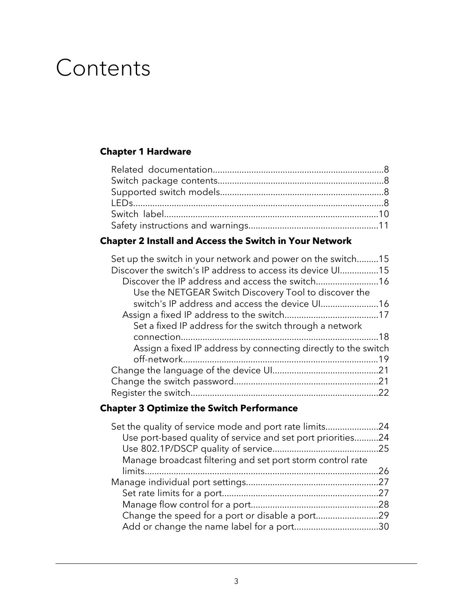# Contents

#### **Chapter 1 [Hardware](#page-6-0)**

#### **Chapter 2 Install and Access the Switch in Your [Network](#page-13-0)**

| Set up the switch in your network and power on the switch15    |  |
|----------------------------------------------------------------|--|
| Discover the switch's IP address to access its device UI15     |  |
| Discover the IP address and access the switch16                |  |
| Use the NETGEAR Switch Discovery Tool to discover the          |  |
| switch's IP address and access the device UI16                 |  |
|                                                                |  |
| Set a fixed IP address for the switch through a network        |  |
|                                                                |  |
| Assign a fixed IP address by connecting directly to the switch |  |
|                                                                |  |
|                                                                |  |
|                                                                |  |
|                                                                |  |
|                                                                |  |

#### **Chapter 3 Optimize the Switch [Performance](#page-22-0)**

| Set the quality of service mode and port rate limits24      |  |
|-------------------------------------------------------------|--|
| Use port-based quality of service and set port priorities24 |  |
|                                                             |  |
| Manage broadcast filtering and set port storm control rate  |  |
|                                                             |  |
|                                                             |  |
|                                                             |  |
|                                                             |  |
|                                                             |  |
|                                                             |  |
|                                                             |  |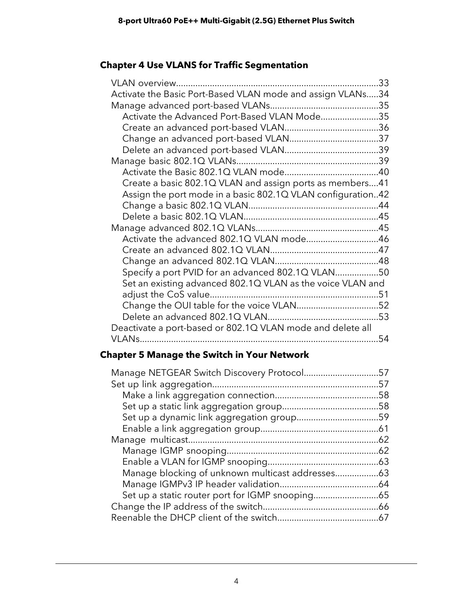#### **Chapter 4 Use VLANS for Traffic [Segmentation](#page-31-0)**

|                                                             | 33 |
|-------------------------------------------------------------|----|
| Activate the Basic Port-Based VLAN mode and assign VLANs34  |    |
|                                                             |    |
| Activate the Advanced Port-Based VLAN Mode35                |    |
|                                                             |    |
|                                                             |    |
|                                                             |    |
|                                                             |    |
|                                                             |    |
| Create a basic 802.1Q VLAN and assign ports as members41    |    |
| Assign the port mode in a basic 802.1Q VLAN configuration42 |    |
|                                                             |    |
|                                                             |    |
|                                                             |    |
| Activate the advanced 802.1Q VLAN mode46                    |    |
|                                                             |    |
|                                                             |    |
| Specify a port PVID for an advanced 802.1Q VLAN50           |    |
| Set an existing advanced 802.1Q VLAN as the voice VLAN and  |    |
|                                                             |    |
| Change the OUI table for the voice VLAN52                   |    |
|                                                             |    |
| Deactivate a port-based or 802.1Q VLAN mode and delete all  |    |
|                                                             | 54 |

#### **Chapter 5 Manage the Switch in Your [Network](#page-55-0)**

| Manage NETGEAR Switch Discovery Protocol57 |     |
|--------------------------------------------|-----|
|                                            | .57 |
|                                            | .58 |
|                                            |     |
|                                            |     |
|                                            |     |
|                                            |     |
|                                            |     |
|                                            |     |
|                                            |     |
|                                            |     |
|                                            |     |
|                                            |     |
|                                            |     |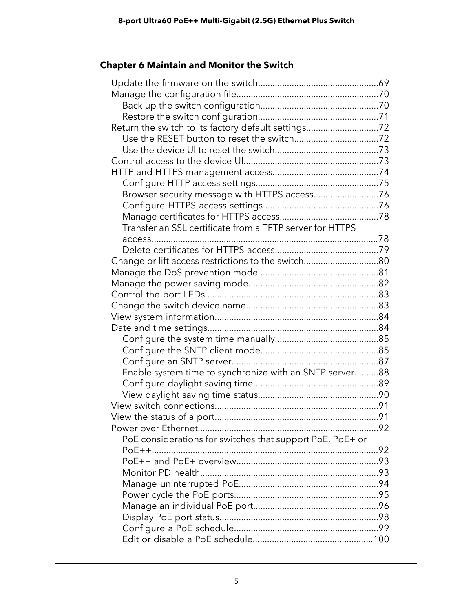#### **Chapter 6 [Maintain](#page-67-0) and Monitor the Switch**

| Return the switch to its factory default settings72       |  |
|-----------------------------------------------------------|--|
|                                                           |  |
|                                                           |  |
|                                                           |  |
|                                                           |  |
|                                                           |  |
| Browser security message with HTTPS access76              |  |
|                                                           |  |
|                                                           |  |
| Transfer an SSL certificate from a TFTP server for HTTPS  |  |
|                                                           |  |
|                                                           |  |
| Change or lift access restrictions to the switch80        |  |
|                                                           |  |
|                                                           |  |
|                                                           |  |
|                                                           |  |
|                                                           |  |
|                                                           |  |
|                                                           |  |
|                                                           |  |
|                                                           |  |
| Enable system time to synchronize with an SNTP server88   |  |
|                                                           |  |
|                                                           |  |
|                                                           |  |
|                                                           |  |
| 92                                                        |  |
| PoE considerations for switches that support PoE, PoE+ or |  |
|                                                           |  |
|                                                           |  |
|                                                           |  |
|                                                           |  |
|                                                           |  |
|                                                           |  |
|                                                           |  |
|                                                           |  |
|                                                           |  |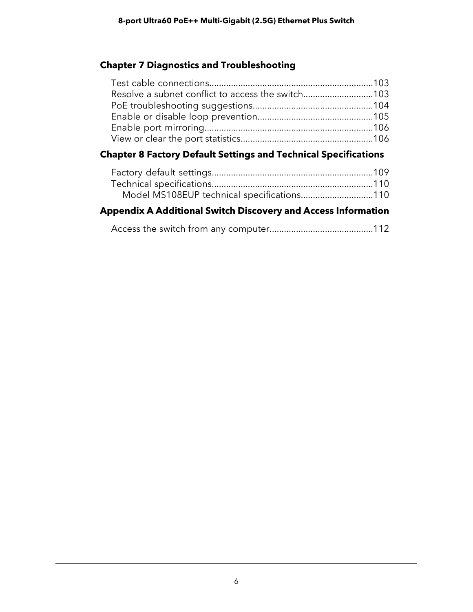#### **Chapter 7 Diagnostics and [Troubleshooting](#page-101-0)**

| Resolve a subnet conflict to access the switch103                      |  |
|------------------------------------------------------------------------|--|
|                                                                        |  |
|                                                                        |  |
|                                                                        |  |
|                                                                        |  |
| <b>Chapter 8 Factory Default Settings and Technical Specifications</b> |  |

| <b>Appendix A Additional Switch Discovery and Access Information</b> |  |
|----------------------------------------------------------------------|--|
| Model MS108EUP technical specifications110                           |  |
|                                                                      |  |
|                                                                      |  |

|--|--|--|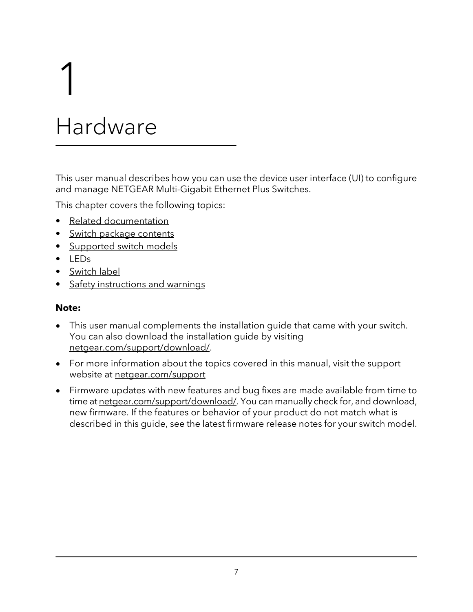# <span id="page-6-0"></span>1 Hardware

This user manual describes how you can use the device user interface (UI) to configure and manage NETGEAR Multi-Gigabit Ethernet Plus Switches.

This chapter covers the following topics:

- Related [documentation](#page-7-0)
- Switch package [contents](#page-7-1)
- [Supported](#page-7-2) switch models
- [LEDs](#page-7-3)
- [Switch](#page-9-0) label
- Safety [instructions](#page-10-0) and warnings

#### **Note:**

- This user manual complements the installation guide that came with your switch. You can also download the installation guide by visiting [netgear.com/support/download/](https://www.netgear.com/support/download/).
- For more information about the topics covered in this manual, visit the support website at [netgear.com/support](https://www.netgear.com/support)
- Firmware updates with new features and bug fixes are made available from time to time at [netgear.com/support/download/](https://www.netgear.com/support/download/). You can manually check for, and download, new firmware. If the features or behavior of your product do not match what is described in this guide, see the latest firmware release notes for your switch model.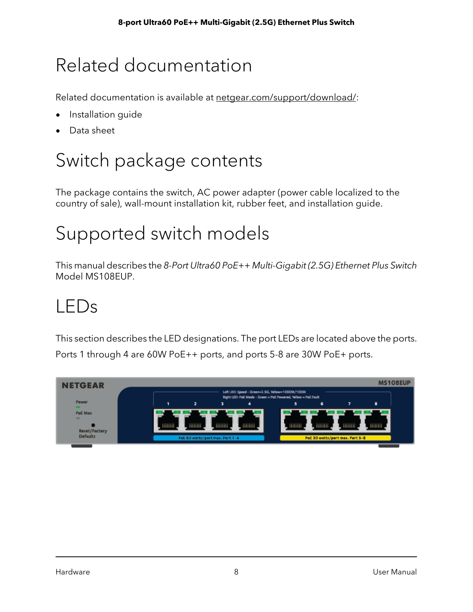## <span id="page-7-0"></span>Related documentation

Related documentation is available at [netgear.com/support/download/](https://www.netgear.com/support/download/):

- Installation guide
- <span id="page-7-1"></span>Data sheet

## Switch package contents

<span id="page-7-2"></span>The package contains the switch, AC power adapter (power cable localized to the country of sale), wall-mount installation kit, rubber feet, and installation guide.

# Supported switch models

<span id="page-7-3"></span>This manual describes the 8-Port Ultra60 PoE++ Multi-Gigabit (2.5G) Ethernet Plus Switch Model MS108EUP.

### LEDs

This section describes the LED designations. The port LEDs are located above the ports. Ports 1 through 4 are 60W PoE++ ports, and ports 5-8 are 30W PoE+ ports.

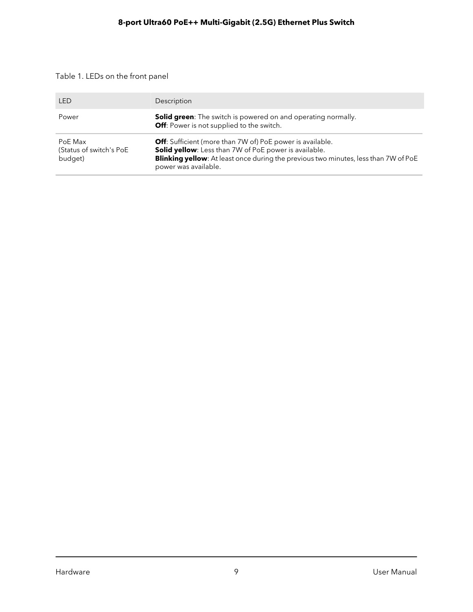#### Table 1. LEDs on the front panel

| <b>LED</b>                                    | Description                                                                                                                                                                                                                              |
|-----------------------------------------------|------------------------------------------------------------------------------------------------------------------------------------------------------------------------------------------------------------------------------------------|
| Power                                         | <b>Solid green:</b> The switch is powered on and operating normally.<br><b>Off:</b> Power is not supplied to the switch.                                                                                                                 |
| PoF Max<br>(Status of switch's PoE<br>budget) | <b>Off:</b> Sufficient (more than 7W of) PoE power is available.<br>Solid yellow: Less than 7W of PoE power is available.<br>Blinking yellow: At least once during the previous two minutes, less than 7W of PoE<br>power was available. |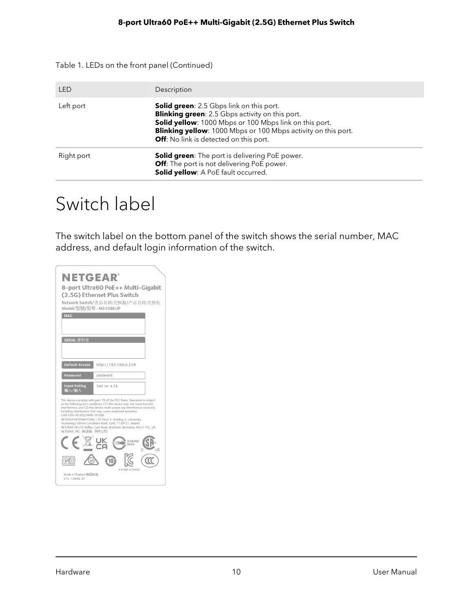Table 1. LEDs on the front panel (Continued)

| LED        | Description                                                                                                                                                                                                                                                                           |
|------------|---------------------------------------------------------------------------------------------------------------------------------------------------------------------------------------------------------------------------------------------------------------------------------------|
| Left port  | <b>Solid green:</b> 2.5 Gbps link on this port.<br><b>Blinking green:</b> 2.5 Gbps activity on this port.<br>Solid yellow: 1000 Mbps or 100 Mbps link on this port.<br><b>Blinking yellow:</b> 1000 Mbps or 100 Mbps activity on this port.<br>Off: No link is detected on this port. |
| Right port | Solid green: The port is delivering PoE power.<br>Off: The port is not delivering PoE power.<br>Solid yellow: A PoE fault occurred.                                                                                                                                                   |

### <span id="page-9-0"></span>Switch label

The switch label on the bottom panel of the switch shows the serial number, MAC address, and default login information of the switch.

| <b>NETGEAR®</b><br>Model/型號/型号: MS108EUP<br><b>MAC</b><br>SERIAL 序列号 | 8-port Ultra60 PoE++ Multi-Gigabit<br>(2.5G) Ethernet Plus Switch<br>Network Switch/產品名稱:交換器/产品名称:交换机                                                                                                                                                                                                                                                                                                                                                                                         |
|----------------------------------------------------------------------|-----------------------------------------------------------------------------------------------------------------------------------------------------------------------------------------------------------------------------------------------------------------------------------------------------------------------------------------------------------------------------------------------------------------------------------------------------------------------------------------------|
|                                                                      |                                                                                                                                                                                                                                                                                                                                                                                                                                                                                               |
| <b>Default Access</b>                                                | http://192.168.0.239                                                                                                                                                                                                                                                                                                                                                                                                                                                                          |
| Password                                                             | password                                                                                                                                                                                                                                                                                                                                                                                                                                                                                      |
| <b>Input Rating</b><br><b>給入/給入</b>                                  | $54V = 4.7A$                                                                                                                                                                                                                                                                                                                                                                                                                                                                                  |
| CAN ICES-003(B)/NMB-003(B)<br>NETGEAR, INC. (制造商: 网件公司)              | This device complies with part 15 of the FCC Rules. Operation is subject<br>to the following two conditions: (1) this device may not cause harmful<br>interference, and (2) this device must accept any interference received,<br>including interference that may cause undesired operation.<br>NETGEAR INTERNATIONAL LTD Floor 1, Building 3, University<br>Technology Centre Curraheen Road, Cork, T12EF21, Ireland<br>NETGEAR UK LTD Reflex, Cain Road, Bracknell, Berkshire, RG12 1HL, UK |
|                                                                      | D38488<br>RoHS                                                                                                                                                                                                                                                                                                                                                                                                                                                                                |
| Made in Thailand 泰国制造                                                | R-R-NGR-21200538                                                                                                                                                                                                                                                                                                                                                                                                                                                                              |
| 272-13846-01                                                         |                                                                                                                                                                                                                                                                                                                                                                                                                                                                                               |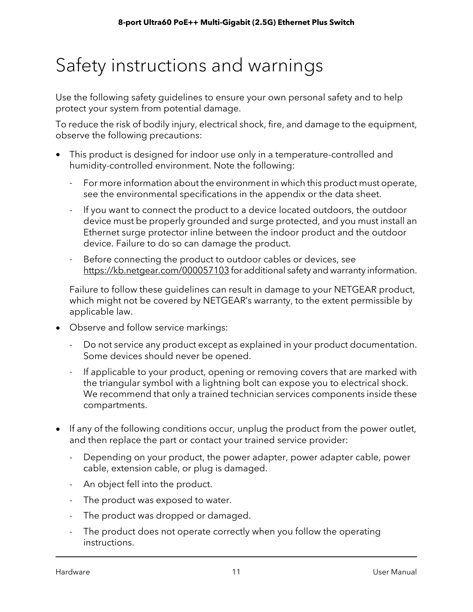## <span id="page-10-0"></span>Safety instructions and warnings

Use the following safety guidelines to ensure your own personal safety and to help protect your system from potential damage.

To reduce the risk of bodily injury, electrical shock, fire, and damage to the equipment, observe the following precautions:

- This product is designed for indoor use only in a temperature-controlled and humidity-controlled environment. Note the following:
	- For more information about the environment in which this product must operate, see the environmental specifications in the appendix or the data sheet.
	- If you want to connect the product to a device located outdoors, the outdoor device must be properly grounded and surge protected, and you must install an Ethernet surge protector inline between the indoor product and the outdoor device. Failure to do so can damage the product.
	- Before connecting the product to outdoor cables or devices, see <https://kb.netgear.com/000057103> for additional safety and warranty information.

Failure to follow these guidelines can result in damage to your NETGEAR product, which might not be covered by NETGEAR's warranty, to the extent permissible by applicable law.

- Observe and follow service markings:
	- Do not service any product except as explained in your product documentation. Some devices should never be opened.
	- If applicable to your product, opening or removing covers that are marked with the triangular symbol with a lightning bolt can expose you to electrical shock. We recommend that only a trained technician services components inside these compartments.
- If any of the following conditions occur, unplug the product from the power outlet, and then replace the part or contact your trained service provider:
	- Depending on your product, the power adapter, power adapter cable, power cable, extension cable, or plug is damaged.
	- An object fell into the product.
	- The product was exposed to water.
	- The product was dropped or damaged.
	- The product does not operate correctly when you follow the operating instructions.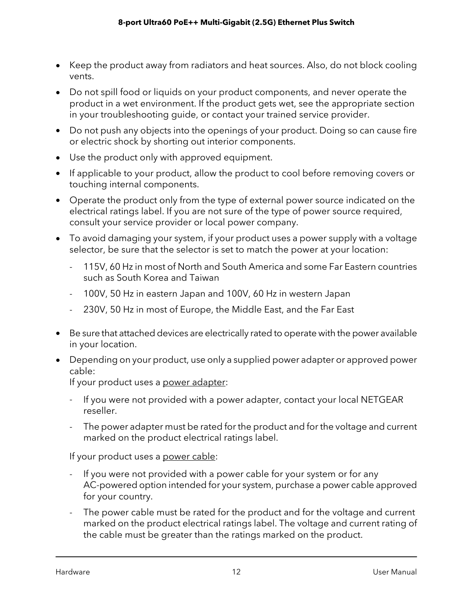- Keep the product away from radiators and heat sources. Also, do not block cooling vents.
- Do not spill food or liquids on your product components, and never operate the product in a wet environment. If the product gets wet, see the appropriate section in your troubleshooting guide, or contact your trained service provider.
- Do not push any objects into the openings of your product. Doing so can cause fire or electric shock by shorting out interior components.
- Use the product only with approved equipment.
- If applicable to your product, allow the product to cool before removing covers or touching internal components.
- Operate the product only from the type of external power source indicated on the electrical ratings label. If you are not sure of the type of power source required, consult your service provider or local power company.
- To avoid damaging your system, if your product uses a power supply with a voltage selector, be sure that the selector is set to match the power at your location:
	- 115V, 60 Hz in most of North and South America and some Far Eastern countries such as South Korea and Taiwan
	- 100V, 50 Hz in eastern Japan and 100V, 60 Hz in western Japan
	- 230V, 50 Hz in most of Europe, the Middle East, and the Far East
- Be sure that attached devices are electrically rated to operate with the power available in your location.
- Depending on your product, use only a supplied power adapter or approved power cable:

If your product uses a power adapter:

- If you were not provided with a power adapter, contact your local NETGEAR reseller.
- The power adapter must be rated for the product and for the voltage and current marked on the product electrical ratings label.

If your product uses a power cable:

- If you were not provided with a power cable for your system or for any AC-powered option intended for your system, purchase a power cable approved for your country.
- The power cable must be rated for the product and for the voltage and current marked on the product electrical ratings label. The voltage and current rating of the cable must be greater than the ratings marked on the product.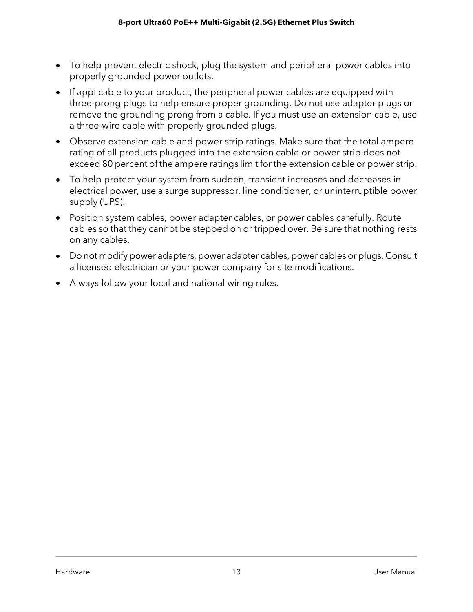- To help prevent electric shock, plug the system and peripheral power cables into properly grounded power outlets.
- If applicable to your product, the peripheral power cables are equipped with three-prong plugs to help ensure proper grounding. Do not use adapter plugs or remove the grounding prong from a cable. If you must use an extension cable, use a three-wire cable with properly grounded plugs.
- Observe extension cable and power strip ratings. Make sure that the total ampere rating of all products plugged into the extension cable or power strip does not exceed 80 percent of the ampere ratings limit for the extension cable or power strip.
- To help protect your system from sudden, transient increases and decreases in electrical power, use a surge suppressor, line conditioner, or uninterruptible power supply (UPS).
- Position system cables, power adapter cables, or power cables carefully. Route cables so that they cannot be stepped on or tripped over. Be sure that nothing rests on any cables.
- Do not modify power adapters, power adapter cables, power cables or plugs. Consult a licensed electrician or your power company for site modifications.
- Always follow your local and national wiring rules.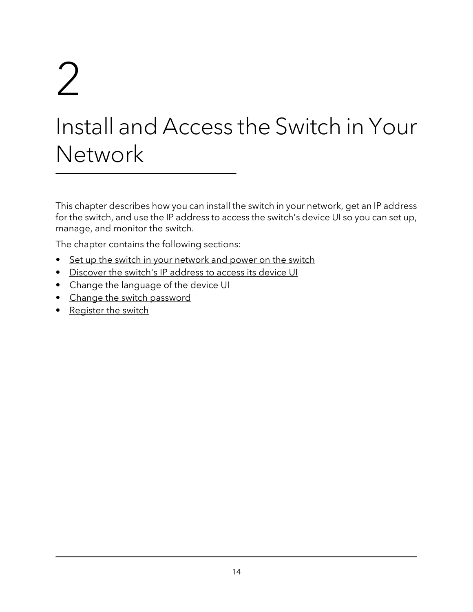# <span id="page-13-0"></span> $\sum$

# Install and Access the Switch in Your **Network**

This chapter describes how you can install the switch in your network, get an IP address for the switch, and use the IP address to access the switch's device UI so you can set up, manage, and monitor the switch.

The chapter contains the following sections:

- Set up the switch in your [network](#page-14-0) and power on the switch
- [Discover](#page-14-1) the switch's IP address to access its device UI
- Change the [language](#page-20-0) of the device UI
- Change the switch [password](#page-20-1)
- [Register](#page-21-0) the switch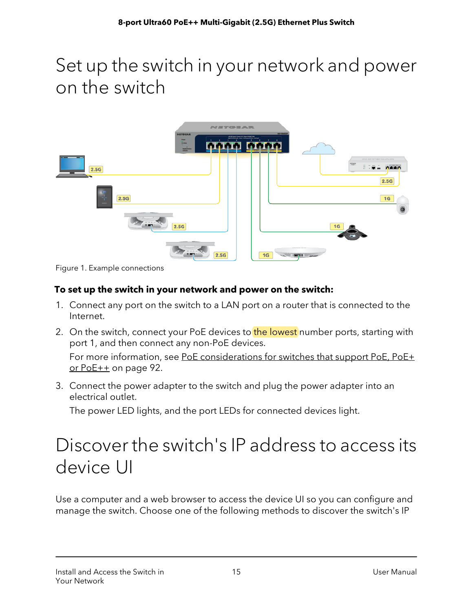### <span id="page-14-0"></span>Set up the switch in your network and power on the switch



Figure 1. Example connections

#### **To set up the switch in your network and power on the switch:**

- 1. Connect any port on the switch to a LAN port on a router that is connected to the Internet.
- 2. On the switch, connect your PoE devices to the lowest number ports, starting with port 1, and then connect any non-PoE devices. For more information, see PoE [considerations](#page-91-1) for switches that support PoE, PoE+  $or PoE++$  $or PoE++$  on page 92.
- <span id="page-14-1"></span>3. Connect the power adapter to the switch and plug the power adapter into an electrical outlet.

The power LED lights, and the port LEDs for connected devices light.

### Discover the switch's IP address to access its device UI

Use a computer and a web browser to access the device UI so you can configure and manage the switch. Choose one of the following methods to discover the switch's IP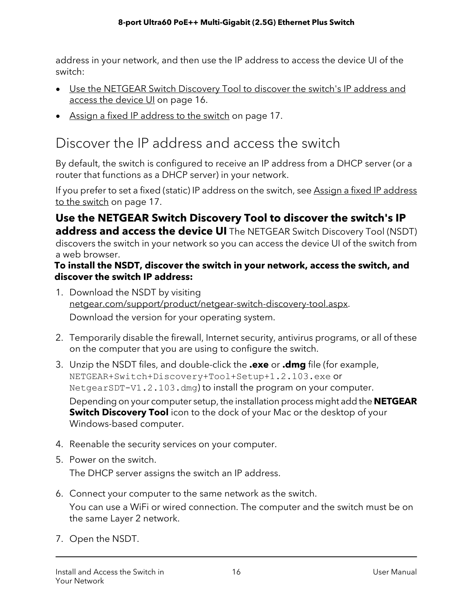address in your network, and then use the IP address to access the device UI of the switch:

- Use the [NETGEAR](#page-15-1) Switch Discovery Tool to discover the switch's IP address and access the [device](#page-15-1) UI on page 16.
- <span id="page-15-0"></span>• Assign a fixed IP [address](#page-16-0) to the switch on page 17.

### Discover the IP address and access the switch

By default, the switch is configured to receive an IP address from a DHCP server (or a router that functions as a DHCP server) in your network.

<span id="page-15-1"></span>If you prefer to set a fixed (static) IP [address](#page-16-0) on the switch, see Assign a fixed IP address to the [switch](#page-16-0) on page 17.

**Use the NETGEAR Switch Discovery Tool to discover the switch's IP address and access the device UI** The NETGEAR Switch Discovery Tool (NSDT) discovers the switch in your network so you can access the device UI of the switch from a web browser.

#### **To install the NSDT, discover the switch in your network, access the switch, and discover the switch IP address:**

1. Download the NSDT by visiting [netgear.com/support/product/netgear-switch-discovery-tool.aspx](https://www.netgear.com/support/product/netgear-switch-discovery-tool.aspx).

Download the version for your operating system.

- 2. Temporarily disable the firewall, Internet security, antivirus programs, or all of these on the computer that you are using to configure the switch.
- 3. Unzip the NSDT files, and double-click the **.exe** or **.dmg** file (for example, NETGEAR+Switch+Discovery+Tool+Setup+1.2.103.exe or NetgearSDT-V1.2.103.dmg) to install the program on your computer.

Depending on your computer setup, the installation process might add the **NETGEAR Switch Discovery Tool** icon to the dock of your Mac or the desktop of your Windows-based computer.

- 4. Reenable the security services on your computer.
- 5. Power on the switch. The DHCP server assigns the switch an IP address.
- 6. Connect your computer to the same network as the switch. You can use a WiFi or wired connection. The computer and the switch must be on the same Layer 2 network.
- 7. Open the NSDT.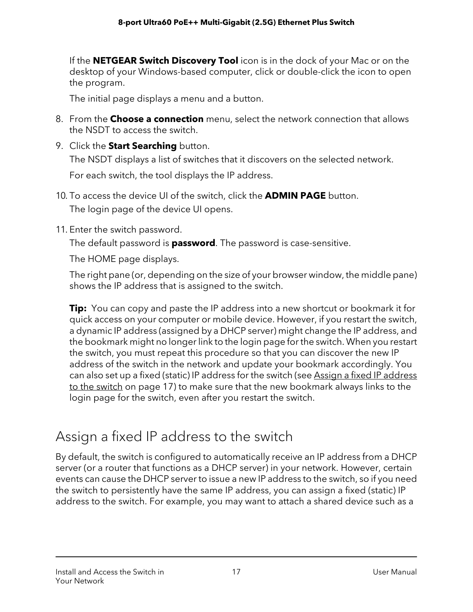If the **NETGEAR Switch Discovery Tool** icon is in the dock of your Mac or on the desktop of your Windows-based computer, click or double-click the icon to open the program.

The initial page displays a menu and a button.

- 8. From the **Choose a connection** menu, select the network connection that allows the NSDT to access the switch.
- 9. Click the **Start Searching** button. The NSDT displays a list of switches that it discovers on the selected network. For each switch, the tool displays the IP address.
- 10. To access the device UI of the switch, click the **ADMIN PAGE** button. The login page of the device UI opens.
- 11. Enter the switch password.

The default password is **password**. The password is case-sensitive.

The HOME page displays.

The right pane (or, depending on the size of your browser window, the middle pane) shows the IP address that is assigned to the switch.

**Tip:** You can copy and paste the IP address into a new shortcut or bookmark it for quick access on your computer or mobile device. However, if you restart the switch, a dynamic IP address (assigned by a DHCP server) might change the IP address, and the bookmark might no longerlink to the login page forthe switch. When you restart the switch, you must repeat this procedure so that you can discover the new IP address of the switch in the network and update your bookmark accordingly. You can also set up a fixed (static) IP [address](#page-16-0) for the switch (see Assign a fixed IP address to the [switch](#page-16-0) on page 17) to make sure that the new bookmark always links to the login page for the switch, even after you restart the switch.

### <span id="page-16-0"></span>Assign a fixed IP address to the switch

By default, the switch is configured to automatically receive an IP address from a DHCP server (or a router that functions as a DHCP server) in your network. However, certain events can cause the DHCP server to issue a new IP address to the switch, so if you need the switch to persistently have the same IP address, you can assign a fixed (static) IP address to the switch. For example, you may want to attach a shared device such as a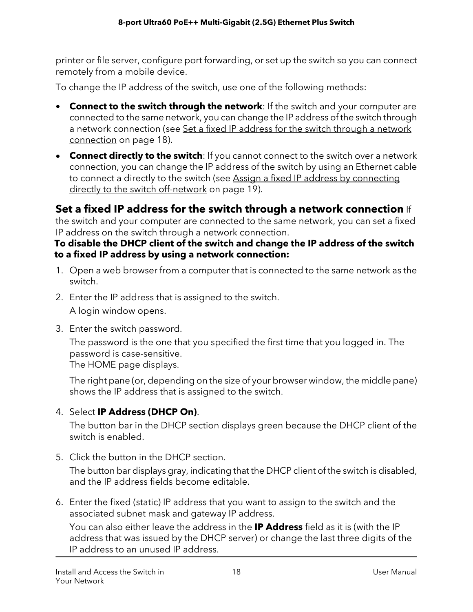printer or file server, configure port forwarding, or set up the switch so you can connect remotely from a mobile device.

To change the IP address of the switch, use one of the following methods:

- **Connect to the switch through the network**: If the switch and your computer are connected to the same network, you can change the IP address of the switch through a [network](#page-17-0) connection (see Set a fixed IP address for the switch through a network [connection](#page-17-0) on page 18).
- **Connect directly to the switch**: If you cannot connect to the switch over a network connection, you can change the IP address of the switch by using an Ethernet cable to connect a directly to the switch (see Assign a fixed IP address by [connecting](#page-18-0) directly to the switch [off-network](#page-18-0) on page 19).

#### <span id="page-17-0"></span>**Set a fixed IP address for the switch through a network connection** If

the switch and your computer are connected to the same network, you can set a fixed IP address on the switch through a network connection.

#### **To disable the DHCP client of the switch and change the IP address of the switch to a fixed IP address by using a network connection:**

- 1. Open a web browser from a computer that is connected to the same network as the switch.
- 2. Enter the IP address that is assigned to the switch. A login window opens.
- 3. Enter the switch password.

The password is the one that you specified the first time that you logged in. The password is case-sensitive.

The HOME page displays.

The right pane (or, depending on the size of your browser window, the middle pane) shows the IP address that is assigned to the switch.

#### 4. Select **IP Address (DHCP On)**.

The button bar in the DHCP section displays green because the DHCP client of the switch is enabled.

5. Click the button in the DHCP section.

The button bar displays gray, indicating that the DHCP client of the switch is disabled, and the IP address fields become editable.

6. Enter the fixed (static) IP address that you want to assign to the switch and the associated subnet mask and gateway IP address.

You can also either leave the address in the **IP Address** field as it is (with the IP address that was issued by the DHCP server) or change the last three digits of the IP address to an unused IP address.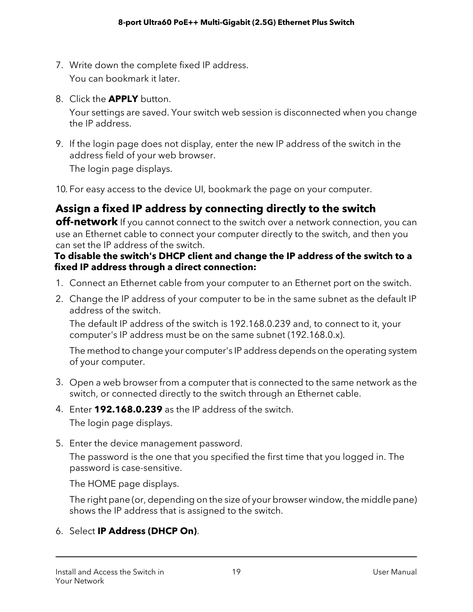- 7. Write down the complete fixed IP address. You can bookmark it later.
- 8. Click the **APPLY** button.

Your settings are saved. Your switch web session is disconnected when you change the IP address.

9. If the login page does not display, enter the new IP address of the switch in the address field of your web browser.

The login page displays.

<span id="page-18-0"></span>10. For easy access to the device UI, bookmark the page on your computer.

#### **Assign a fixed IP address by connecting directly to the switch**

**off-network** If you cannot connect to the switch over a network connection, you can use an Ethernet cable to connect your computer directly to the switch, and then you can set the IP address of the switch.

#### **To disable the switch's DHCP client and change the IP address of the switch to a fixed IP address through a direct connection:**

- 1. Connect an Ethernet cable from your computer to an Ethernet port on the switch.
- 2. Change the IP address of your computer to be in the same subnet as the default IP address of the switch.

The default IP address of the switch is 192.168.0.239 and, to connect to it, your computer's IP address must be on the same subnet (192.168.0.x).

The method to change your computer's IP address depends on the operating system of your computer.

- 3. Open a web browser from a computer that is connected to the same network as the switch, or connected directly to the switch through an Ethernet cable.
- 4. Enter **192.168.0.239** as the IP address of the switch. The login page displays.
- 5. Enter the device management password.

The password is the one that you specified the first time that you logged in. The password is case-sensitive.

The HOME page displays.

The right pane (or, depending on the size of your browser window, the middle pane) shows the IP address that is assigned to the switch.

#### 6. Select **IP Address (DHCP On)**.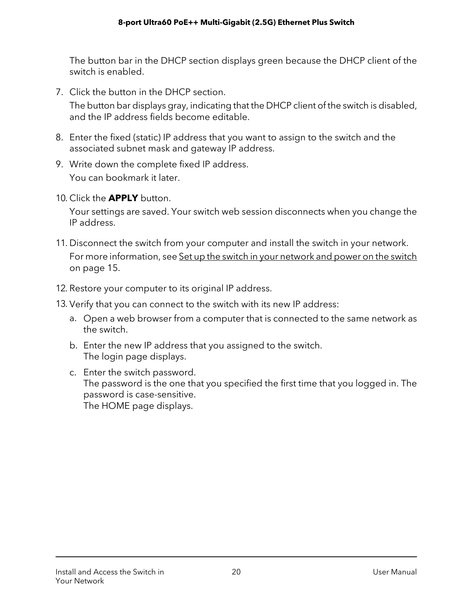The button bar in the DHCP section displays green because the DHCP client of the switch is enabled.

7. Click the button in the DHCP section.

The button bar displays gray, indicating that the DHCP client of the switch is disabled, and the IP address fields become editable.

- 8. Enter the fixed (static) IP address that you want to assign to the switch and the associated subnet mask and gateway IP address.
- 9. Write down the complete fixed IP address. You can bookmark it later.
- 10. Click the **APPLY** button.

Your settings are saved. Your switch web session disconnects when you change the IP address.

- 11. Disconnect the switch from your computer and install the switch in your network. For more information, see Set up the switch in your [network](#page-14-0) and power on the switch on page 15.
- 12. Restore your computer to its original IP address.
- 13. Verify that you can connect to the switch with its new IP address:
	- a. Open a web browser from a computer that is connected to the same network as the switch.
	- b. Enter the new IP address that you assigned to the switch. The login page displays.
	- c. Enter the switch password. The password is the one that you specified the first time that you logged in. The password is case-sensitive. The HOME page displays.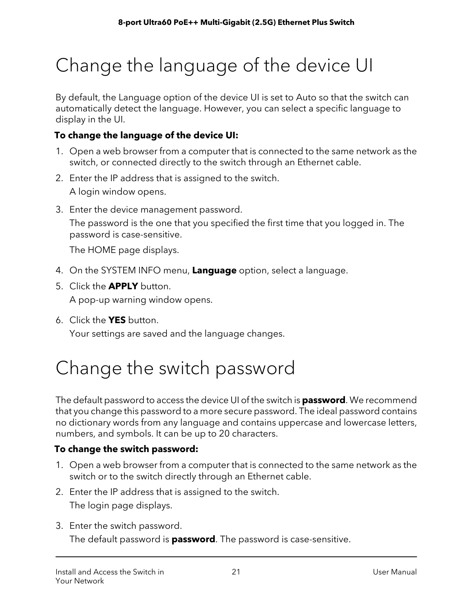# <span id="page-20-0"></span>Change the language of the device UI

By default, the Language option of the device UI is set to Auto so that the switch can automatically detect the language. However, you can select a specific language to display in the UI.

#### **To change the language of the device UI:**

- 1. Open a web browser from a computer that is connected to the same network as the switch, or connected directly to the switch through an Ethernet cable.
- 2. Enter the IP address that is assigned to the switch. A login window opens.
- 3. Enter the device management password. The password is the one that you specified the first time that you logged in. The password is case-sensitive.

The HOME page displays.

- 4. On the SYSTEM INFO menu, **Language** option, select a language.
- 5. Click the **APPLY** button.

A pop-up warning window opens.

<span id="page-20-1"></span>6. Click the **YES** button.

Your settings are saved and the language changes.

# Change the switch password

The default password to access the device UI of the switch is **password**. We recommend that you change this password to a more secure password. The ideal password contains no dictionary words from any language and contains uppercase and lowercase letters, numbers, and symbols. It can be up to 20 characters.

#### **To change the switch password:**

- 1. Open a web browser from a computer that is connected to the same network as the switch or to the switch directly through an Ethernet cable.
- 2. Enter the IP address that is assigned to the switch.

The login page displays.

3. Enter the switch password.

The default password is **password**. The password is case-sensitive.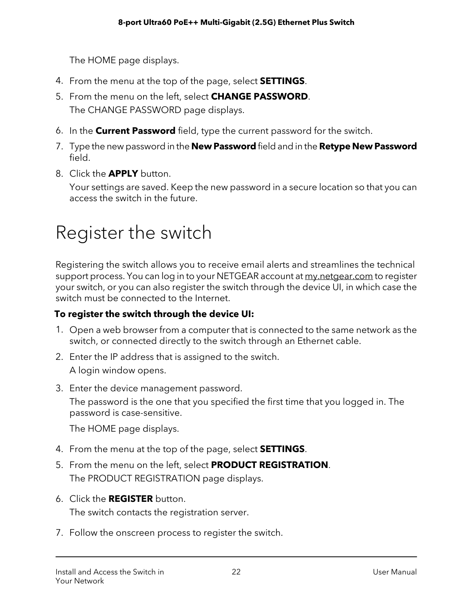The HOME page displays.

- 4. From the menu at the top of the page, select **SETTINGS**.
- 5. From the menu on the left, select **CHANGE PASSWORD**. The CHANGE PASSWORD page displays.
- 6. In the **Current Password** field, type the current password for the switch.
- 7. Type the new password in the **New Password** field and in the **Retype New Password** field.
- 8. Click the **APPLY** button.

<span id="page-21-0"></span>Your settings are saved. Keep the new password in a secure location so that you can access the switch in the future.

### Register the switch

Registering the switch allows you to receive email alerts and streamlines the technical support process. You can log in to your NETGEAR account at [my.netgear.com](https://my.netgear.com) to register your switch, or you can also register the switch through the device UI, in which case the switch must be connected to the Internet.

#### **To register the switch through the device UI:**

- 1. Open a web browser from a computer that is connected to the same network as the switch, or connected directly to the switch through an Ethernet cable.
- 2. Enter the IP address that is assigned to the switch. A login window opens.
- 3. Enter the device management password.

The password is the one that you specified the first time that you logged in. The password is case-sensitive.

The HOME page displays.

- 4. From the menu at the top of the page, select **SETTINGS**.
- 5. From the menu on the left, select **PRODUCT REGISTRATION**. The PRODUCT REGISTRATION page displays.
- 6. Click the **REGISTER** button. The switch contacts the registration server.
- 7. Follow the onscreen process to register the switch.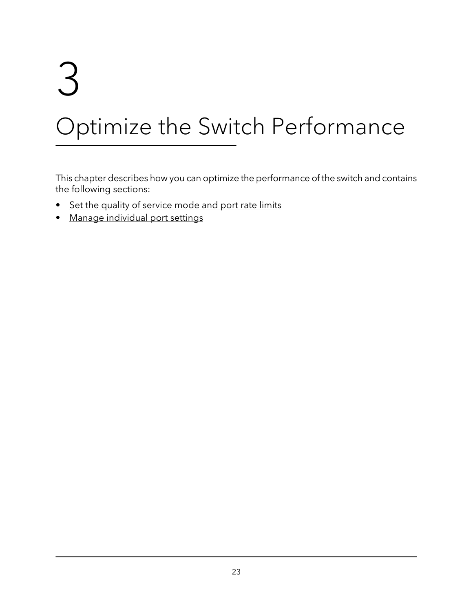# <span id="page-22-0"></span>3 Optimize the Switch Performance

This chapter describes how you can optimize the performance of the switch and contains the following sections:

- Set the quality of [service](#page-23-0) mode and port rate limits
- Manage [individual](#page-26-0) port settings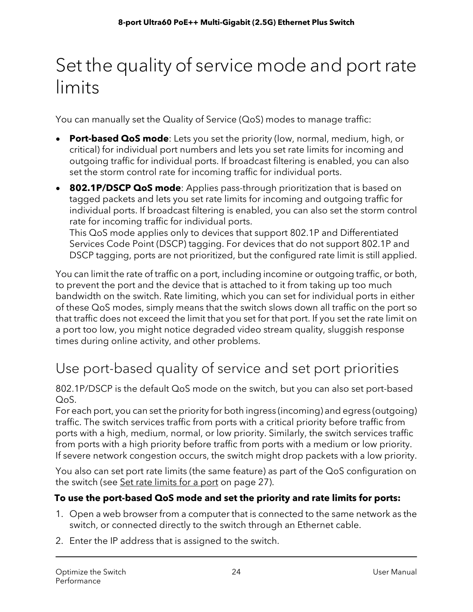## <span id="page-23-0"></span>Set the quality of service mode and port rate limits

You can manually set the Quality of Service (QoS) modes to manage traffic:

- **Port-based QoS mode**: Lets you set the priority (low, normal, medium, high, or critical) for individual port numbers and lets you set rate limits for incoming and outgoing traffic for individual ports. If broadcast filtering is enabled, you can also set the storm control rate for incoming traffic for individual ports.
- **802.1P/DSCP QoS mode**: Applies pass-through prioritization that is based on tagged packets and lets you set rate limits for incoming and outgoing traffic for individual ports. If broadcast filtering is enabled, you can also set the storm control rate for incoming traffic for individual ports. This QoS mode applies only to devices that support 802.1P and Differentiated Services Code Point (DSCP) tagging. For devices that do not support 802.1P and

DSCP tagging, ports are not prioritized, but the configured rate limit is still applied.

You can limit the rate of traffic on a port, including incomine or outgoing traffic, or both, to prevent the port and the device that is attached to it from taking up too much bandwidth on the switch. Rate limiting, which you can set for individual ports in either of these QoS modes, simply means that the switch slows down all traffic on the port so that traffic does not exceed the limit that you set for that port. If you set the rate limit on a port too low, you might notice degraded video stream quality, sluggish response times during online activity, and other problems.

### <span id="page-23-1"></span>Use port-based quality of service and set port priorities

802.1P/DSCP is the default QoS mode on the switch, but you can also set port-based QoS.

For each port, you can set the priority for both ingress (incoming) and egress (outgoing) traffic. The switch services traffic from ports with a critical priority before traffic from ports with a high, medium, normal, or low priority. Similarly, the switch services traffic from ports with a high priority before traffic from ports with a medium or low priority. If severe network congestion occurs, the switch might drop packets with a low priority.

You also can set port rate limits (the same feature) as part of the QoS configuration on the switch (see <u>Set rate [limits](#page-26-1) for a port</u> on page 27).

#### **To use the port-based QoS mode and set the priority and rate limits for ports:**

- 1. Open a web browser from a computer that is connected to the same network as the switch, or connected directly to the switch through an Ethernet cable.
- 2. Enter the IP address that is assigned to the switch.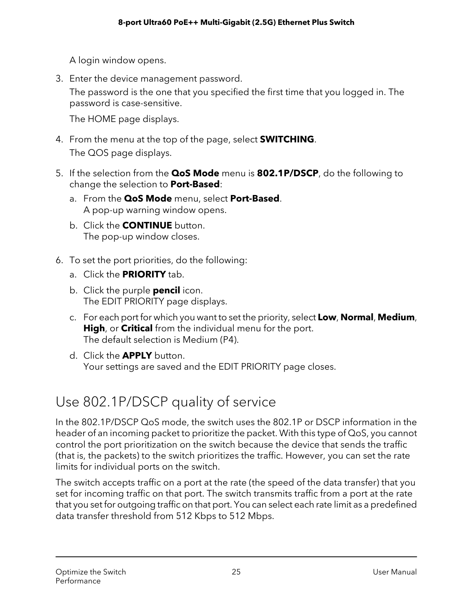A login window opens.

3. Enter the device management password.

The password is the one that you specified the first time that you logged in. The password is case-sensitive.

The HOME page displays.

- 4. From the menu at the top of the page, select **SWITCHING**. The QOS page displays.
- 5. If the selection from the **QoS Mode** menu is **802.1P/DSCP**, do the following to change the selection to **Port-Based**:
	- a. From the **QoS Mode** menu, select **Port-Based**. A pop-up warning window opens.
	- b. Click the **CONTINUE** button. The pop-up window closes.
- 6. To set the port priorities, do the following:
	- a. Click the **PRIORITY** tab.
	- b. Click the purple **pencil** icon. The EDIT PRIORITY page displays.
	- c. For each port for which you want to set the priority, select **Low**, **Normal**, **Medium**, **High**, or **Critical** from the individual menu for the port. The default selection is Medium (P4).
	- d. Click the **APPLY** button. Your settings are saved and the EDIT PRIORITY page closes.

### <span id="page-24-0"></span>Use 802.1P/DSCP quality of service

In the 802.1P/DSCP QoS mode, the switch uses the 802.1P or DSCP information in the header of an incoming packet to prioritize the packet. With this type of QoS, you cannot control the port prioritization on the switch because the device that sends the traffic (that is, the packets) to the switch prioritizes the traffic. However, you can set the rate limits for individual ports on the switch.

The switch accepts traffic on a port at the rate (the speed of the data transfer) that you set for incoming traffic on that port. The switch transmits traffic from a port at the rate that you set for outgoing traffic on that port. You can select each rate limit as a predefined data transfer threshold from 512 Kbps to 512 Mbps.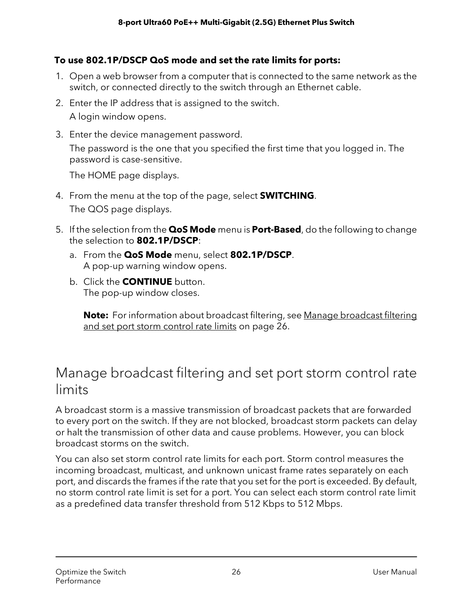#### **To use 802.1P/DSCP QoS mode and set the rate limits for ports:**

- 1. Open a web browser from a computer that is connected to the same network as the switch, or connected directly to the switch through an Ethernet cable.
- 2. Enter the IP address that is assigned to the switch. A login window opens.
- 3. Enter the device management password.

The password is the one that you specified the first time that you logged in. The password is case-sensitive.

The HOME page displays.

- 4. From the menu at the top of the page, select **SWITCHING**. The QOS page displays.
- 5. If the selection from the **QoS Mode** menu is **Port-Based**, do the following to change the selection to **802.1P/DSCP**:
	- a. From the **QoS Mode** menu, select **802.1P/DSCP**. A pop-up warning window opens.
	- b. Click the **CONTINUE** button. The pop-up window closes.

<span id="page-25-0"></span>**Note:** For information about [broadcast](#page-25-0) filtering, see Manage broadcast filtering and set port storm [control](#page-25-0) rate limits on page 26.

### Manage broadcast filtering and set port storm control rate limits

A broadcast storm is a massive transmission of broadcast packets that are forwarded to every port on the switch. If they are not blocked, broadcast storm packets can delay or halt the transmission of other data and cause problems. However, you can block broadcast storms on the switch.

You can also set storm control rate limits for each port. Storm control measures the incoming broadcast, multicast, and unknown unicast frame rates separately on each port, and discards the frames if the rate that you set for the port is exceeded. By default, no storm control rate limit is set for a port. You can select each storm control rate limit as a predefined data transfer threshold from 512 Kbps to 512 Mbps.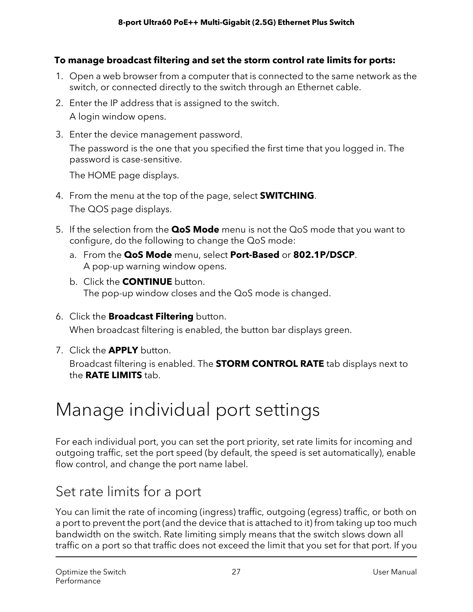#### **To manage broadcast filtering and set the storm control rate limits for ports:**

- 1. Open a web browser from a computer that is connected to the same network as the switch, or connected directly to the switch through an Ethernet cable.
- 2. Enter the IP address that is assigned to the switch. A login window opens.
- 3. Enter the device management password.

The password is the one that you specified the first time that you logged in. The password is case-sensitive.

The HOME page displays.

- 4. From the menu at the top of the page, select **SWITCHING**. The QOS page displays.
- 5. If the selection from the **QoS Mode** menu is not the QoS mode that you want to configure, do the following to change the QoS mode:
	- a. From the **QoS Mode** menu, select **Port-Based** or **802.1P/DSCP**. A pop-up warning window opens.
	- b. Click the **CONTINUE** button. The pop-up window closes and the QoS mode is changed.
- 6. Click the **Broadcast Filtering** button. When broadcast filtering is enabled, the button bar displays green.
- <span id="page-26-0"></span>7. Click the **APPLY** button.

Broadcast filtering is enabled. The **STORM CONTROL RATE** tab displays next to the **RATE LIMITS** tab.

# Manage individual port settings

<span id="page-26-1"></span>For each individual port, you can set the port priority, set rate limits for incoming and outgoing traffic, set the port speed (by default, the speed is set automatically), enable flow control, and change the port name label.

### Set rate limits for a port

You can limit the rate of incoming (ingress) traffic, outgoing (egress) traffic, or both on a port to prevent the port (and the device that is attached to it) from taking up too much bandwidth on the switch. Rate limiting simply means that the switch slows down all traffic on a port so that traffic does not exceed the limit that you set for that port. If you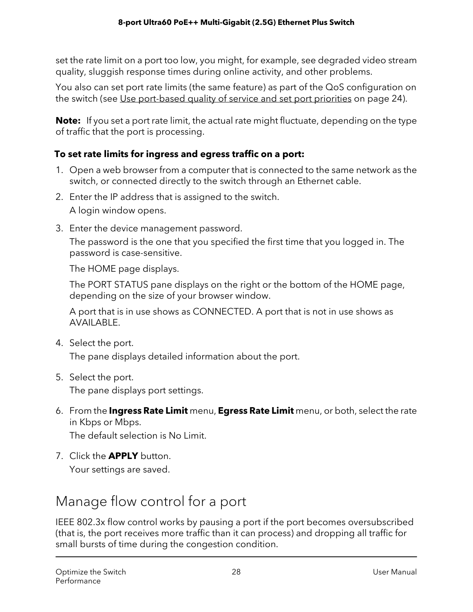set the rate limit on a port too low, you might, for example, see degraded video stream quality, sluggish response times during online activity, and other problems.

You also can set port rate limits (the same feature) as part of the QoS configuration on the switch (see Use [port-based](#page-23-1) quality of service and set port priorities on page 24).

**Note:** If you set a port rate limit, the actual rate might fluctuate, depending on the type of traffic that the port is processing.

#### **To set rate limits for ingress and egress traffic on a port:**

- 1. Open a web browser from a computer that is connected to the same network as the switch, or connected directly to the switch through an Ethernet cable.
- 2. Enter the IP address that is assigned to the switch. A login window opens.
- 3. Enter the device management password.

The password is the one that you specified the first time that you logged in. The password is case-sensitive.

The HOME page displays.

The PORT STATUS pane displays on the right or the bottom of the HOME page, depending on the size of your browser window.

A port that is in use shows as CONNECTED. A port that is not in use shows as AVAILABLE.

4. Select the port.

The pane displays detailed information about the port.

5. Select the port.

The pane displays port settings.

6. From the **Ingress Rate Limit** menu, **Egress Rate Limit** menu, or both, select the rate in Kbps or Mbps.

The default selection is No Limit.

<span id="page-27-0"></span>7. Click the **APPLY** button. Your settings are saved.

### Manage flow control for a port

IEEE 802.3x flow control works by pausing a port if the port becomes oversubscribed (that is, the port receives more traffic than it can process) and dropping all traffic for small bursts of time during the congestion condition.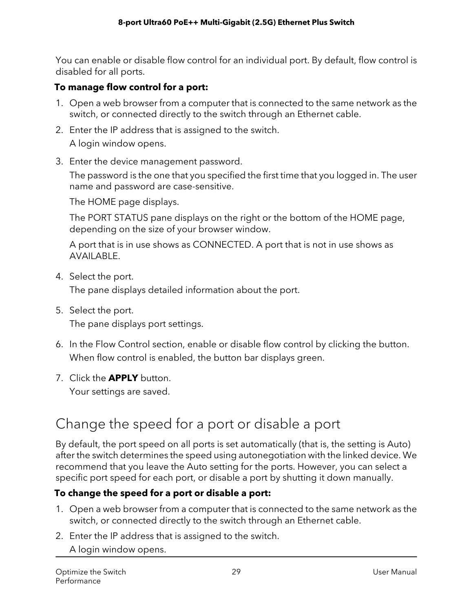You can enable or disable flow control for an individual port. By default, flow control is disabled for all ports.

#### **To manage flow control for a port:**

- 1. Open a web browser from a computer that is connected to the same network as the switch, or connected directly to the switch through an Ethernet cable.
- 2. Enter the IP address that is assigned to the switch. A login window opens.
- 3. Enter the device management password.

The password is the one that you specified the first time that you logged in. The user name and password are case-sensitive.

The HOME page displays.

The PORT STATUS pane displays on the right or the bottom of the HOME page, depending on the size of your browser window.

A port that is in use shows as CONNECTED. A port that is not in use shows as AVAILABLE.

4. Select the port.

The pane displays detailed information about the port.

- 5. Select the port. The pane displays port settings.
- 6. In the Flow Control section, enable or disable flow control by clicking the button. When flow control is enabled, the button bar displays green.
- <span id="page-28-0"></span>7. Click the **APPLY** button. Your settings are saved.

### Change the speed for a port or disable a port

By default, the port speed on all ports is set automatically (that is, the setting is Auto) after the switch determines the speed using autonegotiation with the linked device. We recommend that you leave the Auto setting for the ports. However, you can select a specific port speed for each port, or disable a port by shutting it down manually.

#### **To change the speed for a port or disable a port:**

- 1. Open a web browser from a computer that is connected to the same network as the switch, or connected directly to the switch through an Ethernet cable.
- 2. Enter the IP address that is assigned to the switch.

A login window opens.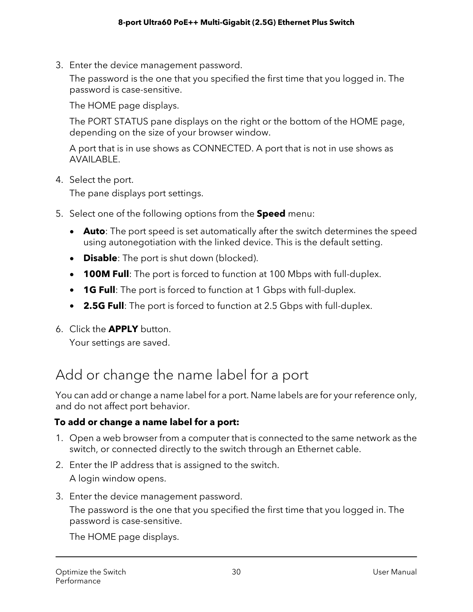3. Enter the device management password.

The password is the one that you specified the first time that you logged in. The password is case-sensitive.

The HOME page displays.

The PORT STATUS pane displays on the right or the bottom of the HOME page, depending on the size of your browser window.

A port that is in use shows as CONNECTED. A port that is not in use shows as AVAILABLE.

4. Select the port.

The pane displays port settings.

- 5. Select one of the following options from the **Speed** menu:
	- **Auto**: The port speed is set automatically after the switch determines the speed using autonegotiation with the linked device. This is the default setting.
	- **Disable**: The port is shut down (blocked).
	- **100M Full**: The port is forced to function at 100 Mbps with full-duplex.
	- **1G Full**: The port is forced to function at 1 Gbps with full-duplex.
	- **2.5G Full**: The port is forced to function at 2.5 Gbps with full-duplex.
- <span id="page-29-0"></span>6. Click the **APPLY** button.

Your settings are saved.

### Add or change the name label for a port

You can add or change a name label for a port. Name labels are for your reference only, and do not affect port behavior.

#### **To add or change a name label for a port:**

- 1. Open a web browser from a computer that is connected to the same network as the switch, or connected directly to the switch through an Ethernet cable.
- 2. Enter the IP address that is assigned to the switch. A login window opens.
- 3. Enter the device management password.

The password is the one that you specified the first time that you logged in. The password is case-sensitive.

The HOME page displays.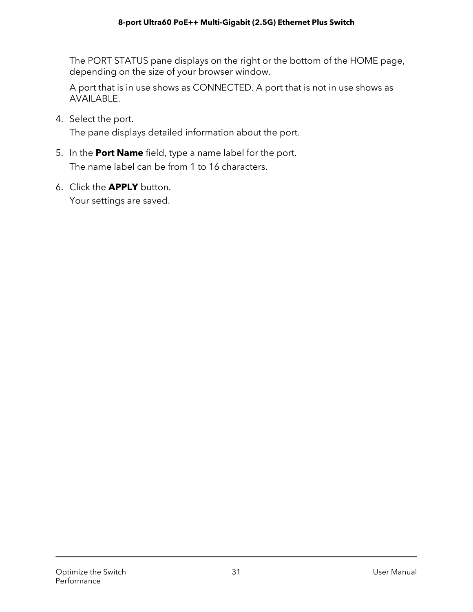The PORT STATUS pane displays on the right or the bottom of the HOME page, depending on the size of your browser window.

A port that is in use shows as CONNECTED. A port that is not in use shows as AVAILABLE.

4. Select the port.

The pane displays detailed information about the port.

- 5. In the **Port Name** field, type a name label for the port. The name label can be from 1 to 16 characters.
- 6. Click the **APPLY** button. Your settings are saved.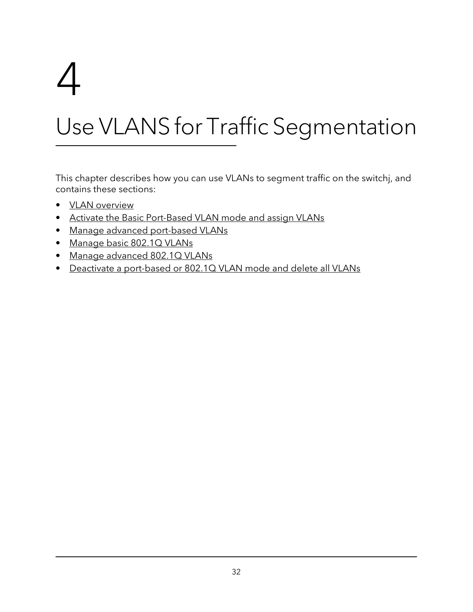# <span id="page-31-0"></span>4

# Use VLANS for Traffic Segmentation

This chapter describes how you can use VLANs to segment traffic on the switchj, and contains these sections:

- VLAN [overview](#page-32-0)
- Activate the Basic [Port-Based](#page-33-0) VLAN mode and assign VLANs
- Manage advanced [port-based](#page-34-0) VLANs
- [Manage](#page-38-1) basic 802.1Q VLANs
- Manage [advanced](#page-44-1) 802.1Q VLANs
- Deactivate a [port-based](#page-53-0) or 802.1Q VLAN mode and delete all VLANs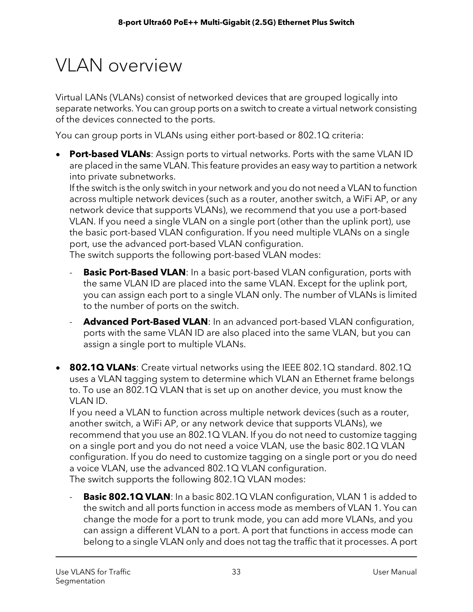# <span id="page-32-0"></span>**VI AN overview**

Virtual LANs (VLANs) consist of networked devices that are grouped logically into separate networks. You can group ports on a switch to create a virtual network consisting of the devices connected to the ports.

You can group ports in VLANs using either port-based or 802.1Q criteria:

• **Port-based VLANs**: Assign ports to virtual networks. Ports with the same VLAN ID are placed in the same VLAN. This feature provides an easy way to partition a network into private subnetworks.

If the switch is the only switch in your network and you do not need a VLAN to function across multiple network devices (such as a router, another switch, a WiFi AP, or any network device that supports VLANs), we recommend that you use a port-based VLAN. If you need a single VLAN on a single port (other than the uplink port), use the basic port-based VLAN configuration. If you need multiple VLANs on a single port, use the advanced port-based VLAN configuration.

The switch supports the following port-based VLAN modes:

- **Basic Port-Based VLAN**: In a basic port-based VLAN configuration, ports with the same VLAN ID are placed into the same VLAN. Except for the uplink port, you can assign each port to a single VLAN only. The number of VLANs is limited to the number of ports on the switch.
- **Advanced Port-Based VLAN**: In an advanced port-based VLAN configuration, ports with the same VLAN ID are also placed into the same VLAN, but you can assign a single port to multiple VLANs.
- **802.1Q VLANs**: Create virtual networks using the IEEE 802.1Q standard. 802.1Q uses a VLAN tagging system to determine which VLAN an Ethernet frame belongs to. To use an 802.1Q VLAN that is set up on another device, you must know the VLAN ID.

If you need a VLAN to function across multiple network devices (such as a router, another switch, a WiFi AP, or any network device that supports VLANs), we recommend that you use an 802.1Q VLAN. If you do not need to customize tagging on a single port and you do not need a voice VLAN, use the basic 802.1Q VLAN configuration. If you do need to customize tagging on a single port or you do need a voice VLAN, use the advanced 802.1Q VLAN configuration. The switch supports the following 802.1Q VLAN modes:

**Basic 802.1Q VLAN**: In a basic 802.1Q VLAN configuration, VLAN 1 is added to the switch and all ports function in access mode as members of VLAN 1. You can change the mode for a port to trunk mode, you can add more VLANs, and you can assign a different VLAN to a port. A port that functions in access mode can belong to a single VLAN only and does not tag the traffic that it processes. A port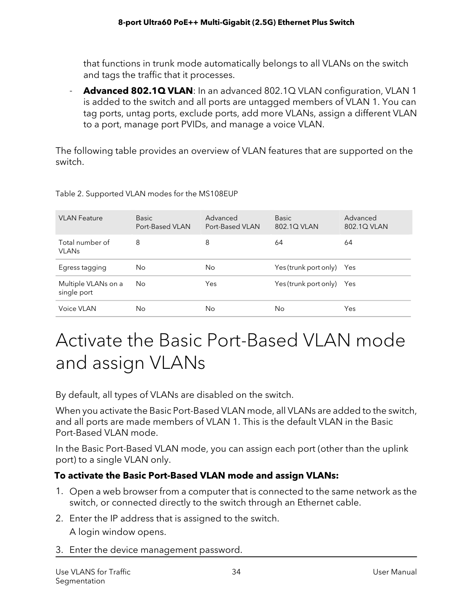that functions in trunk mode automatically belongs to all VLANs on the switch and tags the traffic that it processes.

- **Advanced 802.1Q VLAN**: In an advanced 802.1Q VLAN configuration, VLAN 1 is added to the switch and all ports are untagged members of VLAN 1. You can tag ports, untag ports, exclude ports, add more VLANs, assign a different VLAN to a port, manage port PVIDs, and manage a voice VLAN.

The following table provides an overview of VLAN features that are supported on the switch.

| <b>VLAN Feature</b>                        | <b>Basic</b><br>Port-Based VLAN | Advanced<br>Port-Based VI AN | <b>Basic</b><br>802.1Q VLAN | Advanced<br>802.1Q VLAN |
|--------------------------------------------|---------------------------------|------------------------------|-----------------------------|-------------------------|
| Total number of<br><b>VLAN<sub>s</sub></b> | 8                               | 8                            | 64                          | 64                      |
| Egress tagging                             | No                              | No                           | Yes (trunk port only) Yes   |                         |
| Multiple VLANs on a<br>single port         | No                              | Yes                          | Yes (trunk port only) Yes   |                         |
| Voice VLAN                                 | Nο                              | No                           | No                          | Yes                     |

Table 2. Supported VLAN modes for the MS108EUP

## <span id="page-33-0"></span>Activate the Basic Port-Based VLAN mode and assign VLANs

By default, all types of VLANs are disabled on the switch.

When you activate the Basic Port-Based VLAN mode, all VLANs are added to the switch, and all ports are made members of VLAN 1. This is the default VLAN in the Basic Port-Based VLAN mode.

In the Basic Port-Based VLAN mode, you can assign each port (other than the uplink port) to a single VLAN only.

#### **To activate the Basic Port-Based VLAN mode and assign VLANs:**

- 1. Open a web browser from a computer that is connected to the same network as the switch, or connected directly to the switch through an Ethernet cable.
- 2. Enter the IP address that is assigned to the switch. A login window opens.
- 3. Enter the device management password.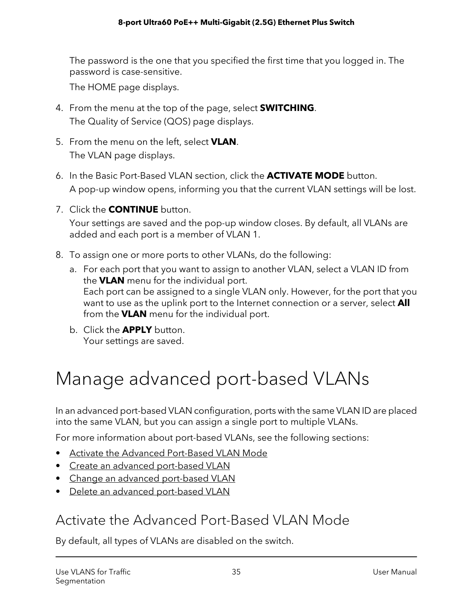The password is the one that you specified the first time that you logged in. The password is case-sensitive.

The HOME page displays.

- 4. From the menu at the top of the page, select **SWITCHING**. The Quality of Service (QOS) page displays.
- 5. From the menu on the left, select **VLAN**. The VLAN page displays.
- 6. In the Basic Port-Based VLAN section, click the **ACTIVATE MODE** button. A pop-up window opens, informing you that the current VLAN settings will be lost.
- 7. Click the **CONTINUE** button.

Your settings are saved and the pop-up window closes. By default, all VLANs are added and each port is a member of VLAN 1.

- 8. To assign one or more ports to other VLANs, do the following:
	- a. For each port that you want to assign to another VLAN, select a VLAN ID from the **VLAN** menu for the individual port. Each port can be assigned to a single VLAN only. However, for the port that you want to use as the uplink port to the Internet connection or a server, select **All** from the **VLAN** menu for the individual port.
	- b. Click the **APPLY** button. Your settings are saved.

## <span id="page-34-0"></span>Manage advanced port-based VLANs

In an advanced port-based VLAN configuration, ports with the same VLAN ID are placed into the same VLAN, but you can assign a single port to multiple VLANs.

For more information about port-based VLANs, see the following sections:

- <span id="page-34-1"></span>• Activate the Advanced [Port-Based](#page-34-1) VLAN Mode
- Create an advanced [port-based](#page-35-0) VLAN
- Change an advanced [port-based](#page-36-0) VLAN
- Delete an advanced [port-based](#page-38-0) VLAN

### Activate the Advanced Port-Based VLAN Mode

By default, all types of VLANs are disabled on the switch.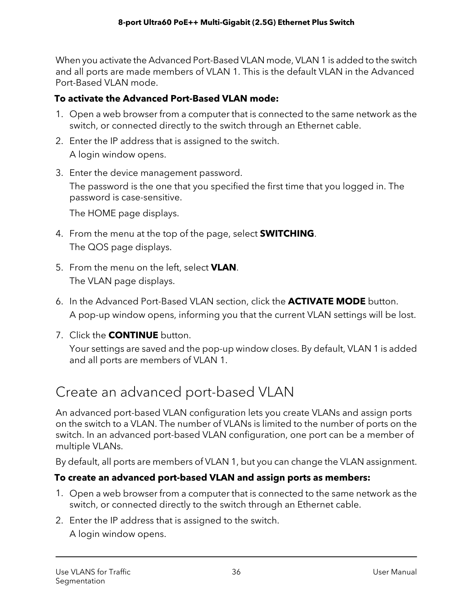When you activate the Advanced Port-Based VLAN mode, VLAN 1 is added to the switch and all ports are made members of VLAN 1. This is the default VLAN in the Advanced Port-Based VLAN mode.

#### **To activate the Advanced Port-Based VLAN mode:**

- 1. Open a web browser from a computer that is connected to the same network as the switch, or connected directly to the switch through an Ethernet cable.
- 2. Enter the IP address that is assigned to the switch. A login window opens.
- 3. Enter the device management password.

The password is the one that you specified the first time that you logged in. The password is case-sensitive.

The HOME page displays.

- 4. From the menu at the top of the page, select **SWITCHING**. The QOS page displays.
- 5. From the menu on the left, select **VLAN**. The VLAN page displays.
- 6. In the Advanced Port-Based VLAN section, click the **ACTIVATE MODE** button. A pop-up window opens, informing you that the current VLAN settings will be lost.
- <span id="page-35-0"></span>7. Click the **CONTINUE** button.

Your settings are saved and the pop-up window closes. By default, VLAN 1 is added and all ports are members of VLAN 1.

### Create an advanced port-based VLAN

An advanced port-based VLAN configuration lets you create VLANs and assign ports on the switch to a VLAN. The number of VLANs is limited to the number of ports on the switch. In an advanced port-based VLAN configuration, one port can be a member of multiple VLANs.

By default, all ports are members of VLAN 1, but you can change the VLAN assignment.

#### **To create an advanced port-based VLAN and assign ports as members:**

- 1. Open a web browser from a computer that is connected to the same network as the switch, or connected directly to the switch through an Ethernet cable.
- 2. Enter the IP address that is assigned to the switch.
	- A login window opens.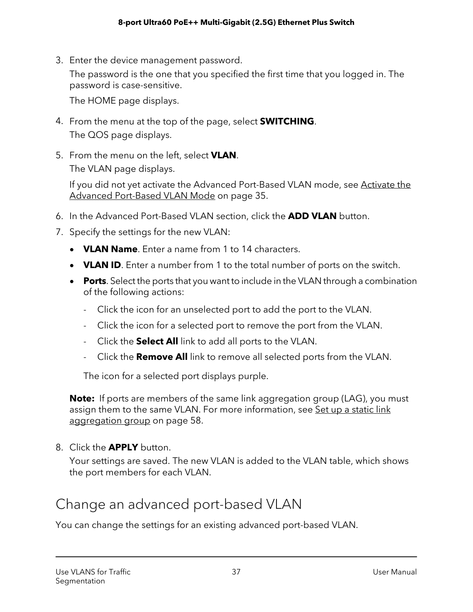3. Enter the device management password.

The password is the one that you specified the first time that you logged in. The password is case-sensitive.

The HOME page displays.

- 4. From the menu at the top of the page, select **SWITCHING**. The QOS page displays.
- 5. From the menu on the left, select **VLAN**. The VLAN page displays.

If you did not yet activate the Advanced Port-Based VLAN mode, see [Activate](#page-34-0) the Advanced [Port-Based](#page-34-0) VLAN Mode on page 35.

- 6. In the Advanced Port-Based VLAN section, click the **ADD VLAN** button.
- 7. Specify the settings for the new VLAN:
	- **VLAN Name**. Enter a name from 1 to 14 characters.
	- **VLAN ID**. Enter a number from 1 to the total number of ports on the switch.
	- **Ports**. Select the ports that you want to include in the VLAN through a combination of the following actions:
		- Click the icon for an unselected port to add the port to the VLAN.
		- Click the icon for a selected port to remove the port from the VLAN.
		- Click the **Select All** link to add all ports to the VLAN.
		- Click the **Remove All** link to remove all selected ports from the VLAN.

The icon for a selected port displays purple.

**Note:** If ports are members of the same link aggregation group (LAG), you must assign them to the same VLAN. For more information, see Set up a [static](#page-57-0) link [aggregation](#page-57-0) group on page 58.

8. Click the **APPLY** button.

Your settings are saved. The new VLAN is added to the VLAN table, which shows the port members for each VLAN.

### Change an advanced port-based VLAN

You can change the settings for an existing advanced port-based VLAN.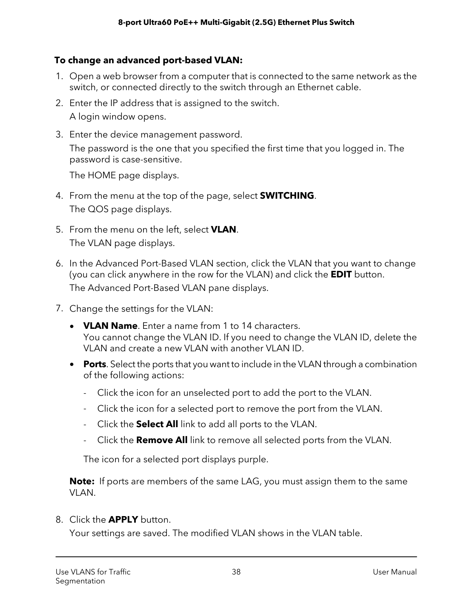#### **To change an advanced port-based VLAN:**

- 1. Open a web browser from a computer that is connected to the same network as the switch, or connected directly to the switch through an Ethernet cable.
- 2. Enter the IP address that is assigned to the switch. A login window opens.
- 3. Enter the device management password. The password is the one that you specified the first time that you logged in. The password is case-sensitive.

The HOME page displays.

- 4. From the menu at the top of the page, select **SWITCHING**. The QOS page displays.
- 5. From the menu on the left, select **VLAN**. The VLAN page displays.
- 6. In the Advanced Port-Based VLAN section, click the VLAN that you want to change (you can click anywhere in the row for the VLAN) and click the **EDIT** button. The Advanced Port-Based VLAN pane displays.
- 7. Change the settings for the VLAN:
	- **VLAN Name**. Enter a name from 1 to 14 characters. You cannot change the VLAN ID. If you need to change the VLAN ID, delete the VLAN and create a new VLAN with another VLAN ID.
	- **Ports**. Select the ports that you want to include in the VLAN through a combination of the following actions:
		- Click the icon for an unselected port to add the port to the VLAN.
		- Click the icon for a selected port to remove the port from the VLAN.
		- Click the **Select All** link to add all ports to the VLAN.
		- Click the **Remove All** link to remove all selected ports from the VLAN.

The icon for a selected port displays purple.

**Note:** If ports are members of the same LAG, you must assign them to the same VLAN.

8. Click the **APPLY** button.

Your settings are saved. The modified VLAN shows in the VLAN table.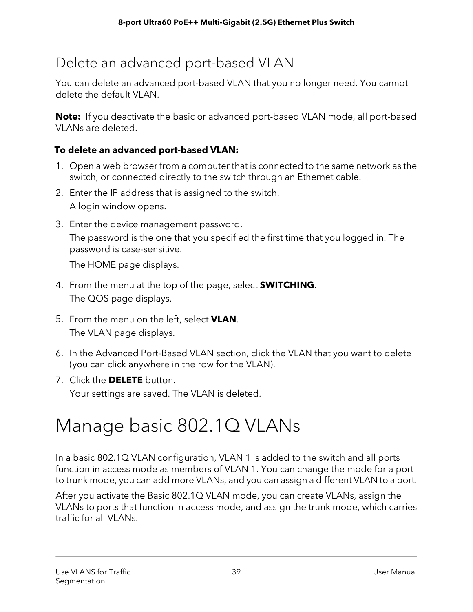# Delete an advanced port-based VLAN

You can delete an advanced port-based VLAN that you no longer need. You cannot delete the default VLAN.

**Note:** If you deactivate the basic or advanced port-based VLAN mode, all port-based VLANs are deleted.

#### **To delete an advanced port-based VLAN:**

- 1. Open a web browser from a computer that is connected to the same network as the switch, or connected directly to the switch through an Ethernet cable.
- 2. Enter the IP address that is assigned to the switch. A login window opens.
- 3. Enter the device management password. The password is the one that you specified the first time that you logged in. The password is case-sensitive.

The HOME page displays.

- 4. From the menu at the top of the page, select **SWITCHING**. The QOS page displays.
- 5. From the menu on the left, select **VLAN**. The VLAN page displays.
- 6. In the Advanced Port-Based VLAN section, click the VLAN that you want to delete (you can click anywhere in the row for the VLAN).
- 7. Click the **DELETE** button. Your settings are saved. The VLAN is deleted.

# Manage basic 802.1Q VLANs

In a basic 802.1Q VLAN configuration, VLAN 1 is added to the switch and all ports function in access mode as members of VLAN 1. You can change the mode for a port to trunk mode, you can add more VLANs, and you can assign a different VLAN to a port.

After you activate the Basic 802.1Q VLAN mode, you can create VLANs, assign the VLANs to ports that function in access mode, and assign the trunk mode, which carries traffic for all VLANs.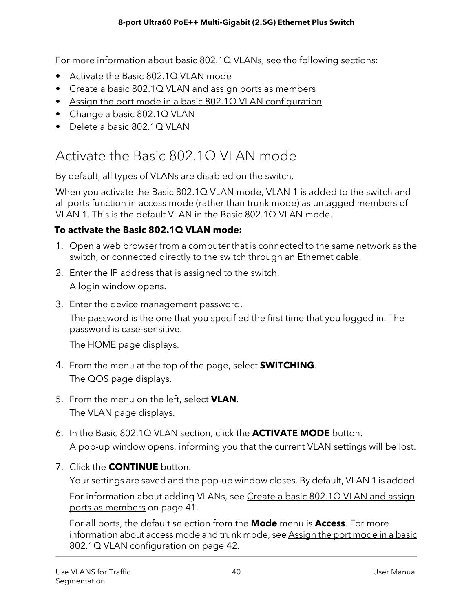For more information about basic 802.1Q VLANs, see the following sections:

- [Activate](#page-39-0) the Basic 802.1Q VLAN mode
- Create a basic 802.1Q VLAN and assign ports as [members](#page-40-0)
- Assign the port mode in a basic 802.1Q VLAN [configuration](#page-41-0)
- [Change](#page-43-0) a basic 802.1Q VLAN
- <span id="page-39-0"></span>• Delete a basic [802.1Q](#page-44-0) VLAN

# Activate the Basic 802.1Q VLAN mode

By default, all types of VLANs are disabled on the switch.

When you activate the Basic 802.1Q VLAN mode, VLAN 1 is added to the switch and all ports function in access mode (rather than trunk mode) as untagged members of VLAN 1. This is the default VLAN in the Basic 802.10 VLAN mode.

#### **To activate the Basic 802.1Q VLAN mode:**

- 1. Open a web browser from a computer that is connected to the same network as the switch, or connected directly to the switch through an Ethernet cable.
- 2. Enter the IP address that is assigned to the switch. A login window opens.
- 3. Enter the device management password.

The password is the one that you specified the first time that you logged in. The password is case-sensitive.

The HOME page displays.

- 4. From the menu at the top of the page, select **SWITCHING**. The QOS page displays.
- 5. From the menu on the left, select **VLAN**. The VLAN page displays.
- 6. In the Basic 802.1Q VLAN section, click the **ACTIVATE MODE** button. A pop-up window opens, informing you that the current VLAN settings will be lost.
- 7. Click the **CONTINUE** button.

Your settings are saved and the pop-up window closes. By default, VLAN 1 is added.

For information about adding VLANs, see Create a basic [802.1Q](#page-40-0) VLAN and assign ports as [members](#page-40-0) on page 41.

For all ports, the default selection from the **Mode** menu is **Access**. For more information about access mode and trunk mode, see [Assign](#page-41-0) the port mode in a basic 802.1Q VLAN [configuration](#page-41-0) on page 42.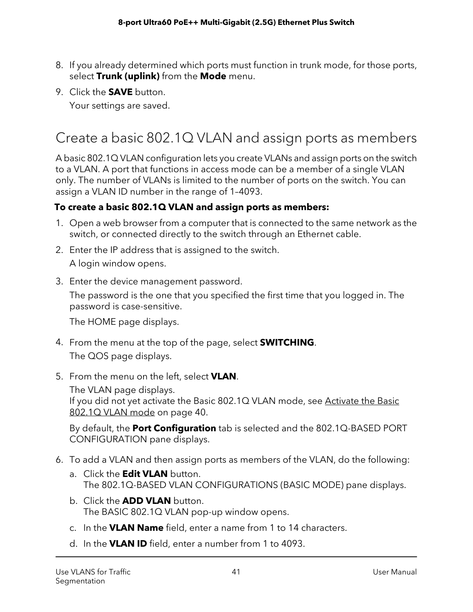- 8. If you already determined which ports must function in trunk mode, for those ports, select **Trunk (uplink)** from the **Mode** menu.
- 9. Click the **SAVE** button.

Your settings are saved.

# <span id="page-40-0"></span>Create a basic 802.1Q VLAN and assign ports as members

A basic 802.1Q VLAN configuration lets you create VLANs and assign ports on the switch to a VLAN. A port that functions in access mode can be a member of a single VLAN only. The number of VLANs is limited to the number of ports on the switch. You can assign a VLAN ID number in the range of 1–4093.

#### **To create a basic 802.1Q VLAN and assign ports as members:**

- 1. Open a web browser from a computer that is connected to the same network as the switch, or connected directly to the switch through an Ethernet cable.
- 2. Enter the IP address that is assigned to the switch. A login window opens.
- 3. Enter the device management password.

The password is the one that you specified the first time that you logged in. The password is case-sensitive.

The HOME page displays.

- 4. From the menu at the top of the page, select **SWITCHING**. The QOS page displays.
- 5. From the menu on the left, select **VLAN**.

The VLAN page displays.

If you did not yet activate the Basic 802.1Q VLAN mode, see [Activate](#page-39-0) the Basic [802.1Q](#page-39-0) VLAN mode on page 40.

By default, the **Port Configuration** tab is selected and the 802.1Q-BASED PORT CONFIGURATION pane displays.

- 6. To add a VLAN and then assign ports as members of the VLAN, do the following:
	- a. Click the **Edit VLAN** button. The 802.1Q-BASED VLAN CONFIGURATIONS (BASIC MODE) pane displays.
	- b. Click the **ADD VLAN** button. The BASIC 802.1Q VLAN pop-up window opens.
	- c. In the **VLAN Name** field, enter a name from 1 to 14 characters.
	- d. In the **VLAN ID** field, enter a number from 1 to 4093.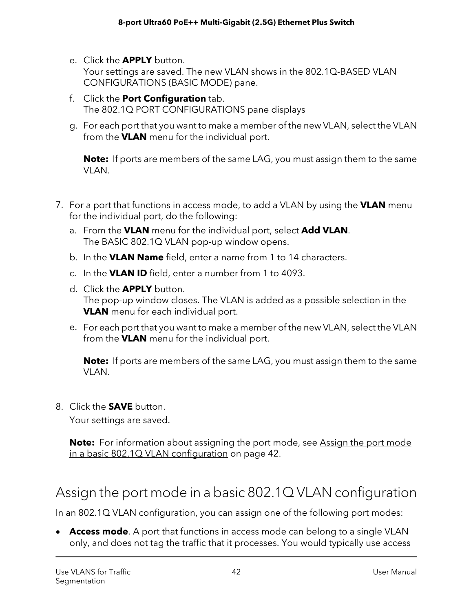- e. Click the **APPLY** button. Your settings are saved. The new VLAN shows in the 802.1Q-BASED VLAN CONFIGURATIONS (BASIC MODE) pane.
- f. Click the **Port Configuration** tab. The 802.1Q PORT CONFIGURATIONS pane displays
- g. For each port that you want to make a member of the new VLAN, select the VLAN from the **VLAN** menu for the individual port.

**Note:** If ports are members of the same LAG, you must assign them to the same VLAN.

- 7. For a port that functions in access mode, to add a VLAN by using the **VLAN** menu for the individual port, do the following:
	- a. From the **VLAN** menu for the individual port, select **Add VLAN**. The BASIC 802.1Q VLAN pop-up window opens.
	- b. In the **VLAN Name** field, enter a name from 1 to 14 characters.
	- c. In the **VLAN ID** field, enter a number from 1 to 4093.
	- d. Click the **APPLY** button. The pop-up window closes. The VLAN is added as a possible selection in the **VLAN** menu for each individual port.
	- e. For each port that you want to make a member of the new VLAN, select the VLAN from the **VLAN** menu for the individual port.

**Note:** If ports are members of the same LAG, you must assign them to the same VLAN.

8. Click the **SAVE** button.

Your settings are saved.

<span id="page-41-0"></span>**Note:** For information about assigning the port mode, see [Assign](#page-41-0) the port mode in a basic 802.1Q VLAN [configuration](#page-41-0) on page 42.

### Assign the port mode in a basic 802.1Q VLAN configuration

In an 802.1Q VLAN configuration, you can assign one of the following port modes:

• **Access mode**. A port that functions in access mode can belong to a single VLAN only, and does not tag the traffic that it processes. You would typically use access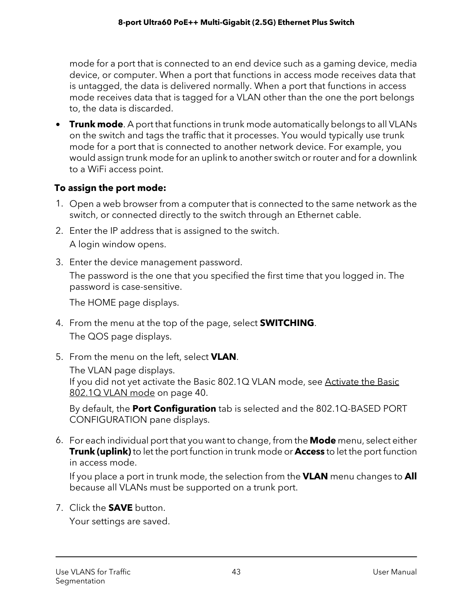mode for a port that is connected to an end device such as a gaming device, media device, or computer. When a port that functions in access mode receives data that is untagged, the data is delivered normally. When a port that functions in access mode receives data that is tagged for a VLAN other than the one the port belongs to, the data is discarded.

• **Trunk mode**. A port that functions in trunk mode automatically belongs to all VLANs on the switch and tags the traffic that it processes. You would typically use trunk mode for a port that is connected to another network device. For example, you would assign trunk mode for an uplink to another switch or router and for a downlink to a WiFi access point.

#### **To assign the port mode:**

- 1. Open a web browser from a computer that is connected to the same network as the switch, or connected directly to the switch through an Ethernet cable.
- 2. Enter the IP address that is assigned to the switch. A login window opens.
- 3. Enter the device management password.

The password is the one that you specified the first time that you logged in. The password is case-sensitive.

The HOME page displays.

- 4. From the menu at the top of the page, select **SWITCHING**. The QOS page displays.
- 5. From the menu on the left, select **VLAN**.

The VLAN page displays. If you did not yet activate the Basic 802.1Q VLAN mode, see [Activate](#page-39-0) the Basic [802.1Q](#page-39-0) VLAN mode on page 40.

By default, the **Port Configuration** tab is selected and the 802.1Q-BASED PORT CONFIGURATION pane displays.

6. For each individual port that you want to change, from the **Mode** menu, select either **Trunk (uplink)** to let the port function in trunk mode or **Access** to let the port function in access mode.

If you place a port in trunk mode, the selection from the **VLAN** menu changes to **All** because all VLANs must be supported on a trunk port.

7. Click the **SAVE** button.

Your settings are saved.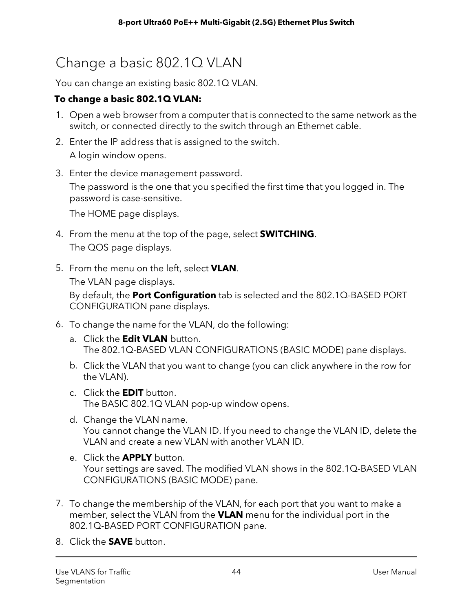# <span id="page-43-0"></span>Change a basic 802.1Q VLAN

You can change an existing basic 802.1Q VLAN.

#### **To change a basic 802.1Q VLAN:**

- 1. Open a web browser from a computer that is connected to the same network as the switch, or connected directly to the switch through an Ethernet cable.
- 2. Enter the IP address that is assigned to the switch. A login window opens.
- 3. Enter the device management password.

The password is the one that you specified the first time that you logged in. The password is case-sensitive.

The HOME page displays.

- 4. From the menu at the top of the page, select **SWITCHING**. The QOS page displays.
- 5. From the menu on the left, select **VLAN**.

The VLAN page displays.

By default, the **Port Configuration** tab is selected and the 802.1Q-BASED PORT CONFIGURATION pane displays.

- 6. To change the name for the VLAN, do the following:
	- a. Click the **Edit VLAN** button. The 802.1Q-BASED VLAN CONFIGURATIONS (BASIC MODE) pane displays.
	- b. Click the VLAN that you want to change (you can click anywhere in the row for the VLAN).
	- c. Click the **EDIT** button. The BASIC 802.1Q VLAN pop-up window opens.
	- d. Change the VLAN name. You cannot change the VLAN ID. If you need to change the VLAN ID, delete the VLAN and create a new VLAN with another VLAN ID.
	- e. Click the **APPLY** button. Your settings are saved. The modified VLAN shows in the 802.1Q-BASED VLAN CONFIGURATIONS (BASIC MODE) pane.
- 7. To change the membership of the VLAN, for each port that you want to make a member, select the VLAN from the **VLAN** menu for the individual port in the 802.1Q-BASED PORT CONFIGURATION pane.
- 8. Click the **SAVE** button.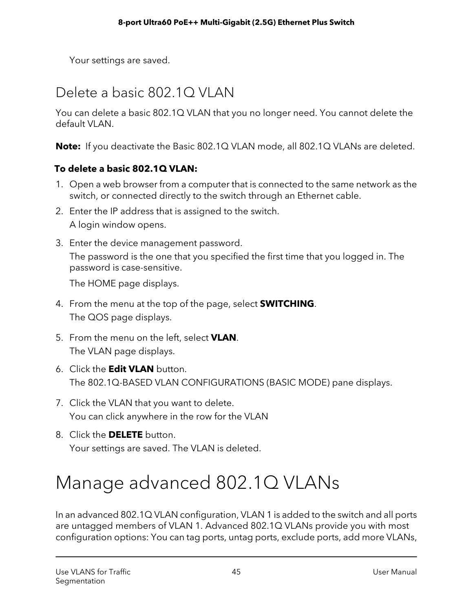Your settings are saved.

# <span id="page-44-0"></span>Delete a basic 802.1Q VLAN

You can delete a basic 802.1Q VLAN that you no longer need. You cannot delete the default VLAN.

**Note:** If you deactivate the Basic 802.1Q VLAN mode, all 802.1Q VLANs are deleted.

#### **To delete a basic 802.1Q VLAN:**

- 1. Open a web browser from a computer that is connected to the same network as the switch, or connected directly to the switch through an Ethernet cable.
- 2. Enter the IP address that is assigned to the switch. A login window opens.
- 3. Enter the device management password. The password is the one that you specified the first time that you logged in. The password is case-sensitive.

The HOME page displays.

- 4. From the menu at the top of the page, select **SWITCHING**. The QOS page displays.
- 5. From the menu on the left, select **VLAN**. The VLAN page displays.
- 6. Click the **Edit VLAN** button. The 802.1Q-BASED VLAN CONFIGURATIONS (BASIC MODE) pane displays.
- 7. Click the VLAN that you want to delete. You can click anywhere in the row for the VLAN
- 8. Click the **DELETE** button. Your settings are saved. The VLAN is deleted.

# Manage advanced 802.1Q VLANs

In an advanced 802.1Q VLAN configuration, VLAN 1 is added to the switch and all ports are untagged members of VLAN 1. Advanced 802.1Q VLANs provide you with most configuration options: You can tag ports, untag ports, exclude ports, add more VLANs,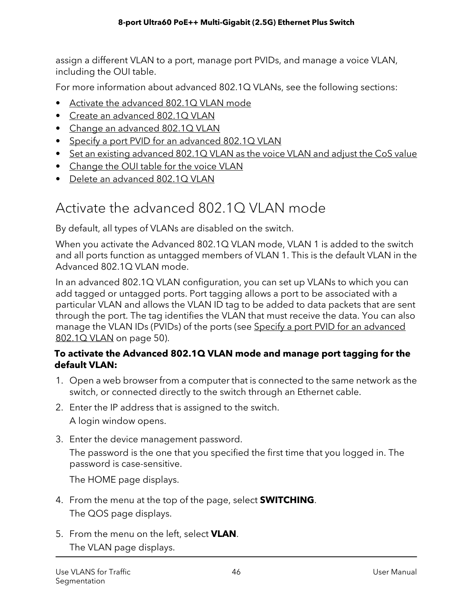assign a different VLAN to a port, manage port PVIDs, and manage a voice VLAN, including the OUI table.

For more information about advanced 802.1Q VLANs, see the following sections:

- Activate the [advanced](#page-45-0) 802.1Q VLAN mode
- Create an [advanced](#page-46-0) 802.1Q VLAN
- Change an [advanced](#page-47-0) 802.1Q VLAN
- Specify a port PVID for an [advanced](#page-49-0) 802.1Q VLAN
- Set an existing [advanced](#page-50-0) 802.1Q VLAN as the voice VLAN and adjust the CoS value
- [Change](#page-51-0) the OUI table for the voice VLAN
- <span id="page-45-0"></span>• Delete an [advanced](#page-52-0) 802.1Q VLAN

# Activate the advanced 802.1Q VLAN mode

By default, all types of VLANs are disabled on the switch.

When you activate the Advanced 802.1Q VLAN mode, VLAN 1 is added to the switch and all ports function as untagged members of VLAN 1. This is the default VLAN in the Advanced 802.1Q VLAN mode.

In an advanced 802.1Q VLAN configuration, you can set up VLANs to which you can add tagged or untagged ports. Port tagging allows a port to be associated with a particular VLAN and allows the VLAN ID tag to be added to data packets that are sent through the port. The tag identifies the VLAN that must receive the data. You can also manage the VLAN IDs (PVIDs) of the ports (see Specify a port PVID for an [advanced](#page-49-0) [802.1Q](#page-49-0) VLAN on page 50).

#### **To activate the Advanced 802.1Q VLAN mode and manage port tagging for the default VLAN:**

- 1. Open a web browser from a computer that is connected to the same network as the switch, or connected directly to the switch through an Ethernet cable.
- 2. Enter the IP address that is assigned to the switch. A login window opens.
- 3. Enter the device management password.

The password is the one that you specified the first time that you logged in. The password is case-sensitive.

The HOME page displays.

- 4. From the menu at the top of the page, select **SWITCHING**. The QOS page displays.
- 5. From the menu on the left, select **VLAN**. The VLAN page displays.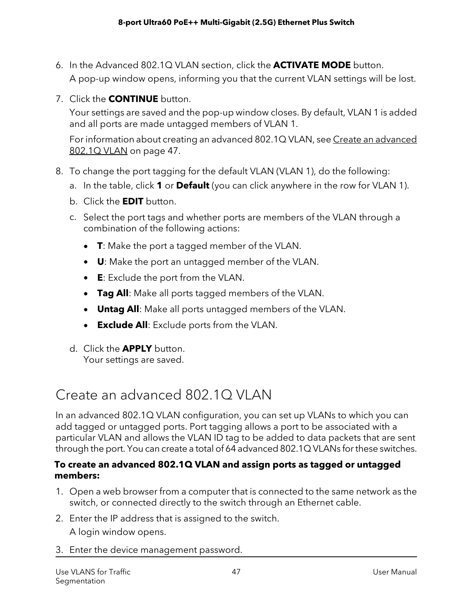- 6. In the Advanced 802.1Q VLAN section, click the **ACTIVATE MODE** button. A pop-up window opens, informing you that the current VLAN settings will be lost.
- 7. Click the **CONTINUE** button.

Your settings are saved and the pop-up window closes. By default, VLAN 1 is added and all ports are made untagged members of VLAN 1.

For information about creating an [advanced](#page-46-0) 802.1Q VLAN, see Create an advanced [802.1Q](#page-46-0) VLAN on page 47.

- 8. To change the port tagging for the default VLAN (VLAN 1), do the following:
	- a. In the table, click **1** or **Default** (you can click anywhere in the row for VLAN 1).
	- b. Click the **EDIT** button.
	- c. Select the port tags and whether ports are members of the VLAN through a combination of the following actions:
		- **T**: Make the port a tagged member of the VLAN.
		- **U**: Make the port an untagged member of the VLAN.
		- **E**: Exclude the port from the VLAN.
		- **Tag All**: Make all ports tagged members of the VLAN.
		- **Untag All**: Make all ports untagged members of the VLAN.
		- **Exclude All**: Exclude ports from the VLAN.
	- d. Click the **APPLY** button. Your settings are saved.

### <span id="page-46-0"></span>Create an advanced 802.1Q VLAN

In an advanced 802.1Q VLAN configuration, you can set up VLANs to which you can add tagged or untagged ports. Port tagging allows a port to be associated with a particular VLAN and allows the VLAN ID tag to be added to data packets that are sent through the port. You can create a total of 64 advanced 802.1Q VLANs for these switches.

#### **To create an advanced 802.1Q VLAN and assign ports as tagged or untagged members:**

- 1. Open a web browser from a computer that is connected to the same network as the switch, or connected directly to the switch through an Ethernet cable.
- 2. Enter the IP address that is assigned to the switch. A login window opens.
- 3. Enter the device management password.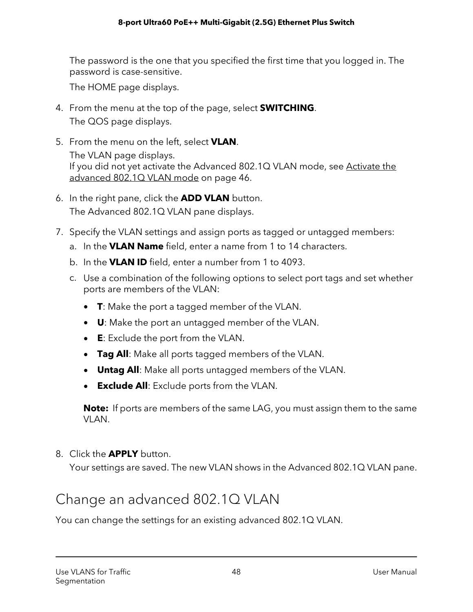The password is the one that you specified the first time that you logged in. The password is case-sensitive.

The HOME page displays.

- 4. From the menu at the top of the page, select **SWITCHING**. The QOS page displays.
- 5. From the menu on the left, select **VLAN**. The VLAN page displays. If you did not yet activate the Advanced 802.1Q VLAN mode, see [Activate](#page-45-0) the [advanced](#page-45-0) 802.1Q VLAN mode on page 46.
- 6. In the right pane, click the **ADD VLAN** button. The Advanced 802.1Q VLAN pane displays.
- 7. Specify the VLAN settings and assign ports as tagged or untagged members:
	- a. In the **VLAN Name** field, enter a name from 1 to 14 characters.
	- b. In the **VLAN ID** field, enter a number from 1 to 4093.
	- c. Use a combination of the following options to select port tags and set whether ports are members of the VLAN:
		- **T**: Make the port a tagged member of the VLAN.
		- **U**: Make the port an untagged member of the VLAN.
		- **E**: Exclude the port from the VLAN.
		- **Tag All**: Make all ports tagged members of the VLAN.
		- **Untag All**: Make all ports untagged members of the VLAN.
		- **Exclude All**: Exclude ports from the VLAN.

**Note:** If ports are members of the same LAG, you must assign them to the same VLAN.

<span id="page-47-0"></span>8. Click the **APPLY** button.

Your settings are saved. The new VLAN shows in the Advanced 802.1Q VLAN pane.

### Change an advanced 802.1Q VLAN

You can change the settings for an existing advanced 802.1Q VLAN.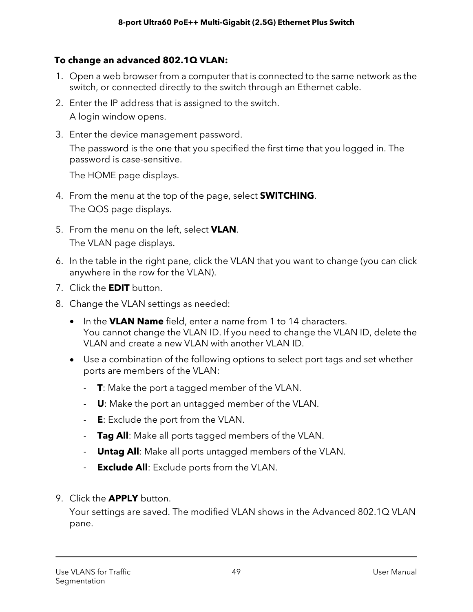#### **To change an advanced 802.1Q VLAN:**

- 1. Open a web browser from a computer that is connected to the same network as the switch, or connected directly to the switch through an Ethernet cable.
- 2. Enter the IP address that is assigned to the switch.

A login window opens.

3. Enter the device management password.

The password is the one that you specified the first time that you logged in. The password is case-sensitive.

The HOME page displays.

- 4. From the menu at the top of the page, select **SWITCHING**. The QOS page displays.
- 5. From the menu on the left, select **VLAN**. The VLAN page displays.
- 6. In the table in the right pane, click the VLAN that you want to change (you can click anywhere in the row for the VLAN).
- 7. Click the **EDIT** button.
- 8. Change the VLAN settings as needed:
	- In the **VLAN Name** field, enter a name from 1 to 14 characters. You cannot change the VLAN ID. If you need to change the VLAN ID, delete the VLAN and create a new VLAN with another VLAN ID.
	- Use a combination of the following options to select port tags and set whether ports are members of the VLAN:
		- **T**: Make the port a tagged member of the VLAN.
		- **U**: Make the port an untagged member of the VLAN.
		- **E**: Exclude the port from the VLAN.
		- **Tag All**: Make all ports tagged members of the VLAN.
		- **Untag All**: Make all ports untagged members of the VLAN.
		- **Exclude All**: Exclude ports from the VLAN.
- 9. Click the **APPLY** button.

Your settings are saved. The modified VLAN shows in the Advanced 802.1Q VLAN pane.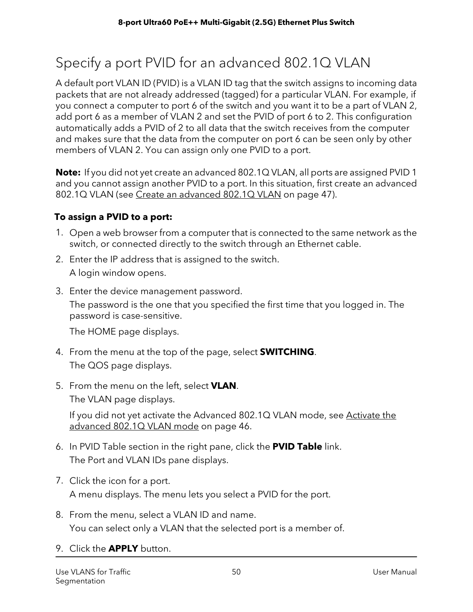# <span id="page-49-0"></span>Specify a port PVID for an advanced 802.1Q VLAN

A default port VLAN ID (PVID) is a VLAN ID tag that the switch assigns to incoming data packets that are not already addressed (tagged) for a particular VLAN. For example, if you connect a computer to port 6 of the switch and you want it to be a part of VLAN 2, add port 6 as a member of VLAN 2 and set the PVID of port 6 to 2. This configuration automatically adds a PVID of 2 to all data that the switch receives from the computer and makes sure that the data from the computer on port 6 can be seen only by other members of VLAN 2. You can assign only one PVID to a port.

**Note:** If you did not yet create an advanced 802.1Q VLAN, all ports are assigned PVID 1 and you cannot assign another PVID to a port. In this situation, first create an advanced 802.1Q VLAN (see Create an [advanced](#page-46-0) 802.1Q VLAN on page 47).

#### **To assign a PVID to a port:**

- 1. Open a web browser from a computer that is connected to the same network as the switch, or connected directly to the switch through an Ethernet cable.
- 2. Enter the IP address that is assigned to the switch. A login window opens.
- 3. Enter the device management password.

The password is the one that you specified the first time that you logged in. The password is case-sensitive.

The HOME page displays.

- 4. From the menu at the top of the page, select **SWITCHING**. The QOS page displays.
- 5. From the menu on the left, select **VLAN**.

The VLAN page displays.

If you did not yet activate the Advanced 802.1Q VLAN mode, see [Activate](#page-45-0) the [advanced](#page-45-0) 802.1Q VLAN mode on page 46.

- 6. In PVID Table section in the right pane, click the **PVID Table** link. The Port and VLAN IDs pane displays.
- 7. Click the icon for a port. A menu displays. The menu lets you select a PVID for the port.
- 8. From the menu, select a VLAN ID and name. You can select only a VLAN that the selected port is a member of.
- 9. Click the **APPLY** button.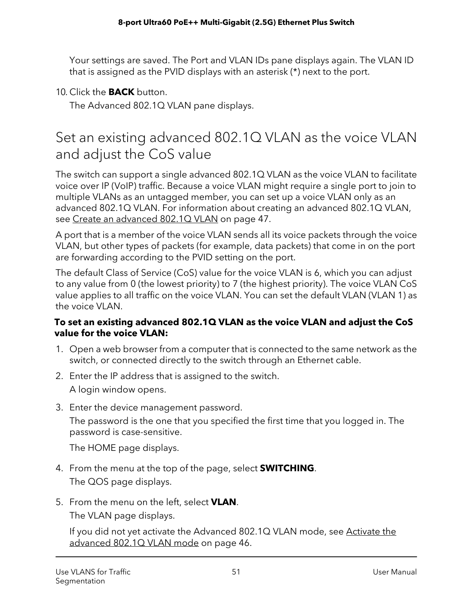Your settings are saved. The Port and VLAN IDs pane displays again. The VLAN ID that is assigned as the PVID displays with an asterisk (\*) next to the port.

#### 10. Click the **BACK** button.

The Advanced 802.1Q VLAN pane displays.

### <span id="page-50-0"></span>Set an existing advanced 802.1Q VLAN as the voice VLAN and adjust the CoS value

The switch can support a single advanced 802.1Q VLAN as the voice VLAN to facilitate voice over IP (VoIP) traffic. Because a voice VLAN might require a single port to join to multiple VLANs as an untagged member, you can set up a voice VLAN only as an advanced 802.1Q VLAN. For information about creating an advanced 802.1Q VLAN, see Create an [advanced](#page-46-0) 802.1Q VLAN on page 47.

A port that is a member of the voice VLAN sends all its voice packets through the voice VLAN, but other types of packets (for example, data packets) that come in on the port are forwarding according to the PVID setting on the port.

The default Class of Service (CoS) value for the voice VLAN is 6, which you can adjust to any value from 0 (the lowest priority) to 7 (the highest priority). The voice VLAN CoS value applies to all traffic on the voice VLAN. You can set the default VLAN (VLAN 1) as the voice VLAN.

#### **To set an existing advanced 802.1Q VLAN as the voice VLAN and adjust the CoS value for the voice VLAN:**

- 1. Open a web browser from a computer that is connected to the same network as the switch, or connected directly to the switch through an Ethernet cable.
- 2. Enter the IP address that is assigned to the switch. A login window opens.
- 3. Enter the device management password.

The password is the one that you specified the first time that you logged in. The password is case-sensitive.

The HOME page displays.

- 4. From the menu at the top of the page, select **SWITCHING**. The QOS page displays.
- 5. From the menu on the left, select **VLAN**. The VLAN page displays.

If you did not yet activate the Advanced 802.1Q VLAN mode, see [Activate](#page-45-0) the [advanced](#page-45-0) 802.1Q VLAN mode on page 46.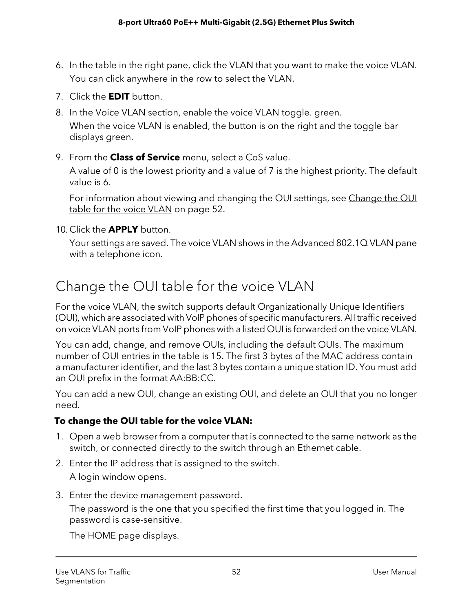- 6. In the table in the right pane, click the VLAN that you want to make the voice VLAN. You can click anywhere in the row to select the VLAN.
- 7. Click the **EDIT** button.
- 8. In the Voice VLAN section, enable the voice VLAN toggle. green. When the voice VLAN is enabled, the button is on the right and the toggle bar displays green.
- 9. From the **Class of Service** menu, select a CoS value.

A value of 0 is the lowest priority and a value of 7 is the highest priority. The default value is 6.

For information about viewing and changing the OUI settings, see [Change](#page-51-0) the OUI table for the voice [VLAN](#page-51-0) on page 52.

10. Click the **APPLY** button.

<span id="page-51-0"></span>Your settings are saved. The voice VLAN shows in the Advanced 802.1Q VLAN pane with a telephone icon.

# Change the OUI table for the voice VLAN

For the voice VLAN, the switch supports default Organizationally Unique Identifiers (OUI), which are associated with VoIP phones of specific manufacturers. All traffic received on voice VLAN ports from VoIP phones with a listed OUI is forwarded on the voice VLAN.

You can add, change, and remove OUIs, including the default OUIs. The maximum number of OUI entries in the table is 15. The first 3 bytes of the MAC address contain a manufacturer identifier, and the last 3 bytes contain a unique station ID. You must add an OUI prefix in the format AA:BB:CC.

You can add a new OUI, change an existing OUI, and delete an OUI that you no longer need.

#### **To change the OUI table for the voice VLAN:**

- 1. Open a web browser from a computer that is connected to the same network as the switch, or connected directly to the switch through an Ethernet cable.
- 2. Enter the IP address that is assigned to the switch. A login window opens.
- 3. Enter the device management password.

The password is the one that you specified the first time that you logged in. The password is case-sensitive.

The HOME page displays.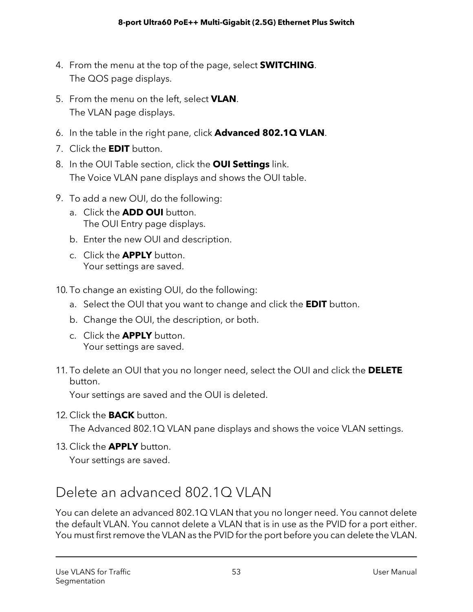- 4. From the menu at the top of the page, select **SWITCHING**. The QOS page displays.
- 5. From the menu on the left, select **VLAN**. The VLAN page displays.
- 6. In the table in the right pane, click **Advanced 802.1Q VLAN**.
- 7. Click the **EDIT** button.
- 8. In the OUI Table section, click the **OUI Settings** link. The Voice VLAN pane displays and shows the OUI table.
- 9. To add a new OUI, do the following:
	- a. Click the **ADD OUI** button. The OUI Entry page displays.
	- b. Enter the new OUI and description.
	- c. Click the **APPLY** button. Your settings are saved.

10. To change an existing OUI, do the following:

- a. Select the OUI that you want to change and click the **EDIT** button.
- b. Change the OUI, the description, or both.
- c. Click the **APPLY** button. Your settings are saved.
- 11. To delete an OUI that you no longer need, select the OUI and click the **DELETE** button.

Your settings are saved and the OUI is deleted.

12. Click the **BACK** button.

The Advanced 802.1Q VLAN pane displays and shows the voice VLAN settings.

<span id="page-52-0"></span>13. Click the **APPLY** button.

Your settings are saved.

### Delete an advanced 802.1Q VLAN

You can delete an advanced 802.1Q VLAN that you no longer need. You cannot delete the default VLAN. You cannot delete a VLAN that is in use as the PVID for a port either. You must first remove the VLAN as the PVID for the port before you can delete the VLAN.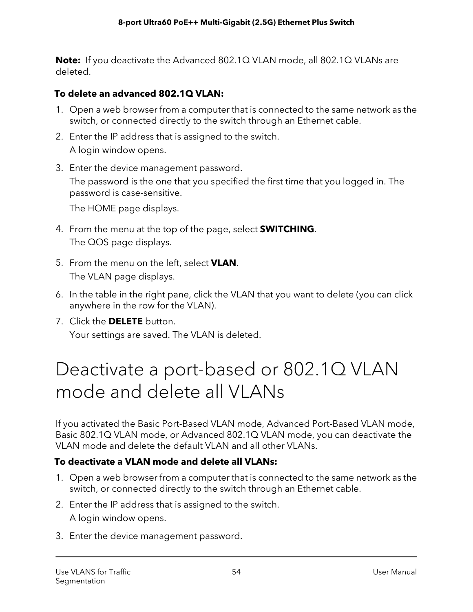**Note:** If you deactivate the Advanced 802.1Q VLAN mode, all 802.1Q VLANs are deleted.

#### **To delete an advanced 802.1Q VLAN:**

- 1. Open a web browser from a computer that is connected to the same network as the switch, or connected directly to the switch through an Ethernet cable.
- 2. Enter the IP address that is assigned to the switch. A login window opens.
- 3. Enter the device management password.

The password is the one that you specified the first time that you logged in. The password is case-sensitive.

The HOME page displays.

- 4. From the menu at the top of the page, select **SWITCHING**. The QOS page displays.
- 5. From the menu on the left, select **VLAN**. The VLAN page displays.
- 6. In the table in the right pane, click the VLAN that you want to delete (you can click anywhere in the row for the VLAN).
- 7. Click the **DELETE** button. Your settings are saved. The VLAN is deleted.

# Deactivate a port-based or 802.1Q VLAN mode and delete all VLANs

If you activated the Basic Port-Based VLAN mode, Advanced Port-Based VLAN mode, Basic 802.1Q VLAN mode, or Advanced 802.1Q VLAN mode, you can deactivate the VLAN mode and delete the default VLAN and all other VLANs.

#### **To deactivate a VLAN mode and delete all VLANs:**

- 1. Open a web browser from a computer that is connected to the same network as the switch, or connected directly to the switch through an Ethernet cable.
- 2. Enter the IP address that is assigned to the switch. A login window opens.
- 3. Enter the device management password.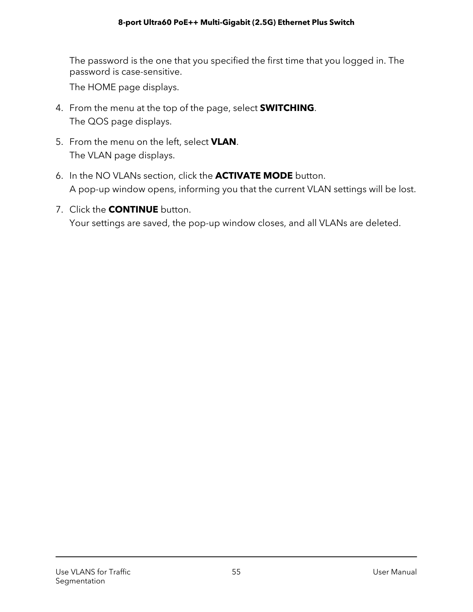The password is the one that you specified the first time that you logged in. The password is case-sensitive.

The HOME page displays.

- 4. From the menu at the top of the page, select **SWITCHING**. The QOS page displays.
- 5. From the menu on the left, select **VLAN**. The VLAN page displays.
- 6. In the NO VLANs section, click the **ACTIVATE MODE** button. A pop-up window opens, informing you that the current VLAN settings will be lost.
- 7. Click the **CONTINUE** button. Your settings are saved, the pop-up window closes, and all VLANs are deleted.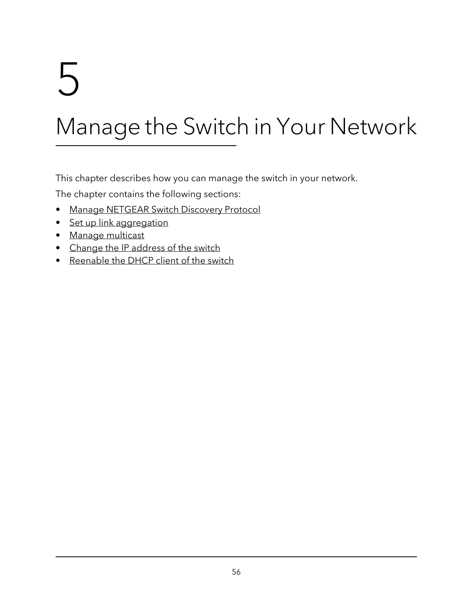# 5 Manage the Switch in Your Network

This chapter describes how you can manage the switch in your network.

The chapter contains the following sections:

- Manage [NETGEAR](#page-56-0) Switch Discovery Protocol
- Set up link [aggregation](#page-56-1)
- Manage [multicast](#page-61-0)
- Change the IP [address](#page-65-0) of the switch
- [Reenable](#page-66-0) the DHCP client of the switch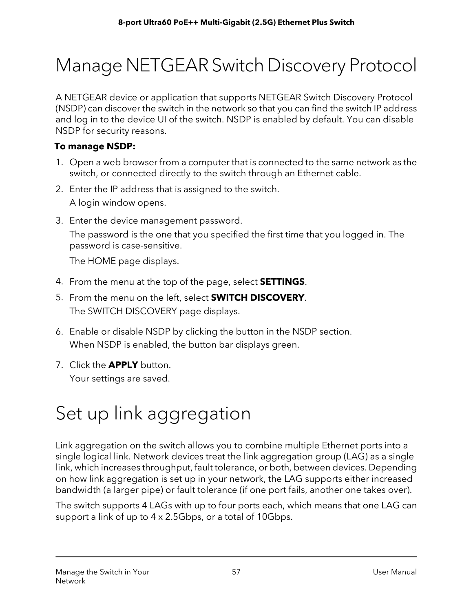# <span id="page-56-0"></span>Manage NETGEAR Switch Discovery Protocol

A NETGEAR device or application that supports NETGEAR Switch Discovery Protocol (NSDP) can discover the switch in the network so that you can find the switch IP address and log in to the device UI of the switch. NSDP is enabled by default. You can disable NSDP for security reasons.

#### **To manage NSDP:**

- 1. Open a web browser from a computer that is connected to the same network as the switch, or connected directly to the switch through an Ethernet cable.
- 2. Enter the IP address that is assigned to the switch. A login window opens.
- 3. Enter the device management password.

The password is the one that you specified the first time that you logged in. The password is case-sensitive.

The HOME page displays.

- 4. From the menu at the top of the page, select **SETTINGS**.
- 5. From the menu on the left, select **SWITCH DISCOVERY**. The SWITCH DISCOVERY page displays.
- 6. Enable or disable NSDP by clicking the button in the NSDP section. When NSDP is enabled, the button bar displays green.
- <span id="page-56-1"></span>7. Click the **APPLY** button. Your settings are saved.

# Set up link aggregation

Link aggregation on the switch allows you to combine multiple Ethernet ports into a single logical link. Network devices treat the link aggregation group (LAG) as a single link, which increases throughput, fault tolerance, or both, between devices. Depending on how link aggregation is set up in your network, the LAG supports either increased bandwidth (a larger pipe) or fault tolerance (if one port fails, another one takes over).

The switch supports 4 LAGs with up to four ports each, which means that one LAG can support a link of up to 4 x 2.5Gbps, or a total of 10Gbps.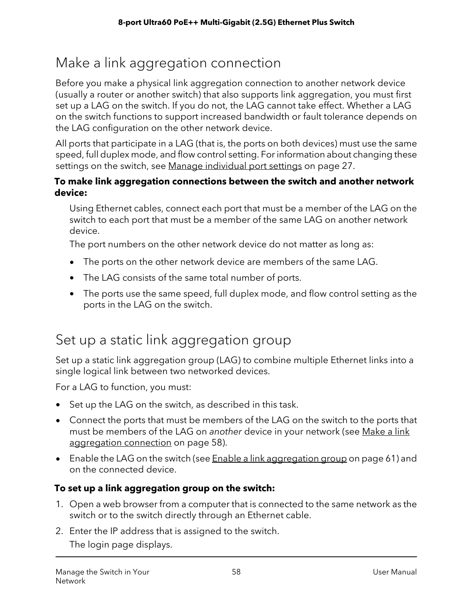# <span id="page-57-1"></span>Make a link aggregation connection

Before you make a physical link aggregation connection to another network device (usually a router or another switch) that also supports link aggregation, you must first set up a LAG on the switch. If you do not, the LAG cannot take effect. Whether a LAG on the switch functions to support increased bandwidth or fault tolerance depends on the LAG configuration on the other network device.

All ports that participate in a LAG (that is, the ports on both devices) must use the same speed, full duplex mode, and flow control setting. For information about changing these settings on the switch, see Manage [individual](#page-26-0) port settings on page 27.

#### **To make link aggregation connections between the switch and another network device:**

Using Ethernet cables, connect each port that must be a member of the LAG on the switch to each port that must be a member of the same LAG on another network device.

The port numbers on the other network device do not matter as long as:

- The ports on the other network device are members of the same LAG.
- The LAG consists of the same total number of ports.
- <span id="page-57-0"></span>• The ports use the same speed, full duplex mode, and flow control setting as the ports in the LAG on the switch.

### Set up a static link aggregation group

Set up a static link aggregation group (LAG) to combine multiple Ethernet links into a single logical link between two networked devices.

For a LAG to function, you must:

- Set up the LAG on the switch, as described in this task.
- Connect the ports that must be members of the LAG on the switch to the ports that must be members of the LAG on another device in your network (see [Make](#page-57-1) a link [aggregation](#page-57-1) connection on page 58).
- Enable the LAG on the switch (see Enable a link [aggregation](#page-60-0) group on page 61) and on the connected device.

#### **To set up a link aggregation group on the switch:**

- 1. Open a web browser from a computer that is connected to the same network as the switch or to the switch directly through an Ethernet cable.
- 2. Enter the IP address that is assigned to the switch. The login page displays.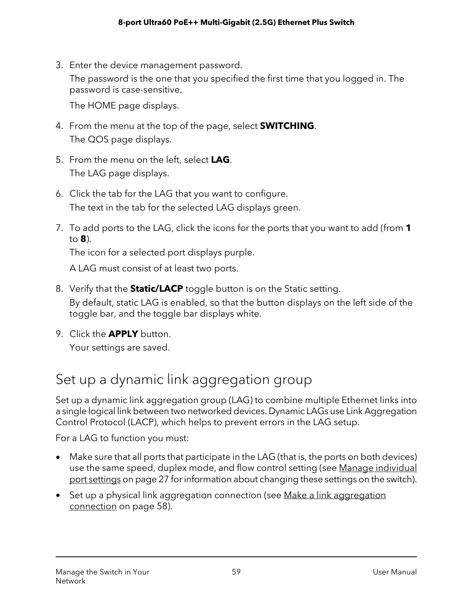3. Enter the device management password. The password is the one that you specified the first time that you logged in. The password is case-sensitive.

The HOME page displays.

- 4. From the menu at the top of the page, select **SWITCHING**. The QOS page displays.
- 5. From the menu on the left, select **LAG**. The LAG page displays.
- 6. Click the tab for the LAG that you want to configure. The text in the tab for the selected LAG displays green.
- 7. To add ports to the LAG, click the icons for the ports that you want to add (from **1** to **8**).

The icon for a selected port displays purple.

A LAG must consist of at least two ports.

- 8. Verify that the **Static/LACP** toggle button is on the Static setting. By default, static LAG is enabled, so that the button displays on the left side of the toggle bar, and the toggle bar displays white.
- <span id="page-58-0"></span>9. Click the **APPLY** button. Your settings are saved.

# Set up a dynamic link aggregation group

Set up a dynamic link aggregation group (LAG) to combine multiple Ethernet links into a single logical link between two networked devices. Dynamic LAGs use Link Aggregation Control Protocol (LACP), which helps to prevent errors in the LAG setup.

For a LAG to function you must:

- Make sure that all ports that participate in the LAG (that is, the ports on both devices) use the same speed, duplex mode, and flow control setting (see Manage [individual](#page-26-0) port [settings](#page-26-0) on page 27 forinformation about changing these settings on the switch).
- Set up a physical link [aggregation](#page-57-1) connection (see Make a link aggregation [connection](#page-57-1) on page 58).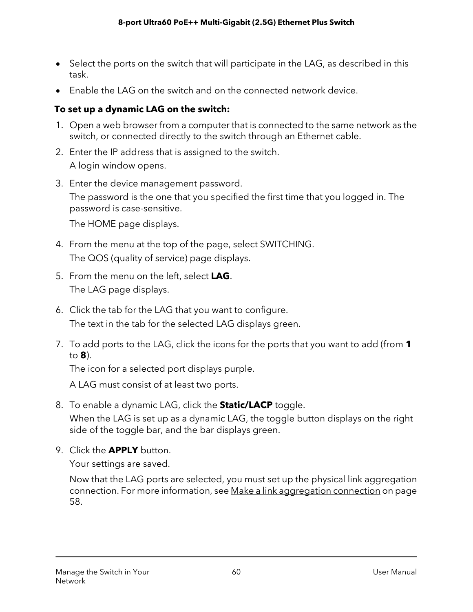- Select the ports on the switch that will participate in the LAG, as described in this task.
- Enable the LAG on the switch and on the connected network device.

#### **To set up a dynamic LAG on the switch:**

- 1. Open a web browser from a computer that is connected to the same network as the switch, or connected directly to the switch through an Ethernet cable.
- 2. Enter the IP address that is assigned to the switch. A login window opens.
- 3. Enter the device management password.

The password is the one that you specified the first time that you logged in. The password is case-sensitive.

The HOME page displays.

- 4. From the menu at the top of the page, select SWITCHING. The QOS (quality of service) page displays.
- 5. From the menu on the left, select **LAG**. The LAG page displays.
- 6. Click the tab for the LAG that you want to configure. The text in the tab for the selected LAG displays green.
- 7. To add ports to the LAG, click the icons for the ports that you want to add (from **1** to **8**).

The icon for a selected port displays purple.

A LAG must consist of at least two ports.

8. To enable a dynamic LAG, click the **Static/LACP** toggle.

When the LAG is set up as a dynamic LAG, the toggle button displays on the right side of the toggle bar, and the bar displays green.

9. Click the **APPLY** button.

Your settings are saved.

Now that the LAG ports are selected, you must set up the physical link aggregation connection. For more information, see Make a link [aggregation](#page-57-1) connection on page 58.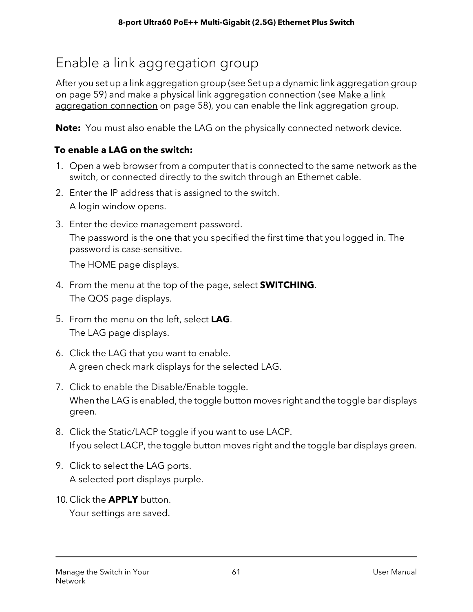# <span id="page-60-0"></span>Enable a link aggregation group

After you set up a link aggregation group (see Set up a dynamic link [aggregation](#page-58-0) group on page 59) and make a physical link aggregation connection (see [Make](#page-57-1) a link [aggregation](#page-57-1) connection on page 58), you can enable the link aggregation group.

**Note:** You must also enable the LAG on the physically connected network device.

#### **To enable a LAG on the switch:**

- 1. Open a web browser from a computer that is connected to the same network as the switch, or connected directly to the switch through an Ethernet cable.
- 2. Enter the IP address that is assigned to the switch. A login window opens.
- 3. Enter the device management password. The password is the one that you specified the first time that you logged in. The password is case-sensitive.

The HOME page displays.

- 4. From the menu at the top of the page, select **SWITCHING**. The QOS page displays.
- 5. From the menu on the left, select **LAG**. The LAG page displays.
- 6. Click the LAG that you want to enable. A green check mark displays for the selected LAG.
- 7. Click to enable the Disable/Enable toggle. When the LAG is enabled, the toggle button moves right and the toggle bar displays green.
- 8. Click the Static/LACP toggle if you want to use LACP. If you select LACP, the toggle button moves right and the toggle bar displays green.
- 9. Click to select the LAG ports. A selected port displays purple.
- 10. Click the **APPLY** button.

Your settings are saved.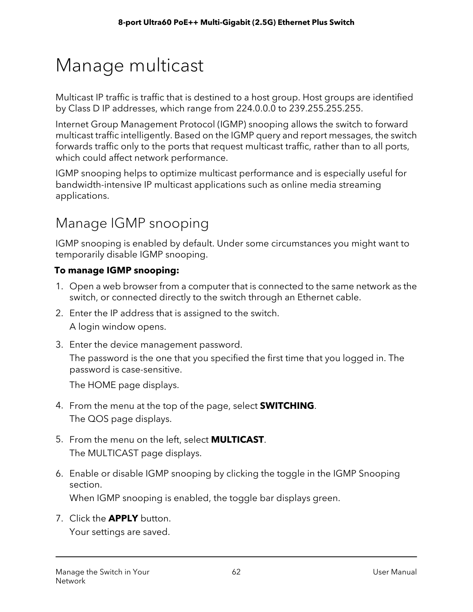# <span id="page-61-0"></span>Manage multicast

Multicast IP traffic is traffic that is destined to a host group. Host groups are identified by Class D IP addresses, which range from 224.0.0.0 to 239.255.255.255.

Internet Group Management Protocol (IGMP) snooping allows the switch to forward multicast traffic intelligently. Based on the IGMP query and report messages, the switch forwards traffic only to the ports that request multicast traffic, rather than to all ports, which could affect network performance.

IGMP snooping helps to optimize multicast performance and is especially useful for bandwidth-intensive IP multicast applications such as online media streaming applications.

# Manage IGMP snooping

IGMP snooping is enabled by default. Under some circumstances you might want to temporarily disable IGMP snooping.

#### **To manage IGMP snooping:**

- 1. Open a web browser from a computer that is connected to the same network as the switch, or connected directly to the switch through an Ethernet cable.
- 2. Enter the IP address that is assigned to the switch. A login window opens.
- 3. Enter the device management password.

The password is the one that you specified the first time that you logged in. The password is case-sensitive.

The HOME page displays.

- 4. From the menu at the top of the page, select **SWITCHING**. The QOS page displays.
- 5. From the menu on the left, select **MULTICAST**. The MULTICAST page displays.
- 6. Enable or disable IGMP snooping by clicking the toggle in the IGMP Snooping section. When IGMP snooping is enabled, the toggle bar displays green.

7. Click the **APPLY** button.

Your settings are saved.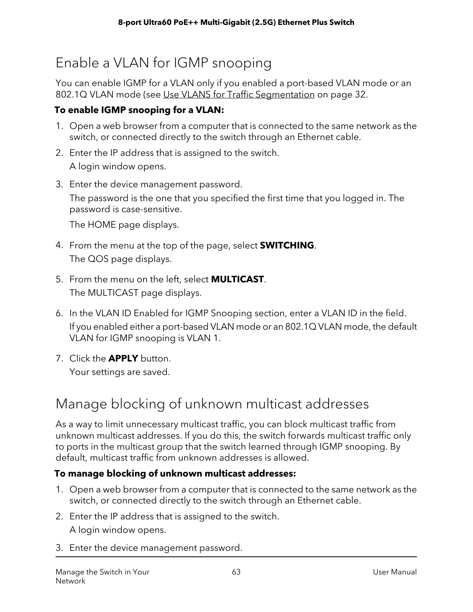# Enable a VLAN for IGMP snooping

You can enable IGMP for a VLAN only if you enabled a port-based VLAN mode or an 802.1Q VLAN mode (see Use VLANS for Traffic [Segmentation](#page-31-0) on page 32.

#### **To enable IGMP snooping for a VLAN:**

- 1. Open a web browser from a computer that is connected to the same network as the switch, or connected directly to the switch through an Ethernet cable.
- 2. Enter the IP address that is assigned to the switch. A login window opens.
- 3. Enter the device management password. The password is the one that you specified the first time that you logged in. The password is case-sensitive.

The HOME page displays.

- 4. From the menu at the top of the page, select **SWITCHING**. The QOS page displays.
- 5. From the menu on the left, select **MULTICAST**. The MULTICAST page displays.
- 6. In the VLAN ID Enabled for IGMP Snooping section, enter a VLAN ID in the field. If you enabled either a port-based VLAN mode or an 802.1Q VLAN mode, the default VLAN for IGMP snooping is VLAN 1.
- 7. Click the **APPLY** button. Your settings are saved.

# Manage blocking of unknown multicast addresses

As a way to limit unnecessary multicast traffic, you can block multicast traffic from unknown multicast addresses. If you do this, the switch forwards multicast traffic only to ports in the multicast group that the switch learned through IGMP snooping. By default, multicast traffic from unknown addresses is allowed.

#### **To manage blocking of unknown multicast addresses:**

- 1. Open a web browser from a computer that is connected to the same network as the switch, or connected directly to the switch through an Ethernet cable.
- 2. Enter the IP address that is assigned to the switch. A login window opens.
- 3. Enter the device management password.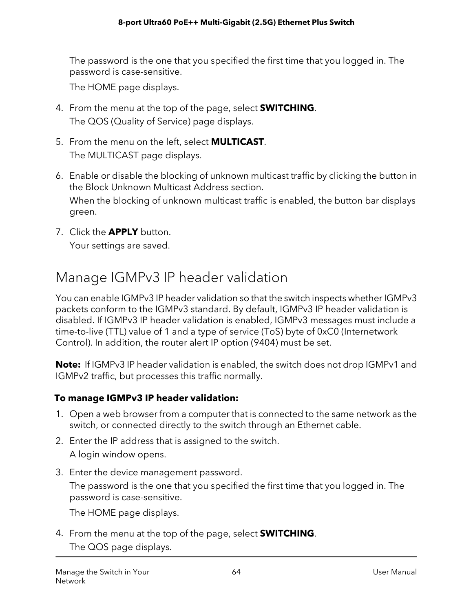The password is the one that you specified the first time that you logged in. The password is case-sensitive.

The HOME page displays.

- 4. From the menu at the top of the page, select **SWITCHING**. The QOS (Quality of Service) page displays.
- 5. From the menu on the left, select **MULTICAST**. The MULTICAST page displays.
- 6. Enable or disable the blocking of unknown multicast traffic by clicking the button in the Block Unknown Multicast Address section. When the blocking of unknown multicast traffic is enabled, the button bar displays green.
- 7. Click the **APPLY** button. Your settings are saved.

### Manage IGMPv3 IP header validation

You can enable IGMPv3 IP header validation so that the switch inspects whether IGMPv3 packets conform to the IGMPv3 standard. By default, IGMPv3 IP header validation is disabled. If IGMPv3 IP header validation is enabled, IGMPv3 messages must include a time-to-live (TTL) value of 1 and a type of service (ToS) byte of 0xC0 (Internetwork Control). In addition, the router alert IP option (9404) must be set.

**Note:** If IGMPv3 IP header validation is enabled, the switch does not drop IGMPv1 and IGMPv2 traffic, but processes this traffic normally.

#### **To manage IGMPv3 IP header validation:**

- 1. Open a web browser from a computer that is connected to the same network as the switch, or connected directly to the switch through an Ethernet cable.
- 2. Enter the IP address that is assigned to the switch.

A login window opens.

3. Enter the device management password.

The password is the one that you specified the first time that you logged in. The password is case-sensitive.

The HOME page displays.

4. From the menu at the top of the page, select **SWITCHING**. The QOS page displays.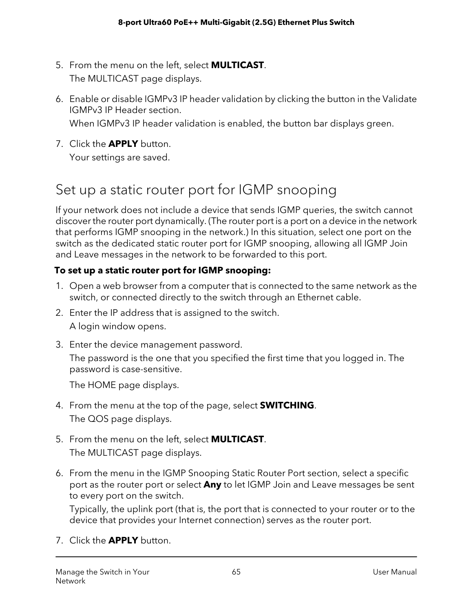- 5. From the menu on the left, select **MULTICAST**. The MULTICAST page displays.
- 6. Enable or disable IGMPv3 IP header validation by clicking the button in the Validate IGMPv3 IP Header section.

When IGMPv3 IP header validation is enabled, the button bar displays green.

7. Click the **APPLY** button.

Your settings are saved.

### Set up a static router port for IGMP snooping

If your network does not include a device that sends IGMP queries, the switch cannot discover the router port dynamically. (The router port is a port on a device in the network that performs IGMP snooping in the network.) In this situation, select one port on the switch as the dedicated static router port for IGMP snooping, allowing all IGMP Join and Leave messages in the network to be forwarded to this port.

#### **To set up a static router port for IGMP snooping:**

- 1. Open a web browser from a computer that is connected to the same network as the switch, or connected directly to the switch through an Ethernet cable.
- 2. Enter the IP address that is assigned to the switch. A login window opens.
- 3. Enter the device management password. The password is the one that you specified the first time that you logged in. The password is case-sensitive.

The HOME page displays.

- 4. From the menu at the top of the page, select **SWITCHING**. The QOS page displays.
- 5. From the menu on the left, select **MULTICAST**. The MULTICAST page displays.
- 6. From the menu in the IGMP Snooping Static Router Port section, select a specific port as the router port or select **Any** to let IGMP Join and Leave messages be sent to every port on the switch.

Typically, the uplink port (that is, the port that is connected to your router or to the device that provides your Internet connection) serves as the router port.

7. Click the **APPLY** button.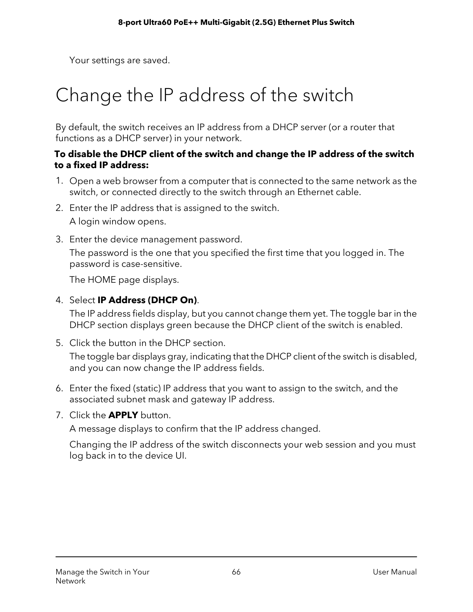Your settings are saved.

# <span id="page-65-0"></span>Change the IP address of the switch

By default, the switch receives an IP address from a DHCP server (or a router that functions as a DHCP server) in your network.

#### **To disable the DHCP client of the switch and change the IP address of the switch to a fixed IP address:**

- 1. Open a web browser from a computer that is connected to the same network as the switch, or connected directly to the switch through an Ethernet cable.
- 2. Enter the IP address that is assigned to the switch. A login window opens.
- 3. Enter the device management password.

The password is the one that you specified the first time that you logged in. The password is case-sensitive.

The HOME page displays.

4. Select **IP Address (DHCP On)**.

The IP address fields display, but you cannot change them yet. The toggle bar in the DHCP section displays green because the DHCP client of the switch is enabled.

5. Click the button in the DHCP section.

The toggle bar displays gray, indicating that the DHCP client of the switch is disabled, and you can now change the IP address fields.

- 6. Enter the fixed (static) IP address that you want to assign to the switch, and the associated subnet mask and gateway IP address.
- 7. Click the **APPLY** button.

A message displays to confirm that the IP address changed.

Changing the IP address of the switch disconnects your web session and you must log back in to the device UI.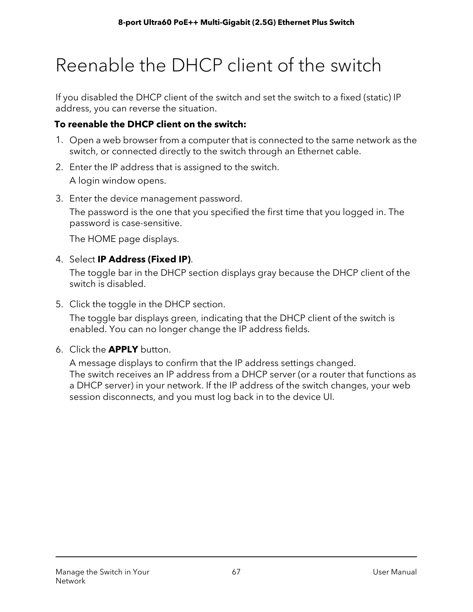# <span id="page-66-0"></span>Reenable the DHCP client of the switch

If you disabled the DHCP client of the switch and set the switch to a fixed (static) IP address, you can reverse the situation.

#### **To reenable the DHCP client on the switch:**

- 1. Open a web browser from a computer that is connected to the same network as the switch, or connected directly to the switch through an Ethernet cable.
- 2. Enter the IP address that is assigned to the switch. A login window opens.
- 3. Enter the device management password.

The password is the one that you specified the first time that you logged in. The password is case-sensitive.

The HOME page displays.

#### 4. Select **IP Address (Fixed IP)**.

The toggle bar in the DHCP section displays gray because the DHCP client of the switch is disabled.

5. Click the toggle in the DHCP section.

The toggle bar displays green, indicating that the DHCP client of the switch is enabled. You can no longer change the IP address fields.

6. Click the **APPLY** button.

A message displays to confirm that the IP address settings changed. The switch receives an IP address from a DHCP server (or a router that functions as a DHCP server) in your network. If the IP address of the switch changes, your web session disconnects, and you must log back in to the device UI.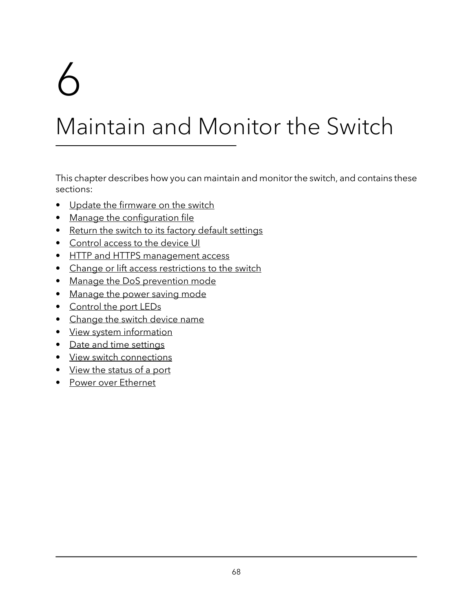# 6

# Maintain and Monitor the Switch

This chapter describes how you can maintain and monitor the switch, and contains these sections:

- Update the [firmware](#page-68-0) on the switch
- Manage the [configuration](#page-69-0) file
- Return the switch to its factory default [settings](#page-71-0)
- [Control](#page-72-0) access to the device UI
- HTTP and HTTPS [management](#page-73-0) access
- Change or lift access [restrictions](#page-79-0) to the switch
- Manage the DoS [prevention](#page-80-0) mode
- [Manage](#page-81-0) the power saving mode
- [Control](#page-82-0) the port LEDs
- [Change](#page-82-1) the switch device name
- View system [information](#page-83-0)
- Date and time [settings](#page-83-1)
- View switch [connections](#page-90-0)
- View the [status](#page-90-1) of a port
- Power over [Ethernet](#page-91-0)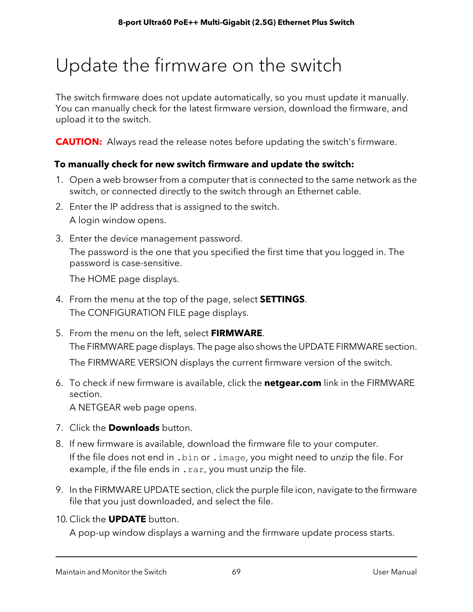# <span id="page-68-0"></span>Update the firmware on the switch

The switch firmware does not update automatically, so you must update it manually. You can manually check for the latest firmware version, download the firmware, and upload it to the switch.

**CAUTION:** Always read the release notes before updating the switch's firmware.

#### **To manually check for new switch firmware and update the switch:**

- 1. Open a web browser from a computer that is connected to the same network as the switch, or connected directly to the switch through an Ethernet cable.
- 2. Enter the IP address that is assigned to the switch. A login window opens.
- 3. Enter the device management password. The password is the one that you specified the first time that you logged in. The password is case-sensitive.

The HOME page displays.

- 4. From the menu at the top of the page, select **SETTINGS**. The CONFIGURATION FILE page displays.
- 5. From the menu on the left, select **FIRMWARE**. The FIRMWARE page displays. The page also shows the UPDATE FIRMWARE section. The FIRMWARE VERSION displays the current firmware version of the switch.
- 6. To check if new firmware is available, click the **netgear.com** link in the FIRMWARE section.

A NETGEAR web page opens.

- 7. Click the **Downloads** button.
- 8. If new firmware is available, download the firmware file to your computer. If the file does not end in .bin or .image, you might need to unzip the file. For example, if the file ends in . rar, you must unzip the file.
- 9. In the FIRMWARE UPDATE section, click the purple file icon, navigate to the firmware file that you just downloaded, and select the file.
- 10. Click the **UPDATE** button.

A pop-up window displays a warning and the firmware update process starts.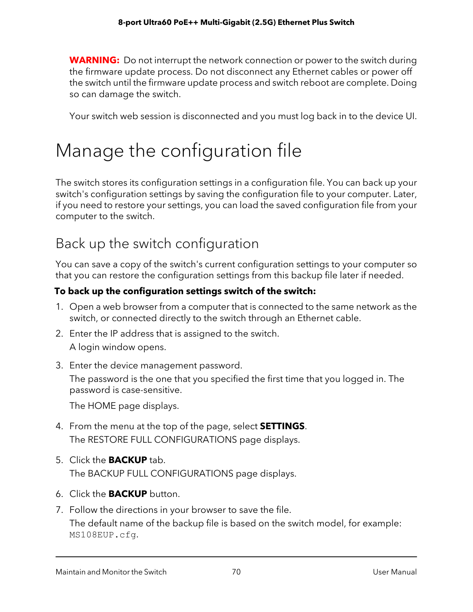**WARNING:** Do not interrupt the network connection or power to the switch during the firmware update process. Do not disconnect any Ethernet cables or power off the switch until the firmware update process and switch reboot are complete. Doing so can damage the switch.

Your switch web session is disconnected and you must log back in to the device UI.

# <span id="page-69-0"></span>Manage the configuration file

The switch stores its configuration settings in a configuration file. You can back up your switch's configuration settings by saving the configuration file to your computer. Later, if you need to restore your settings, you can load the saved configuration file from your computer to the switch.

### Back up the switch configuration

You can save a copy of the switch's current configuration settings to your computer so that you can restore the configuration settings from this backup file later if needed.

#### **To back up the configuration settings switch of the switch:**

- 1. Open a web browser from a computer that is connected to the same network as the switch, or connected directly to the switch through an Ethernet cable.
- 2. Enter the IP address that is assigned to the switch. A login window opens.
- 3. Enter the device management password.

The password is the one that you specified the first time that you logged in. The password is case-sensitive.

The HOME page displays.

- 4. From the menu at the top of the page, select **SETTINGS**. The RESTORE FULL CONFIGURATIONS page displays.
- 5. Click the **BACKUP** tab. The BACKUP FULL CONFIGURATIONS page displays.
- 6. Click the **BACKUP** button.
- 7. Follow the directions in your browser to save the file. The default name of the backup file is based on the switch model, for example: MS108EUP.cfg.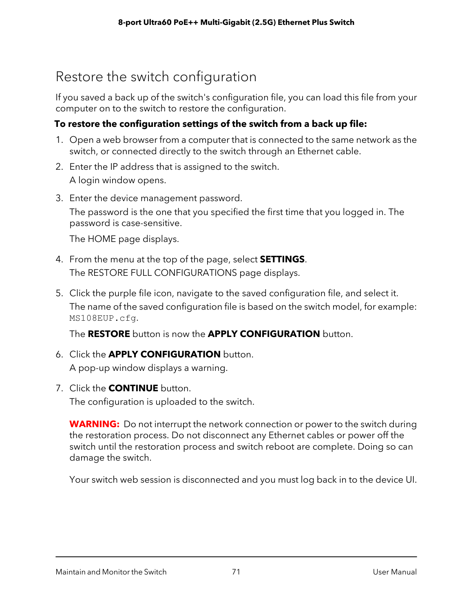# Restore the switch configuration

If you saved a back up of the switch's configuration file, you can load this file from your computer on to the switch to restore the configuration.

#### **To restore the configuration settings of the switch from a back up file:**

- 1. Open a web browser from a computer that is connected to the same network as the switch, or connected directly to the switch through an Ethernet cable.
- 2. Enter the IP address that is assigned to the switch.

A login window opens.

3. Enter the device management password.

The password is the one that you specified the first time that you logged in. The password is case-sensitive.

The HOME page displays.

- 4. From the menu at the top of the page, select **SETTINGS**. The RESTORE FULL CONFIGURATIONS page displays.
- 5. Click the purple file icon, navigate to the saved configuration file, and select it. The name of the saved configuration file is based on the switch model, for example: MS108EUP.cfg.

The **RESTORE** button is now the **APPLY CONFIGURATION** button.

- 6. Click the **APPLY CONFIGURATION** button. A pop-up window displays a warning.
- 7. Click the **CONTINUE** button.

The configuration is uploaded to the switch.

**WARNING:** Do not interrupt the network connection or power to the switch during the restoration process. Do not disconnect any Ethernet cables or power off the switch until the restoration process and switch reboot are complete. Doing so can damage the switch.

Your switch web session is disconnected and you must log back in to the device UI.

Maintain and Monitor the Switch 71 User Manual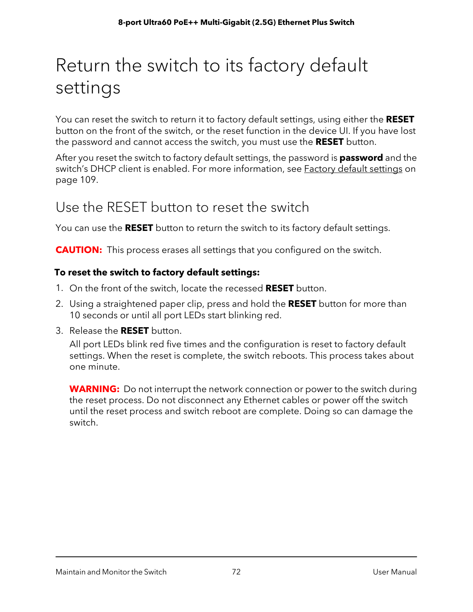# <span id="page-71-0"></span>Return the switch to its factory default settings

You can reset the switch to return it to factory default settings, using either the **RESET** button on the front of the switch, or the reset function in the device UI. If you have lost the password and cannot access the switch, you must use the **RESET** button.

After you reset the switch to factory default settings, the password is **password** and the switch's DHCP client is enabled. For more information, see **Factory default [settings](#page-108-0) on** page 109.

### Use the RESET button to reset the switch

You can use the **RESET** button to return the switch to its factory default settings.

**CAUTION:** This process erases all settings that you configured on the switch.

#### **To reset the switch to factory default settings:**

- 1. On the front of the switch, locate the recessed **RESET** button.
- 2. Using a straightened paper clip, press and hold the **RESET** button for more than 10 seconds or until all port LEDs start blinking red.
- 3. Release the **RESET** button.

All port LEDs blink red five times and the configuration is reset to factory default settings. When the reset is complete, the switch reboots. This process takes about one minute.

**WARNING:** Do not interrupt the network connection or power to the switch during the reset process. Do not disconnect any Ethernet cables or power off the switch until the reset process and switch reboot are complete. Doing so can damage the switch.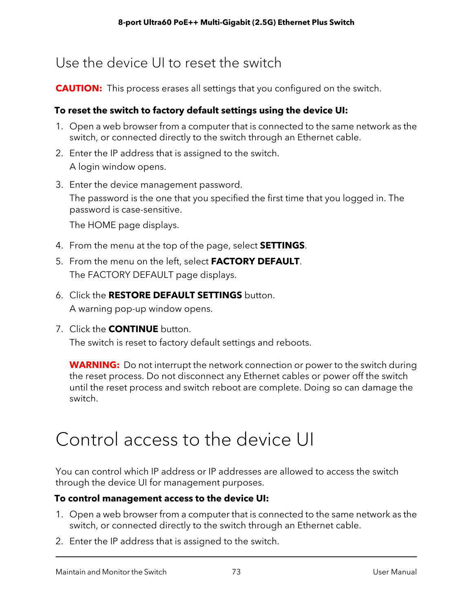### Use the device UI to reset the switch

**CAUTION:** This process erases all settings that you configured on the switch.

### **To reset the switch to factory default settings using the device UI:**

- 1. Open a web browser from a computer that is connected to the same network as the switch, or connected directly to the switch through an Ethernet cable.
- 2. Enter the IP address that is assigned to the switch. A login window opens.
- 3. Enter the device management password. The password is the one that you specified the first time that you logged in. The password is case-sensitive.

The HOME page displays.

- 4. From the menu at the top of the page, select **SETTINGS**.
- 5. From the menu on the left, select **FACTORY DEFAULT**. The FACTORY DEFAULT page displays.
- 6. Click the **RESTORE DEFAULT SETTINGS** button. A warning pop-up window opens.
- 7. Click the **CONTINUE** button.

The switch is reset to factory default settings and reboots.

**WARNING:** Do not interrupt the network connection or power to the switch during the reset process. Do not disconnect any Ethernet cables or power off the switch until the reset process and switch reboot are complete. Doing so can damage the switch.

# Control access to the device UI

You can control which IP address or IP addresses are allowed to access the switch through the device UI for management purposes.

#### **To control management access to the device UI:**

- 1. Open a web browser from a computer that is connected to the same network as the switch, or connected directly to the switch through an Ethernet cable.
- 2. Enter the IP address that is assigned to the switch.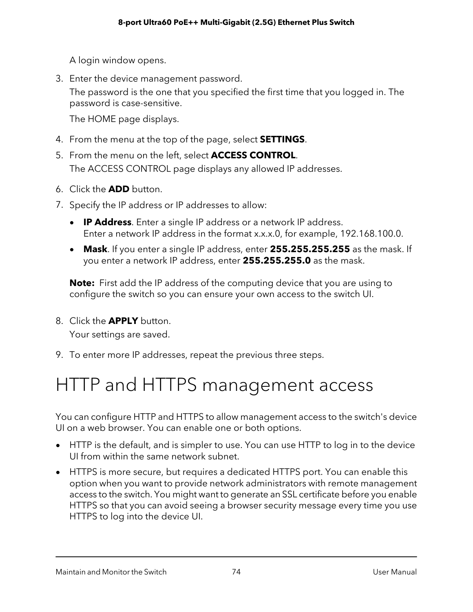A login window opens.

3. Enter the device management password.

The password is the one that you specified the first time that you logged in. The password is case-sensitive.

The HOME page displays.

- 4. From the menu at the top of the page, select **SETTINGS**.
- 5. From the menu on the left, select **ACCESS CONTROL**. The ACCESS CONTROL page displays any allowed IP addresses.
- 6. Click the **ADD** button.
- 7. Specify the IP address or IP addresses to allow:
	- **IP Address**. Enter a single IP address or a network IP address. Enter a network IP address in the format x.x.x.0, for example, 192.168.100.0.
	- **Mask**. If you enter a single IP address, enter **255.255.255.255** as the mask. If you enter a network IP address, enter **255.255.255.0** as the mask.

**Note:** First add the IP address of the computing device that you are using to configure the switch so you can ensure your own access to the switch UI.

- 8. Click the **APPLY** button. Your settings are saved.
- 9. To enter more IP addresses, repeat the previous three steps.

# HTTP and HTTPS management access

You can configure HTTP and HTTPS to allow management access to the switch's device UI on a web browser. You can enable one or both options.

- HTTP is the default, and is simpler to use. You can use HTTP to log in to the device UI from within the same network subnet.
- HTTPS is more secure, but requires a dedicated HTTPS port. You can enable this option when you want to provide network administrators with remote management access to the switch. You might want to generate an SSL certificate before you enable HTTPS so that you can avoid seeing a browser security message every time you use HTTPS to log into the device UI.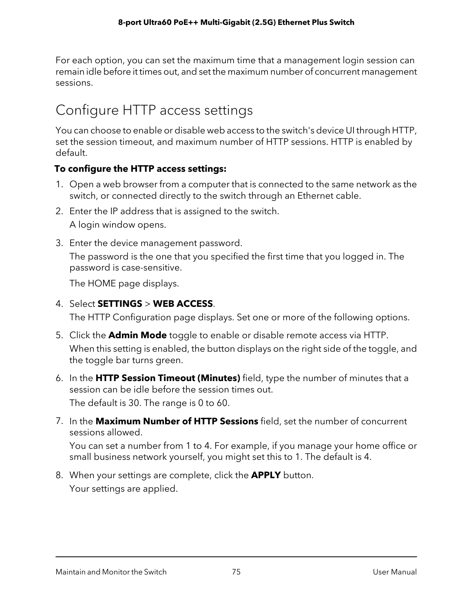For each option, you can set the maximum time that a management login session can remain idle before it times out, and set the maximum number of concurrent management sessions.

# Configure HTTP access settings

You can choose to enable or disable web access to the switch's device UI through HTTP, set the session timeout, and maximum number of HTTP sessions. HTTP is enabled by default.

#### **To configure the HTTP access settings:**

- 1. Open a web browser from a computer that is connected to the same network as the switch, or connected directly to the switch through an Ethernet cable.
- 2. Enter the IP address that is assigned to the switch. A login window opens.
- 3. Enter the device management password.

The password is the one that you specified the first time that you logged in. The password is case-sensitive.

The HOME page displays.

4. Select **SETTINGS** > **WEB ACCESS**.

The HTTP Configuration page displays. Set one or more of the following options.

- 5. Click the **Admin Mode** toggle to enable or disable remote access via HTTP. When this setting is enabled, the button displays on the right side of the toggle, and the toggle bar turns green.
- 6. In the **HTTP Session Timeout (Minutes)** field, type the number of minutes that a session can be idle before the session times out. The default is 30. The range is 0 to 60.
- 7. In the **Maximum Number of HTTP Sessions** field, set the number of concurrent sessions allowed.

You can set a number from 1 to 4. For example, if you manage your home office or small business network yourself, you might set this to 1. The default is 4.

8. When your settings are complete, click the **APPLY** button. Your settings are applied.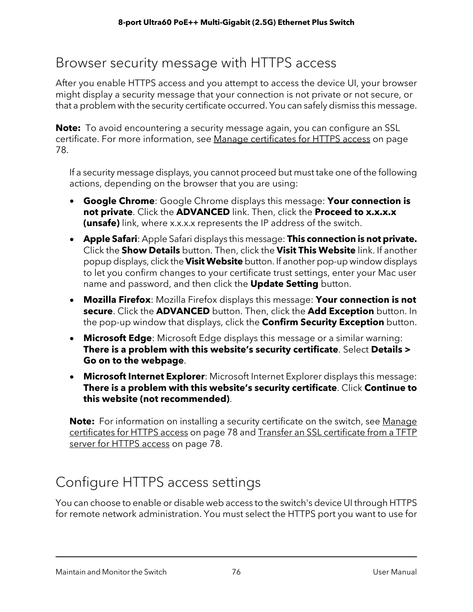### Browser security message with HTTPS access

After you enable HTTPS access and you attempt to access the device UI, your browser might display a security message that your connection is not private or not secure, or that a problem with the security certificate occurred. You can safely dismiss this message.

**Note:** To avoid encountering a security message again, you can configure an SSL certificate. For more information, see Manage [certificates](#page-77-0) for HTTPS access on page 78.

If a security message displays, you cannot proceed but must take one of the following actions, depending on the browser that you are using:

- **Google Chrome**: Google Chrome displays this message: **Your connection is not private**. Click the **ADVANCED** link. Then, click the **Proceed to x.x.x.x (unsafe)** link, where x.x.x.x represents the IP address of the switch.
- **Apple Safari**: Apple Safari displays this message: **This connection is not private.** Click the **Show Details** button. Then, click the **Visit This Website** link. If another popup displays, click the **Visit Website** button. If another pop-up window displays to let you confirm changes to your certificate trust settings, enter your Mac user name and password, and then click the **Update Setting** button.
- **Mozilla Firefox**: Mozilla Firefox displays this message: **Your connection is not secure**. Click the **ADVANCED** button. Then, click the **Add Exception** button. In the pop-up window that displays, click the **Confirm Security Exception** button.
- **Microsoft Edge**: Microsoft Edge displays this message or a similar warning: **There is a problem with this website's security certificate**. Select **Details > Go on to the webpage**.
- **Microsoft Internet Explorer**: Microsoft Internet Explorer displays this message: **There is a problem with this website's security certificate**. Click **Continue to this website (not recommended)**.

<span id="page-75-0"></span>**Note:** For information on installing a security certificate on the switch, see [Manage](#page-77-0) [certificates](#page-77-0) for HTTPS access on page 78 and Transfer an SSL [certificate](#page-77-1) from a TFTP server for [HTTPS](#page-77-1) access on page 78.

# Configure HTTPS access settings

You can choose to enable or disable web access to the switch's device UI through HTTPS for remote network administration. You must select the HTTPS port you want to use for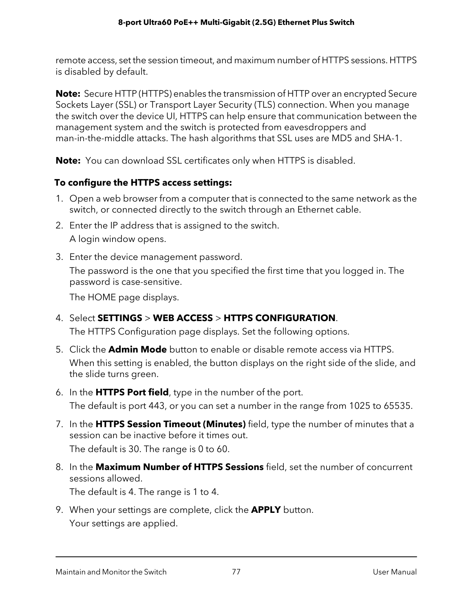remote access, set the session timeout, and maximum number of HTTPS sessions. HTTPS is disabled by default.

**Note:** Secure HTTP (HTTPS) enables the transmission of HTTP over an encrypted Secure Sockets Layer (SSL) or Transport Layer Security (TLS) connection. When you manage the switch over the device UI, HTTPS can help ensure that communication between the management system and the switch is protected from eavesdroppers and man-in-the-middle attacks. The hash algorithms that SSL uses are MD5 and SHA-1.

**Note:** You can download SSL certificates only when HTTPS is disabled.

### **To configure the HTTPS access settings:**

- 1. Open a web browser from a computer that is connected to the same network as the switch, or connected directly to the switch through an Ethernet cable.
- 2. Enter the IP address that is assigned to the switch. A login window opens.
- 3. Enter the device management password. The password is the one that you specified the first time that you logged in. The password is case-sensitive.

The HOME page displays.

- 4. Select **SETTINGS** > **WEB ACCESS** > **HTTPS CONFIGURATION**. The HTTPS Configuration page displays. Set the following options.
- 5. Click the **Admin Mode** button to enable or disable remote access via HTTPS. When this setting is enabled, the button displays on the right side of the slide, and the slide turns green.
- 6. In the **HTTPS Port field**, type in the number of the port. The default is port 443, or you can set a number in the range from 1025 to 65535.
- 7. In the **HTTPS Session Timeout (Minutes)** field, type the number of minutes that a session can be inactive before it times out. The default is 30. The range is 0 to 60.
- 8. In the **Maximum Number of HTTPS Sessions** field, set the number of concurrent sessions allowed.

The default is 4. The range is 1 to 4.

9. When your settings are complete, click the **APPLY** button. Your settings are applied.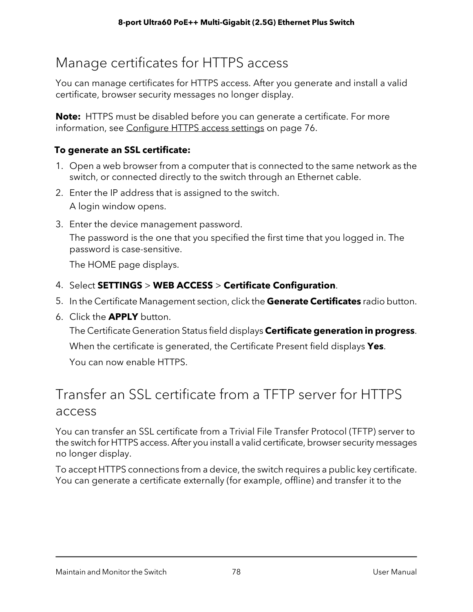## <span id="page-77-0"></span>Manage certificates for HTTPS access

You can manage certificates for HTTPS access. After you generate and install a valid certificate, browser security messages no longer display.

**Note:** HTTPS must be disabled before you can generate a certificate. For more information, see [Configure](#page-75-0) HTTPS access settings on page 76.

### **To generate an SSL certificate:**

- 1. Open a web browser from a computer that is connected to the same network as the switch, or connected directly to the switch through an Ethernet cable.
- 2. Enter the IP address that is assigned to the switch. A login window opens.
- 3. Enter the device management password. The password is the one that you specified the first time that you logged in. The password is case-sensitive.

The HOME page displays.

- 4. Select **SETTINGS** > **WEB ACCESS** > **Certificate Configuration**.
- 5. In the Certificate Management section, click the **Generate Certificates** radio button.
- 6. Click the **APPLY** button.

<span id="page-77-1"></span>The Certificate Generation Status field displays **Certificate generation in progress**. When the certificate is generated, the Certificate Present field displays **Yes**. You can now enable HTTPS.

### Transfer an SSL certificate from a TFTP server for HTTPS access

You can transfer an SSL certificate from a Trivial File Transfer Protocol (TFTP) server to the switch for HTTPS access. After you install a valid certificate, browser security messages no longer display.

To accept HTTPS connections from a device, the switch requires a public key certificate. You can generate a certificate externally (for example, offline) and transfer it to the

Maintain and Monitor the Switch 78 User Manual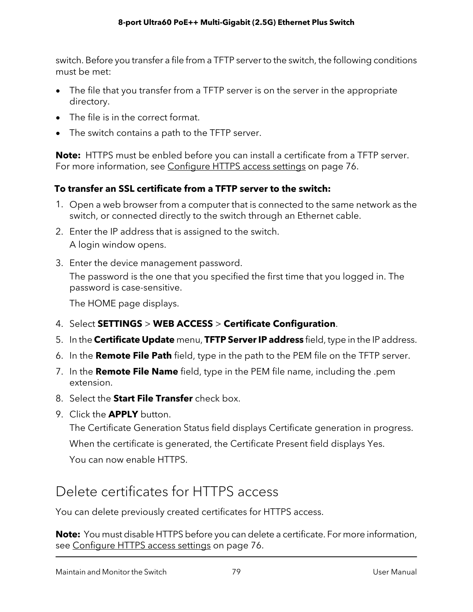switch. Before you transfer a file from a TFTP serverto the switch, the following conditions must be met:

- The file that you transfer from a TFTP server is on the server in the appropriate directory.
- The file is in the correct format.
- The switch contains a path to the TFTP server.

**Note:** HTTPS must be enbled before you can install a certificate from a TFTP server. For more information, see [Configure](#page-75-0) HTTPS access settings on page 76.

### **To transfer an SSL certificate from a TFTP server to the switch:**

- 1. Open a web browser from a computer that is connected to the same network as the switch, or connected directly to the switch through an Ethernet cable.
- 2. Enter the IP address that is assigned to the switch. A login window opens.
- 3. Enter the device management password.

The password is the one that you specified the first time that you logged in. The password is case-sensitive.

The HOME page displays.

- 4. Select **SETTINGS** > **WEB ACCESS** > **Certificate Configuration**.
- 5. In the **Certificate Update** menu, **TFTP ServerIP address** field, type in the IP address.
- 6. In the **Remote File Path** field, type in the path to the PEM file on the TFTP server.
- 7. In the **Remote File Name** field, type in the PEM file name, including the .pem extension.
- 8. Select the **Start File Transfer** check box.
- 9. Click the **APPLY** button.

The Certificate Generation Status field displays Certificate generation in progress. When the certificate is generated, the Certificate Present field displays Yes. You can now enable HTTPS.

### Delete certificates for HTTPS access

You can delete previously created certificates for HTTPS access.

**Note:** You must disable HTTPS before you can delete a certificate. For more information, see [Configure](#page-75-0) HTTPS access settings on page 76.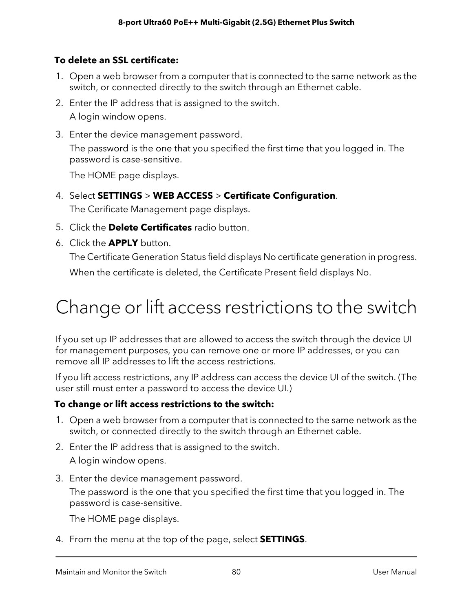### **To delete an SSL certificate:**

- 1. Open a web browser from a computer that is connected to the same network as the switch, or connected directly to the switch through an Ethernet cable.
- 2. Enter the IP address that is assigned to the switch. A login window opens.
- 3. Enter the device management password. The password is the one that you specified the first time that you logged in. The password is case-sensitive.

The HOME page displays.

- 4. Select **SETTINGS** > **WEB ACCESS** > **Certificate Configuration**. The Cerificate Management page displays.
- 5. Click the **Delete Certificates** radio button.
- 6. Click the **APPLY** button.

The Certificate Generation Status field displays No certificate generation in progress.

When the certificate is deleted, the Certificate Present field displays No.

# Change or lift access restrictions to the switch

If you set up IP addresses that are allowed to access the switch through the device UI for management purposes, you can remove one or more IP addresses, or you can remove all IP addresses to lift the access restrictions.

If you lift access restrictions, any IP address can access the device UI of the switch. (The user still must enter a password to access the device UI.)

### **To change or lift access restrictions to the switch:**

- 1. Open a web browser from a computer that is connected to the same network as the switch, or connected directly to the switch through an Ethernet cable.
- 2. Enter the IP address that is assigned to the switch. A login window opens.
- 3. Enter the device management password.

The password is the one that you specified the first time that you logged in. The password is case-sensitive.

The HOME page displays.

4. From the menu at the top of the page, select **SETTINGS**.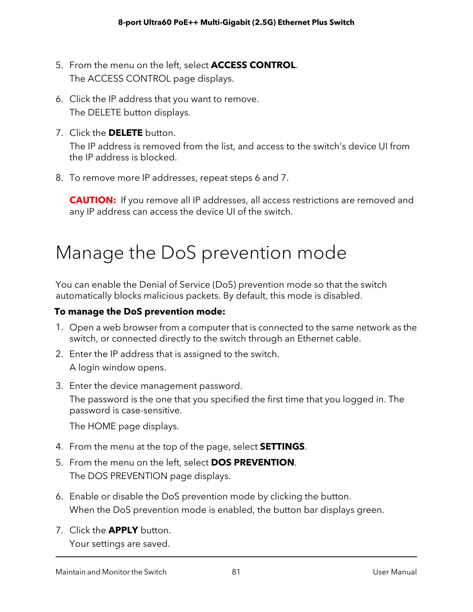- 5. From the menu on the left, select **ACCESS CONTROL**. The ACCESS CONTROL page displays.
- 6. Click the IP address that you want to remove. The DELETE button displays.
- 7. Click the **DELETE** button.

The IP address is removed from the list, and access to the switch's device UI from the IP address is blocked.

8. To remove more IP addresses, repeat steps 6 and 7.

**CAUTION:** If you remove all IP addresses, all access restrictions are removed and any IP address can access the device UI of the switch.

# Manage the DoS prevention mode

You can enable the Denial of Service (DoS) prevention mode so that the switch automatically blocks malicious packets. By default, this mode is disabled.

### **To manage the DoS prevention mode:**

- 1. Open a web browser from a computer that is connected to the same network as the switch, or connected directly to the switch through an Ethernet cable.
- 2. Enter the IP address that is assigned to the switch. A login window opens.
- 3. Enter the device management password. The password is the one that you specified the first time that you logged in. The password is case-sensitive.

The HOME page displays.

- 4. From the menu at the top of the page, select **SETTINGS**.
- 5. From the menu on the left, select **DOS PREVENTION**. The DOS PREVENTION page displays.
- 6. Enable or disable the DoS prevention mode by clicking the button. When the DoS prevention mode is enabled, the button bar displays green.
- 7. Click the **APPLY** button.

Your settings are saved.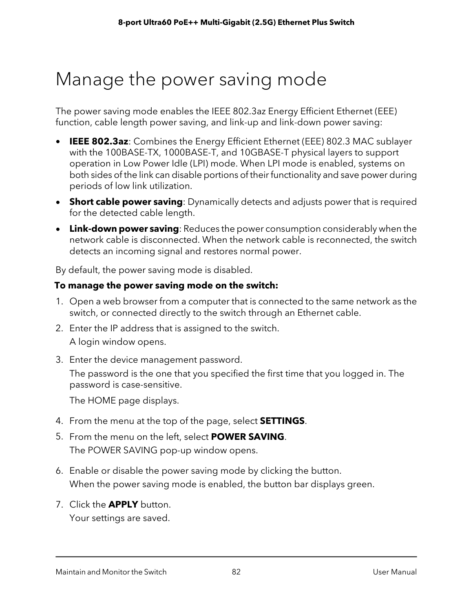# Manage the power saving mode

The power saving mode enables the IEEE 802.3az Energy Efficient Ethernet (EEE) function, cable length power saving, and link-up and link-down power saving:

- **IEEE 802.3az**: Combines the Energy Efficient Ethernet (EEE) 802.3 MAC sublayer with the 100BASE-TX, 1000BASE-T, and 10GBASE-T physical layers to support operation in Low Power Idle (LPI) mode. When LPI mode is enabled, systems on both sides of the link can disable portions of their functionality and save power during periods of low link utilization.
- **Short cable power saving**: Dynamically detects and adjusts power that is required for the detected cable length.
- **Link-down power saving**: Reduces the power consumption considerably when the network cable is disconnected. When the network cable is reconnected, the switch detects an incoming signal and restores normal power.

By default, the power saving mode is disabled.

#### **To manage the power saving mode on the switch:**

- 1. Open a web browser from a computer that is connected to the same network as the switch, or connected directly to the switch through an Ethernet cable.
- 2. Enter the IP address that is assigned to the switch. A login window opens.
- 3. Enter the device management password.

The password is the one that you specified the first time that you logged in. The password is case-sensitive.

The HOME page displays.

- 4. From the menu at the top of the page, select **SETTINGS**.
- 5. From the menu on the left, select **POWER SAVING**. The POWER SAVING pop-up window opens.
- 6. Enable or disable the power saving mode by clicking the button. When the power saving mode is enabled, the button bar displays green.
- 7. Click the **APPLY** button.

Your settings are saved.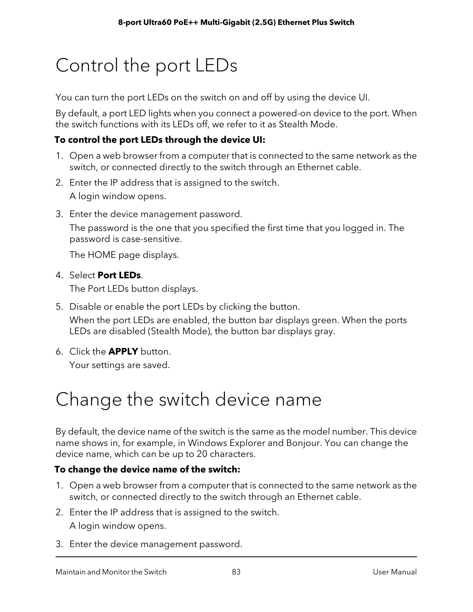# Control the port LEDs

You can turn the port LEDs on the switch on and off by using the device UI.

By default, a port LED lights when you connect a powered-on device to the port. When the switch functions with its LEDs off, we refer to it as Stealth Mode.

### **To control the port LEDs through the device UI:**

- 1. Open a web browser from a computer that is connected to the same network as the switch, or connected directly to the switch through an Ethernet cable.
- 2. Enter the IP address that is assigned to the switch. A login window opens.
- 3. Enter the device management password.

The password is the one that you specified the first time that you logged in. The password is case-sensitive.

The HOME page displays.

#### 4. Select **Port LEDs**.

The Port LEDs button displays.

- 5. Disable or enable the port LEDs by clicking the button. When the port LEDs are enabled, the button bar displays green. When the ports LEDs are disabled (Stealth Mode), the button bar displays gray.
- 6. Click the **APPLY** button. Your settings are saved.

# Change the switch device name

By default, the device name of the switch is the same as the model number. This device name shows in, for example, in Windows Explorer and Bonjour. You can change the device name, which can be up to 20 characters.

#### **To change the device name of the switch:**

- 1. Open a web browser from a computer that is connected to the same network as the switch, or connected directly to the switch through an Ethernet cable.
- 2. Enter the IP address that is assigned to the switch. A login window opens.
- 3. Enter the device management password.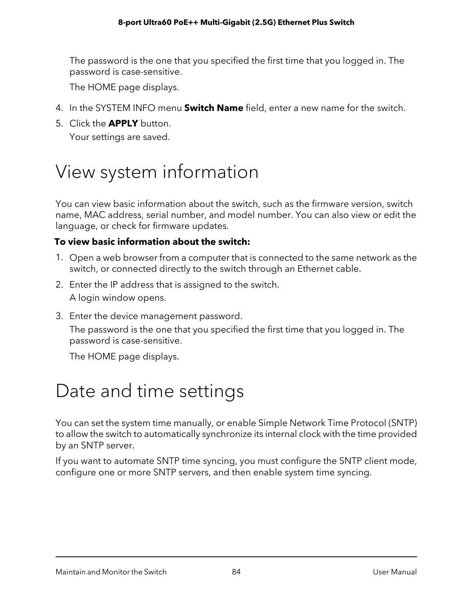The password is the one that you specified the first time that you logged in. The password is case-sensitive.

The HOME page displays.

- 4. In the SYSTEM INFO menu **Switch Name** field, enter a new name for the switch.
- 5. Click the **APPLY** button. Your settings are saved.

# View system information

You can view basic information about the switch, such as the firmware version, switch name, MAC address, serial number, and model number. You can also view or edit the language, or check for firmware updates.

### **To view basic information about the switch:**

- 1. Open a web browser from a computer that is connected to the same network as the switch, or connected directly to the switch through an Ethernet cable.
- 2. Enter the IP address that is assigned to the switch. A login window opens.
- 3. Enter the device management password.

The password is the one that you specified the first time that you logged in. The password is case-sensitive.

The HOME page displays.

# Date and time settings

You can set the system time manually, or enable Simple Network Time Protocol (SNTP) to allow the switch to automatically synchronize its internal clock with the time provided by an SNTP server.

If you want to automate SNTP time syncing, you must configure the SNTP client mode, configure one or more SNTP servers, and then enable system time syncing.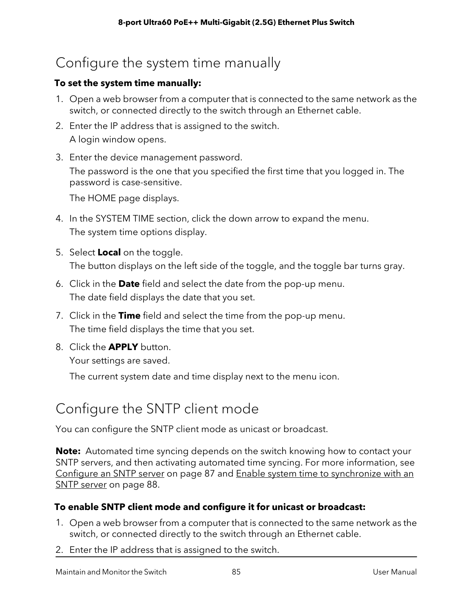## Configure the system time manually

### **To set the system time manually:**

- 1. Open a web browser from a computer that is connected to the same network as the switch, or connected directly to the switch through an Ethernet cable.
- 2. Enter the IP address that is assigned to the switch. A login window opens.
- 3. Enter the device management password.

The password is the one that you specified the first time that you logged in. The password is case-sensitive.

The HOME page displays.

- 4. In the SYSTEM TIME section, click the down arrow to expand the menu. The system time options display.
- 5. Select **Local** on the toggle. The button displays on the left side of the toggle, and the toggle bar turns gray.
- 6. Click in the **Date** field and select the date from the pop-up menu. The date field displays the date that you set.
- 7. Click in the **Time** field and select the time from the pop-up menu. The time field displays the time that you set.
- <span id="page-84-0"></span>8. Click the **APPLY** button.

Your settings are saved.

The current system date and time display next to the menu icon.

### Configure the SNTP client mode

You can configure the SNTP client mode as unicast or broadcast.

**Note:** Automated time syncing depends on the switch knowing how to contact your SNTP servers, and then activating automated time syncing. For more information, see [Configure](#page-86-0) an SNTP server on page 87 and Enable system time to [synchronize](#page-87-0) with an SNTP [server](#page-87-0) on page 88.

### **To enable SNTP client mode and configure it for unicast or broadcast:**

- 1. Open a web browser from a computer that is connected to the same network as the switch, or connected directly to the switch through an Ethernet cable.
- 2. Enter the IP address that is assigned to the switch.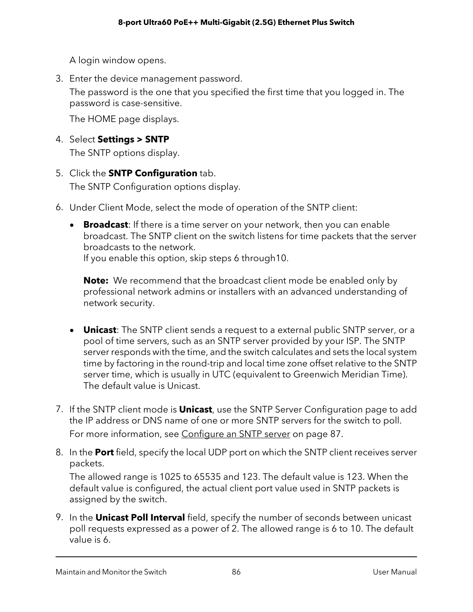A login window opens.

3. Enter the device management password.

The password is the one that you specified the first time that you logged in. The password is case-sensitive.

The HOME page displays.

4. Select **Settings > SNTP**

The SNTP options display.

- 5. Click the **SNTP Configuration** tab. The SNTP Configuration options display.
- 6. Under Client Mode, select the mode of operation of the SNTP client:
	- **Broadcast**: If there is a time server on your network, then you can enable broadcast. The SNTP client on the switch listens for time packets that the server broadcasts to the network.

If you enable this option, skip steps 6 through10.

**Note:** We recommend that the broadcast client mode be enabled only by professional network admins or installers with an advanced understanding of network security.

- **Unicast**: The SNTP client sends a request to a external public SNTP server, or a pool of time servers, such as an SNTP server provided by your ISP. The SNTP server responds with the time, and the switch calculates and sets the local system time by factoring in the round-trip and local time zone offset relative to the SNTP server time, which is usually in UTC (equivalent to Greenwich Meridian Time). The default value is Unicast.
- 7. If the SNTP client mode is **Unicast**, use the SNTP Server Configuration page to add the IP address or DNS name of one or more SNTP servers for the switch to poll. For more information, see [Configure](#page-86-0) an SNTP server on page 87.
- 8. In the **Port** field, specify the local UDP port on which the SNTP client receives server packets.

The allowed range is 1025 to 65535 and 123. The default value is 123. When the default value is configured, the actual client port value used in SNTP packets is assigned by the switch.

9. In the **Unicast Poll Interval** field, specify the number of seconds between unicast poll requests expressed as a power of 2. The allowed range is 6 to 10. The default value is 6.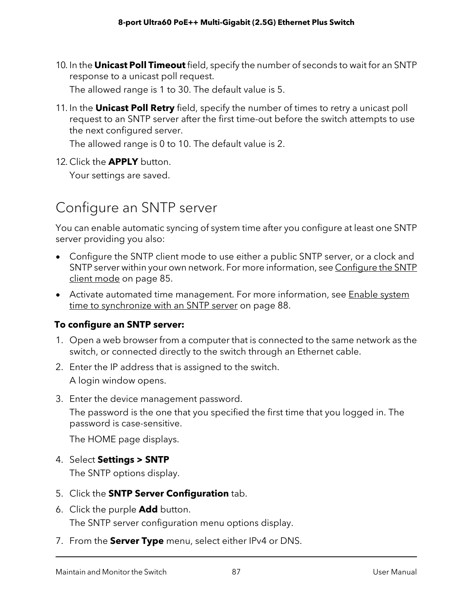- 10. In the **Unicast Poll Timeout** field, specify the number of seconds to wait for an SNTP response to a unicast poll request. The allowed range is 1 to 30. The default value is 5.
- 11. In the **Unicast Poll Retry** field, specify the number of times to retry a unicast poll request to an SNTP server after the first time-out before the switch attempts to use the next configured server.

The allowed range is 0 to 10. The default value is 2.

<span id="page-86-0"></span>12. Click the **APPLY** button.

Your settings are saved.

### Configure an SNTP server

You can enable automatic syncing of system time after you configure at least one SNTP server providing you also:

- Configure the SNTP client mode to use either a public SNTP server, or a clock and SNTP server within your own network. For more information, see [Configure](#page-84-0) the SNTP client [mode](#page-84-0) on page 85.
- Activate automated time management. For more information, see **[Enable](#page-87-0) system** time to [synchronize](#page-87-0) with an SNTP server on page 88.

### **To configure an SNTP server:**

- 1. Open a web browser from a computer that is connected to the same network as the switch, or connected directly to the switch through an Ethernet cable.
- 2. Enter the IP address that is assigned to the switch. A login window opens.
- 3. Enter the device management password.

The password is the one that you specified the first time that you logged in. The password is case-sensitive.

The HOME page displays.

4. Select **Settings > SNTP**

The SNTP options display.

- 5. Click the **SNTP Server Configuration** tab.
- 6. Click the purple **Add** button.

The SNTP server configuration menu options display.

7. From the **Server Type** menu, select either IPv4 or DNS.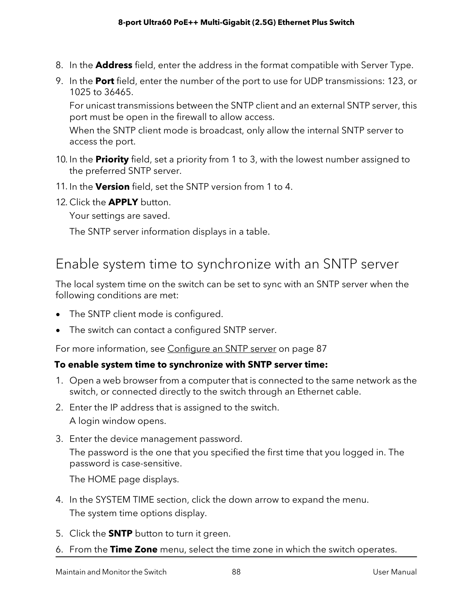- 8. In the **Address** field, enter the address in the format compatible with Server Type.
- 9. In the **Port** field, enter the number of the port to use for UDP transmissions: 123, or 1025 to 36465.

For unicast transmissions between the SNTP client and an external SNTP server, this port must be open in the firewall to allow access.

When the SNTP client mode is broadcast, only allow the internal SNTP server to access the port.

- 10. In the **Priority** field, set a priority from 1 to 3, with the lowest number assigned to the preferred SNTP server.
- 11. In the **Version** field, set the SNTP version from 1 to 4.
- 12. Click the **APPLY** button.

Your settings are saved.

<span id="page-87-0"></span>The SNTP server information displays in a table.

### Enable system time to synchronize with an SNTP server

The local system time on the switch can be set to sync with an SNTP server when the following conditions are met:

- The SNTP client mode is configured.
- The switch can contact a configured SNTP server.

For more information, see [Configure](#page-86-0) an SNTP server on page 87

#### **To enable system time to synchronize with SNTP server time:**

- 1. Open a web browser from a computer that is connected to the same network as the switch, or connected directly to the switch through an Ethernet cable.
- 2. Enter the IP address that is assigned to the switch. A login window opens.
- 3. Enter the device management password. The password is the one that you specified the first time that you logged in. The password is case-sensitive.

The HOME page displays.

- 4. In the SYSTEM TIME section, click the down arrow to expand the menu. The system time options display.
- 5. Click the **SNTP** button to turn it green.
- 6. From the **Time Zone** menu, select the time zone in which the switch operates.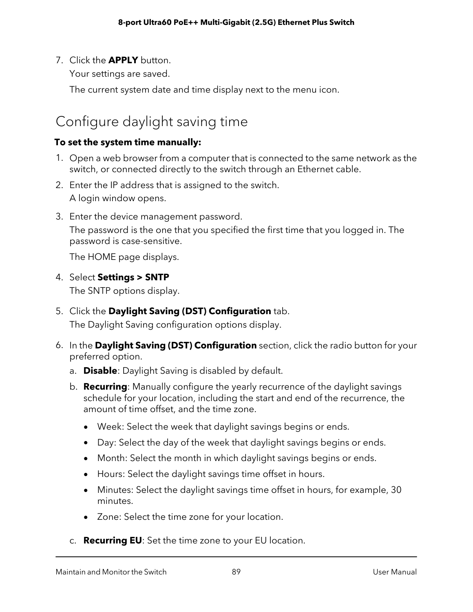7. Click the **APPLY** button.

Your settings are saved.

The current system date and time display next to the menu icon.

### Configure daylight saving time

### **To set the system time manually:**

- 1. Open a web browser from a computer that is connected to the same network as the switch, or connected directly to the switch through an Ethernet cable.
- 2. Enter the IP address that is assigned to the switch. A login window opens.
- 3. Enter the device management password. The password is the one that you specified the first time that you logged in. The password is case-sensitive.

The HOME page displays.

4. Select **Settings > SNTP**

The SNTP options display.

- 5. Click the **Daylight Saving (DST) Configuration** tab. The Daylight Saving configuration options display.
- 6. In the **Daylight Saving (DST) Configuration** section, click the radio button for your preferred option.
	- a. **Disable**: Daylight Saving is disabled by default.
	- b. **Recurring**: Manually configure the yearly recurrence of the daylight savings schedule for your location, including the start and end of the recurrence, the amount of time offset, and the time zone.
		- Week: Select the week that daylight savings begins or ends.
		- Day: Select the day of the week that daylight savings begins or ends.
		- Month: Select the month in which daylight savings begins or ends.
		- Hours: Select the daylight savings time offset in hours.
		- Minutes: Select the daylight savings time offset in hours, for example, 30 minutes.
		- Zone: Select the time zone for your location.
	- c. **Recurring EU**: Set the time zone to your EU location.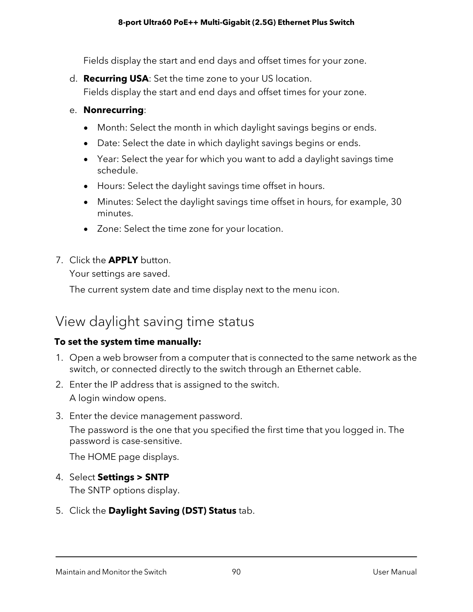Fields display the start and end days and offset times for your zone.

d. **Recurring USA**: Set the time zone to your US location. Fields display the start and end days and offset times for your zone.

#### e. **Nonrecurring**:

- Month: Select the month in which daylight savings begins or ends.
- Date: Select the date in which daylight savings begins or ends.
- Year: Select the year for which you want to add a daylight savings time schedule.
- Hours: Select the daylight savings time offset in hours.
- Minutes: Select the daylight savings time offset in hours, for example, 30 minutes.
- Zone: Select the time zone for your location.
- 7. Click the **APPLY** button.

Your settings are saved.

The current system date and time display next to the menu icon.

### View daylight saving time status

#### **To set the system time manually:**

- 1. Open a web browser from a computer that is connected to the same network as the switch, or connected directly to the switch through an Ethernet cable.
- 2. Enter the IP address that is assigned to the switch. A login window opens.
- 3. Enter the device management password. The password is the one that you specified the first time that you logged in. The password is case-sensitive.

The HOME page displays.

### 4. Select **Settings > SNTP**

The SNTP options display.

### 5. Click the **Daylight Saving (DST) Status** tab.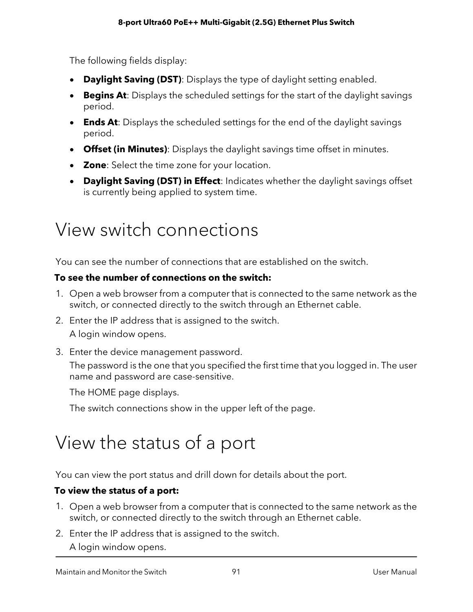The following fields display:

- **Daylight Saving (DST)**: Displays the type of daylight setting enabled.
- **Begins At**: Displays the scheduled settings for the start of the daylight savings period.
- **Ends At**: Displays the scheduled settings for the end of the daylight savings period.
- **Offset (in Minutes)**: Displays the daylight savings time offset in minutes.
- **Zone**: Select the time zone for your location.
- **Daylight Saving (DST) in Effect**: Indicates whether the daylight savings offset is currently being applied to system time.

# View switch connections

You can see the number of connections that are established on the switch.

### **To see the number of connections on the switch:**

- 1. Open a web browser from a computer that is connected to the same network as the switch, or connected directly to the switch through an Ethernet cable.
- 2. Enter the IP address that is assigned to the switch. A login window opens.
- 3. Enter the device management password.

The password is the one that you specified the first time that you logged in. The user name and password are case-sensitive.

The HOME page displays.

The switch connections show in the upper left of the page.

# View the status of a port

You can view the port status and drill down for details about the port.

### **To view the status of a port:**

- 1. Open a web browser from a computer that is connected to the same network as the switch, or connected directly to the switch through an Ethernet cable.
- 2. Enter the IP address that is assigned to the switch.
	- A login window opens.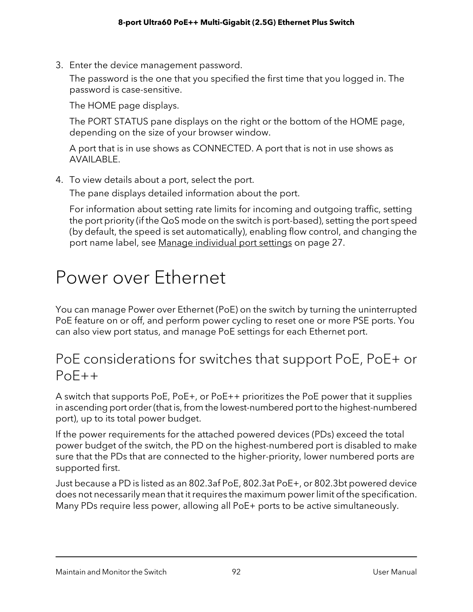3. Enter the device management password.

The password is the one that you specified the first time that you logged in. The password is case-sensitive.

The HOME page displays.

The PORT STATUS pane displays on the right or the bottom of the HOME page, depending on the size of your browser window.

A port that is in use shows as CONNECTED. A port that is not in use shows as AVAILABLE.

4. To view details about a port, select the port.

The pane displays detailed information about the port.

For information about setting rate limits for incoming and outgoing traffic, setting the port priority (if the QoS mode on the switch is port-based), setting the port speed (by default, the speed is set automatically), enabling flow control, and changing the port name label, see Manage [individual](#page-26-0) port settings on page 27.

# Power over Ethernet

You can manage Power over Ethernet (PoE) on the switch by turning the uninterrupted PoE feature on or off, and perform power cycling to reset one or more PSE ports. You can also view port status, and manage PoE settings for each Ethernet port.

### PoE considerations for switches that support PoE, PoE+ or PoE++

A switch that supports PoE, PoE+, or PoE++ prioritizes the PoE power that it supplies in ascending port order(that is, from the lowest-numbered port to the highest-numbered port), up to its total power budget.

If the power requirements for the attached powered devices (PDs) exceed the total power budget of the switch, the PD on the highest-numbered port is disabled to make sure that the PDs that are connected to the higher-priority, lower numbered ports are supported first.

Just because a PD is listed as an 802.3af PoE, 802.3at PoE+, or 802.3bt powered device does not necessarily mean that it requires the maximum power limit of the specification. Many PDs require less power, allowing all PoE+ ports to be active simultaneously.

Maintain and Monitor the Switch 92 User Manual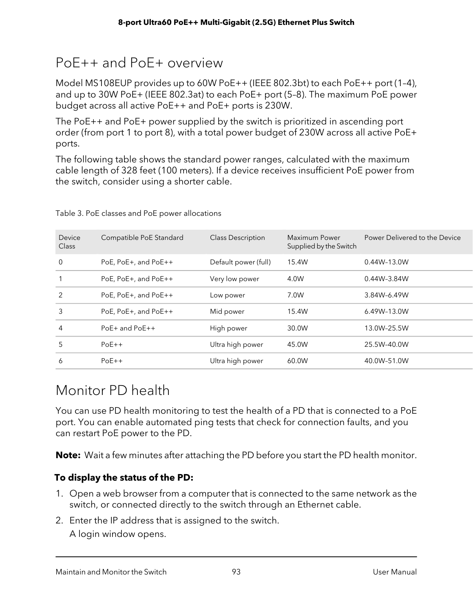### PoE++ and PoE+ overview

Model MS108EUP provides up to 60W PoE++ (IEEE 802.3bt) to each PoE++ port (1–4), and up to 30W PoE+ (IEEE 802.3at) to each PoE+ port (5–8). The maximum PoE power budget across all active PoE++ and PoE+ ports is 230W.

The PoE++ and PoE+ power supplied by the switch is prioritized in ascending port order (from port 1 to port 8), with a total power budget of 230W across all active PoE+ ports.

The following table shows the standard power ranges, calculated with the maximum cable length of 328 feet (100 meters). If a device receives insufficient PoE power from the switch, consider using a shorter cable.

| Device<br><b>Class</b> | Compatible PoE Standard | <b>Class Description</b> | Maximum Power<br>Supplied by the Switch | Power Delivered to the Device |
|------------------------|-------------------------|--------------------------|-----------------------------------------|-------------------------------|
| $\Omega$               | PoE, PoE+, and PoE++    | Default power (full)     | 15.4W                                   | $0.44W - 13.0W$               |
|                        | PoE, PoE+, and PoE++    | Very low power           | 4.0W                                    | 0.44W-3.84W                   |
| $\mathfrak{D}$         | PoE, PoE+, and PoE++    | Low power                | 7.0W                                    | 3.84W-6.49W                   |
| 3                      | PoE, PoE+, and PoE++    | Mid power                | 15.4W                                   | 6.49W-13.0W                   |
| 4                      | $PoE+$ and $PoE++$      | High power               | 30.0W                                   | 13.0W-25.5W                   |
| 5                      | $PoE++$                 | Ultra high power         | 45.0W                                   | 25.5W-40.0W                   |
| 6                      | $PoE++$                 | Ultra high power         | 60.0W                                   | 40.0W-51.0W                   |
|                        |                         |                          |                                         |                               |

Table 3. PoE classes and PoE power allocations

## Monitor PD health

You can use PD health monitoring to test the health of a PD that is connected to a PoE port. You can enable automated ping tests that check for connection faults, and you can restart PoE power to the PD.

**Note:** Wait a few minutes after attaching the PD before you start the PD health monitor.

### **To display the status of the PD:**

- 1. Open a web browser from a computer that is connected to the same network as the switch, or connected directly to the switch through an Ethernet cable.
- 2. Enter the IP address that is assigned to the switch.

A login window opens.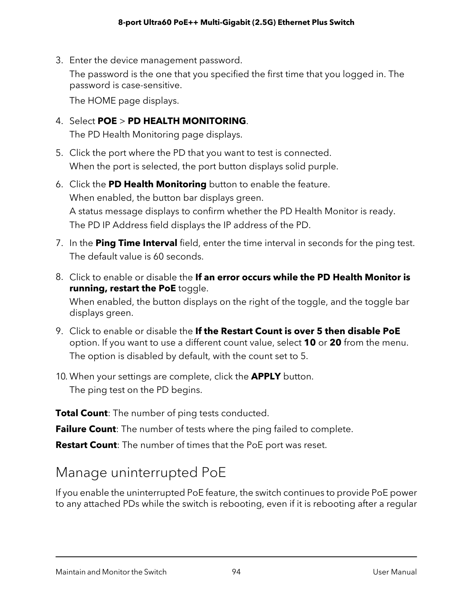3. Enter the device management password.

The password is the one that you specified the first time that you logged in. The password is case-sensitive.

The HOME page displays.

- 4. Select **POE** > **PD HEALTH MONITORING**. The PD Health Monitoring page displays.
- 5. Click the port where the PD that you want to test is connected. When the port is selected, the port button displays solid purple.
- 6. Click the **PD Health Monitoring** button to enable the feature. When enabled, the button bar displays green. A status message displays to confirm whether the PD Health Monitor is ready. The PD IP Address field displays the IP address of the PD.
- 7. In the **Ping Time Interval** field, enter the time interval in seconds for the ping test. The default value is 60 seconds.
- 8. Click to enable or disable the **If an error occurs while the PD Health Monitor is running, restart the PoE** toggle. When enabled, the button displays on the right of the toggle, and the toggle bar displays green.
- 9. Click to enable or disable the **If the Restart Count is over 5 then disable PoE** option. If you want to use a different count value, select **10** or **20** from the menu. The option is disabled by default, with the count set to 5.
- 10. When your settings are complete, click the **APPLY** button. The ping test on the PD begins.

**Total Count**: The number of ping tests conducted.

**Failure Count**: The number of tests where the ping failed to complete.

**Restart Count**: The number of times that the PoE port was reset.

## Manage uninterrupted PoE

If you enable the uninterrupted PoE feature, the switch continues to provide PoE power to any attached PDs while the switch is rebooting, even if it is rebooting after a regular

#### Maintain and Monitor the Switch 94 User Manual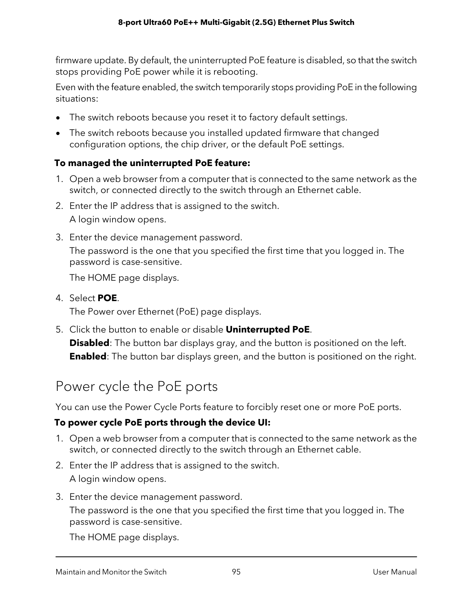firmware update. By default, the uninterrupted PoE feature is disabled, so that the switch stops providing PoE power while it is rebooting.

Even with the feature enabled, the switch temporarily stops providing PoE in the following situations:

- The switch reboots because you reset it to factory default settings.
- The switch reboots because you installed updated firmware that changed configuration options, the chip driver, or the default PoE settings.

### **To managed the uninterrupted PoE feature:**

- 1. Open a web browser from a computer that is connected to the same network as the switch, or connected directly to the switch through an Ethernet cable.
- 2. Enter the IP address that is assigned to the switch. A login window opens.
- 3. Enter the device management password. The password is the one that you specified the first time that you logged in. The password is case-sensitive.

The HOME page displays.

4. Select **POE**.

The Power over Ethernet (PoE) page displays.

5. Click the button to enable or disable **Uninterrupted PoE**.

**Disabled**: The button bar displays gray, and the button is positioned on the left. **Enabled**: The button bar displays green, and the button is positioned on the right.

## Power cycle the PoE ports

You can use the Power Cycle Ports feature to forcibly reset one or more PoE ports.

### **To power cycle PoE ports through the device UI:**

- 1. Open a web browser from a computer that is connected to the same network as the switch, or connected directly to the switch through an Ethernet cable.
- 2. Enter the IP address that is assigned to the switch. A login window opens.
- 3. Enter the device management password.

The password is the one that you specified the first time that you logged in. The password is case-sensitive.

The HOME page displays.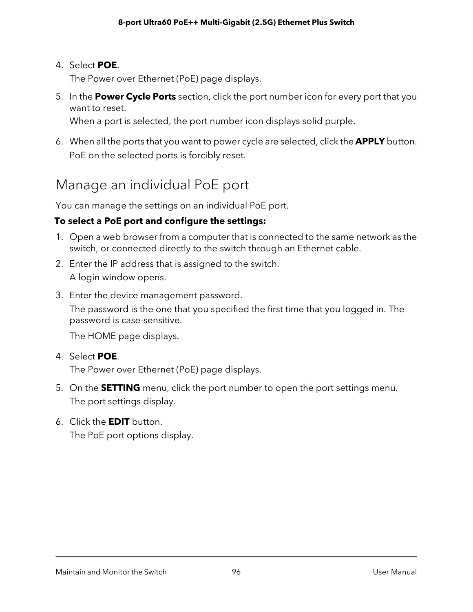#### 4. Select **POE**.

The Power over Ethernet (PoE) page displays.

5. In the **Power Cycle Ports** section, click the port number icon for every port that you want to reset.

When a port is selected, the port number icon displays solid purple.

<span id="page-95-0"></span>6. When all the ports that you want to power cycle are selected, click the **APPLY** button. PoE on the selected ports is forcibly reset.

### Manage an individual PoE port

You can manage the settings on an individual PoE port.

### **To select a PoE port and configure the settings:**

- 1. Open a web browser from a computer that is connected to the same network as the switch, or connected directly to the switch through an Ethernet cable.
- 2. Enter the IP address that is assigned to the switch. A login window opens.
- 3. Enter the device management password.

The password is the one that you specified the first time that you logged in. The password is case-sensitive.

The HOME page displays.

4. Select **POE**.

The Power over Ethernet (PoE) page displays.

- 5. On the **SETTING** menu, click the port number to open the port settings menu. The port settings display.
- 6. Click the **EDIT** button. The PoE port options display.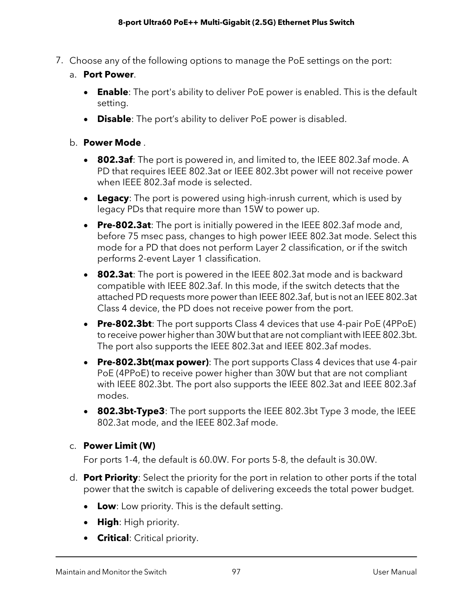- 7. Choose any of the following options to manage the PoE settings on the port:
	- a. **Port Power**.
		- **Enable**: The port's ability to deliver PoE power is enabled. This is the default setting.
		- **Disable**: The port's ability to deliver PoE power is disabled.

#### b. **Power Mode** .

- **802.3af**: The port is powered in, and limited to, the IEEE 802.3af mode. A PD that requires IEEE 802.3at or IEEE 802.3bt power will not receive power when IEEE 802.3af mode is selected.
- **Legacy**: The port is powered using high-inrush current, which is used by legacy PDs that require more than 15W to power up.
- **Pre-802.3at**: The port is initially powered in the IEEE 802.3af mode and, before 75 msec pass, changes to high power IEEE 802.3at mode. Select this mode for a PD that does not perform Layer 2 classification, or if the switch performs 2-event Layer 1 classification.
- **802.3at**: The port is powered in the IEEE 802.3at mode and is backward compatible with IEEE 802.3af. In this mode, if the switch detects that the attached PD requests more powerthan IEEE 802.3af, but is not an IEEE 802.3at Class 4 device, the PD does not receive power from the port.
- **Pre-802.3bt**: The port supports Class 4 devices that use 4-pair PoE (4PPoE) to receive power higher than 30W but that are not compliant with IEEE 802.3bt. The port also supports the IEEE 802.3at and IEEE 802.3af modes.
- **Pre-802.3bt(max power)**: The port supports Class 4 devices that use 4-pair PoE (4PPoE) to receive power higher than 30W but that are not compliant with IEEE 802.3bt. The port also supports the IEEE 802.3at and IEEE 802.3af modes.
- **802.3bt-Type3**: The port supports the IEEE 802.3bt Type 3 mode, the IEEE 802.3at mode, and the IEEE 802.3af mode.

#### c. **Power Limit (W)**

For ports 1-4, the default is 60.0W. For ports 5-8, the default is 30.0W.

- d. **Port Priority**: Select the priority for the port in relation to other ports if the total power that the switch is capable of delivering exceeds the total power budget.
	- **Low**: Low priority. This is the default setting.
	- **High**: High priority.
	- **Critical**: Critical priority.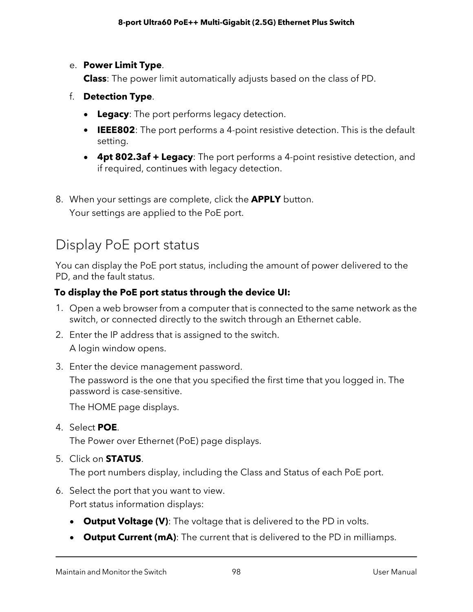#### e. **Power Limit Type**.

**Class**: The power limit automatically adjusts based on the class of PD.

- f. **Detection Type**.
	- **Legacy**: The port performs legacy detection.
	- **IEEE802**: The port performs a 4-point resistive detection. This is the default setting.
	- **4pt 802.3af + Legacy**: The port performs a 4-point resistive detection, and if required, continues with legacy detection.
- 8. When your settings are complete, click the **APPLY** button. Your settings are applied to the PoE port.

## Display PoE port status

You can display the PoE port status, including the amount of power delivered to the PD, and the fault status.

### **To display the PoE port status through the device UI:**

- 1. Open a web browser from a computer that is connected to the same network as the switch, or connected directly to the switch through an Ethernet cable.
- 2. Enter the IP address that is assigned to the switch. A login window opens.
- 3. Enter the device management password.

The password is the one that you specified the first time that you logged in. The password is case-sensitive.

The HOME page displays.

4. Select **POE**.

The Power over Ethernet (PoE) page displays.

5. Click on **STATUS**.

The port numbers display, including the Class and Status of each PoE port.

- 6. Select the port that you want to view. Port status information displays:
	- **Output Voltage (V)**: The voltage that is delivered to the PD in volts.
	- **Output Current (mA)**: The current that is delivered to the PD in milliamps.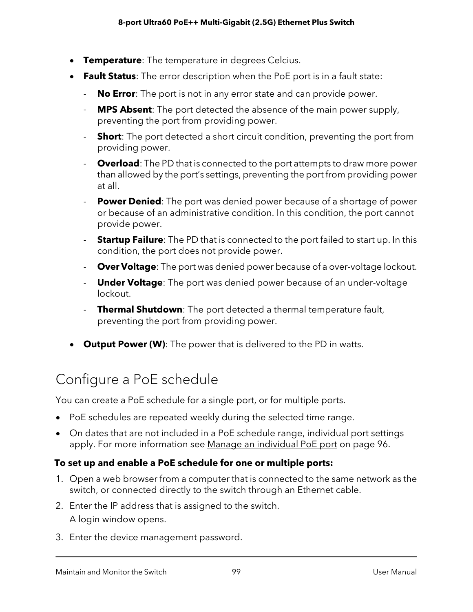- **Temperature**: The temperature in degrees Celcius.
- **Fault Status**: The error description when the PoE port is in a fault state:
	- **No Error**: The port is not in any error state and can provide power.
	- **MPS Absent**: The port detected the absence of the main power supply, preventing the port from providing power.
	- **Short**: The port detected a short circuit condition, preventing the port from providing power.
	- **Overload**: The PD that is connected to the port attempts to draw more power than allowed by the port's settings, preventing the port from providing power at all.
	- **Power Denied**: The port was denied power because of a shortage of power or because of an administrative condition. In this condition, the port cannot provide power.
	- **Startup Failure**: The PD that is connected to the port failed to start up. In this condition, the port does not provide power.
	- **Over Voltage**: The port was denied power because of a over-voltage lockout.
	- **Under Voltage**: The port was denied power because of an under-voltage lockout.
	- **Thermal Shutdown**: The port detected a thermal temperature fault, preventing the port from providing power.
- **Output Power (W)**: The power that is delivered to the PD in watts.

### Configure a PoE schedule

You can create a PoE schedule for a single port, or for multiple ports.

- PoE schedules are repeated weekly during the selected time range.
- On dates that are not included in a PoE schedule range, individual port settings apply. For more information see Manage an [individual](#page-95-0) PoE port on page 96.

#### **To set up and enable a PoE schedule for one or multiple ports:**

- 1. Open a web browser from a computer that is connected to the same network as the switch, or connected directly to the switch through an Ethernet cable.
- 2. Enter the IP address that is assigned to the switch. A login window opens.
- 3. Enter the device management password.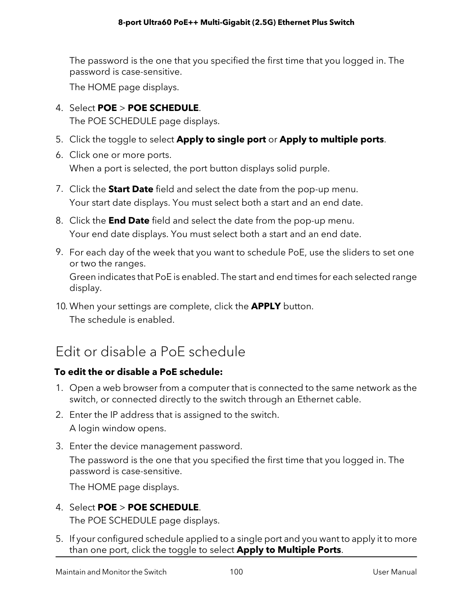The password is the one that you specified the first time that you logged in. The password is case-sensitive.

The HOME page displays.

4. Select **POE** > **POE SCHEDULE**.

The POE SCHEDULE page displays.

- 5. Click the toggle to select **Apply to single port** or **Apply to multiple ports**.
- 6. Click one or more ports. When a port is selected, the port button displays solid purple.
- 7. Click the **Start Date** field and select the date from the pop-up menu. Your start date displays. You must select both a start and an end date.
- 8. Click the **End Date** field and select the date from the pop-up menu. Your end date displays. You must select both a start and an end date.
- 9. For each day of the week that you want to schedule PoE, use the sliders to set one or two the ranges. Green indicates that PoE is enabled. The start and end times for each selected range display.
- 10. When your settings are complete, click the **APPLY** button. The schedule is enabled.

### Edit or disable a PoE schedule

### **To edit the or disable a PoE schedule:**

- 1. Open a web browser from a computer that is connected to the same network as the switch, or connected directly to the switch through an Ethernet cable.
- 2. Enter the IP address that is assigned to the switch. A login window opens.
- 3. Enter the device management password. The password is the one that you specified the first time that you logged in. The password is case-sensitive.

The HOME page displays.

- 4. Select **POE** > **POE SCHEDULE**. The POE SCHEDULE page displays.
- 5. If your configured schedule applied to a single port and you want to apply it to more than one port, click the toggle to select **Apply to Multiple Ports**.

Maintain and Monitor the Switch 100 User Manual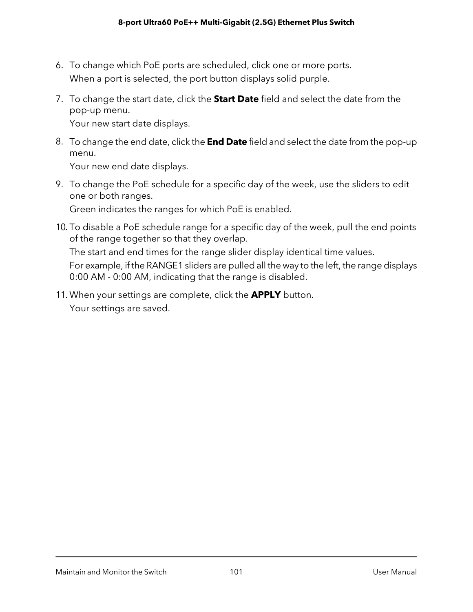- 6. To change which PoE ports are scheduled, click one or more ports. When a port is selected, the port button displays solid purple.
- 7. To change the start date, click the **Start Date** field and select the date from the pop-up menu.

Your new start date displays.

8. To change the end date, click the **End Date** field and select the date from the pop-up menu.

Your new end date displays.

9. To change the PoE schedule for a specific day of the week, use the sliders to edit one or both ranges.

Green indicates the ranges for which PoE is enabled.

10. To disable a PoE schedule range for a specific day of the week, pull the end points of the range together so that they overlap.

The start and end times for the range slider display identical time values.

For example, if the RANGE1 sliders are pulled all the way to the left, the range displays 0:00 AM - 0:00 AM, indicating that the range is disabled.

11. When your settings are complete, click the **APPLY** button. Your settings are saved.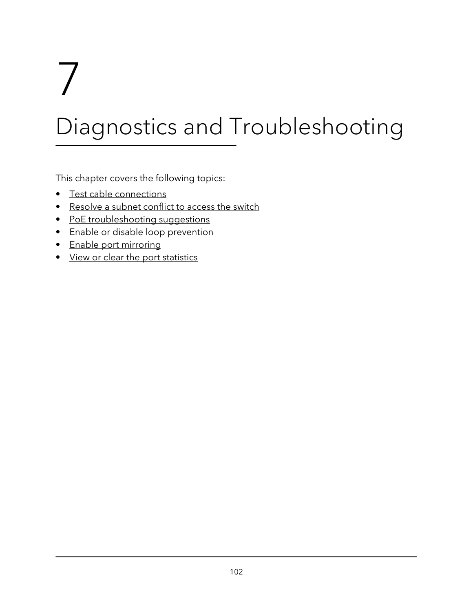# 7 Diagnostics and Troubleshooting

This chapter covers the following topics:

- Test cable [connections](#page-102-0)
- [Resolve](#page-102-1) a subnet conflict to access the switch
- PoE [troubleshooting](#page-103-0) suggestions
- Enable or disable loop [prevention](#page-104-0)
- Enable port [mirroring](#page-105-0)
- View or clear the port [statistics](#page-105-1)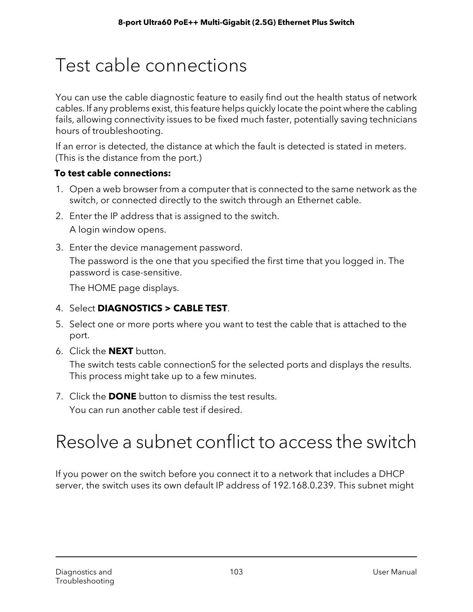# <span id="page-102-0"></span>Test cable connections

You can use the cable diagnostic feature to easily find out the health status of network cables. If any problems exist, this feature helps quickly locate the point where the cabling fails, allowing connectivity issues to be fixed much faster, potentially saving technicians hours of troubleshooting.

If an error is detected, the distance at which the fault is detected is stated in meters. (This is the distance from the port.)

### **To test cable connections:**

- 1. Open a web browser from a computer that is connected to the same network as the switch, or connected directly to the switch through an Ethernet cable.
- 2. Enter the IP address that is assigned to the switch. A login window opens.
- 3. Enter the device management password.

The password is the one that you specified the first time that you logged in. The password is case-sensitive.

The HOME page displays.

- 4. Select **DIAGNOSTICS > CABLE TEST**.
- 5. Select one or more ports where you want to test the cable that is attached to the port.
- 6. Click the **NEXT** button.

The switch tests cable connectionS for the selected ports and displays the results. This process might take up to a few minutes.

<span id="page-102-1"></span>7. Click the **DONE** button to dismiss the test results.

You can run another cable test if desired.

# Resolve a subnet conflict to access the switch

If you power on the switch before you connect it to a network that includes a DHCP server, the switch uses its own default IP address of 192.168.0.239. This subnet might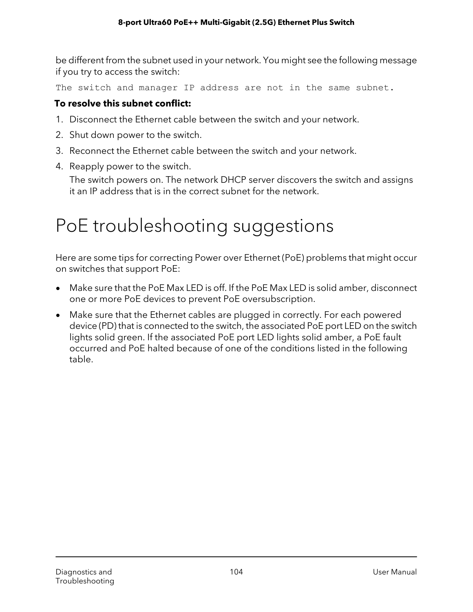be different from the subnet used in your network. You might see the following message if you try to access the switch:

The switch and manager IP address are not in the same subnet.

#### **To resolve this subnet conflict:**

- 1. Disconnect the Ethernet cable between the switch and your network.
- 2. Shut down power to the switch.
- 3. Reconnect the Ethernet cable between the switch and your network.
- 4. Reapply power to the switch.

<span id="page-103-0"></span>The switch powers on. The network DHCP server discovers the switch and assigns it an IP address that is in the correct subnet for the network.

# PoE troubleshooting suggestions

Here are some tips for correcting Power over Ethernet (PoE) problems that might occur on switches that support PoE:

- Make sure that the PoE Max LED is off. If the PoE Max LED is solid amber, disconnect one or more PoE devices to prevent PoE oversubscription.
- Make sure that the Ethernet cables are plugged in correctly. For each powered device (PD) that is connected to the switch, the associated PoE port LED on the switch lights solid green. If the associated PoE port LED lights solid amber, a PoE fault occurred and PoE halted because of one of the conditions listed in the following table.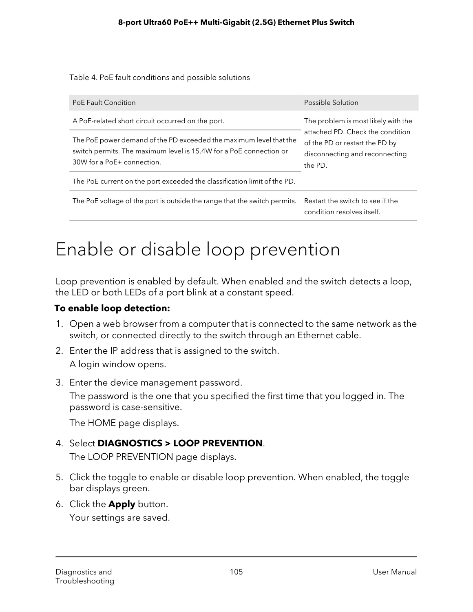Table 4. PoE fault conditions and possible solutions

| PoE Fault Condition                                                                                                                                                    | Possible Solution                                                                                                                                      |  |
|------------------------------------------------------------------------------------------------------------------------------------------------------------------------|--------------------------------------------------------------------------------------------------------------------------------------------------------|--|
| A PoE-related short circuit occurred on the port.                                                                                                                      | The problem is most likely with the<br>attached PD. Check the condition<br>of the PD or restart the PD by<br>disconnecting and reconnecting<br>the PD. |  |
| The PoE power demand of the PD exceeded the maximum level that the<br>switch permits. The maximum level is 15.4W for a PoE connection or<br>30W for a PoE+ connection. |                                                                                                                                                        |  |
| The PoE current on the port exceeded the classification limit of the PD.                                                                                               |                                                                                                                                                        |  |
| The PoE voltage of the port is outside the range that the switch permits.                                                                                              | Restart the switch to see if the<br>condition resolves itself.                                                                                         |  |

# <span id="page-104-0"></span>Enable or disable loop prevention

Loop prevention is enabled by default. When enabled and the switch detects a loop, the LED or both LEDs of a port blink at a constant speed.

### **To enable loop detection:**

- 1. Open a web browser from a computer that is connected to the same network as the switch, or connected directly to the switch through an Ethernet cable.
- 2. Enter the IP address that is assigned to the switch. A login window opens.
- 3. Enter the device management password.

The password is the one that you specified the first time that you logged in. The password is case-sensitive.

The HOME page displays.

### 4. Select **DIAGNOSTICS > LOOP PREVENTION**.

The LOOP PREVENTION page displays.

- 5. Click the toggle to enable or disable loop prevention. When enabled, the toggle bar displays green.
- 6. Click the **Apply** button.

Your settings are saved.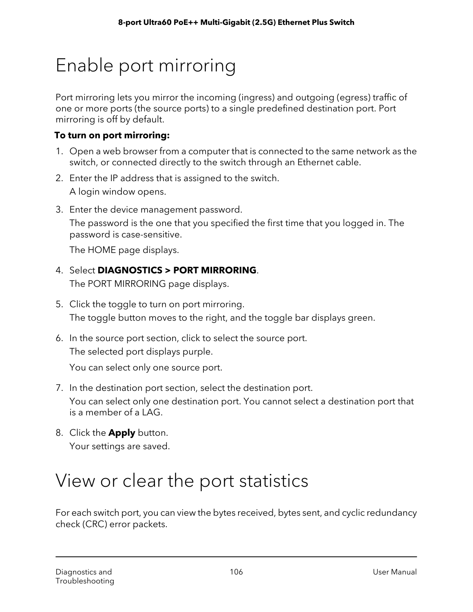# <span id="page-105-0"></span>Enable port mirroring

Port mirroring lets you mirror the incoming (ingress) and outgoing (egress) traffic of one or more ports (the source ports) to a single predefined destination port. Port mirroring is off by default.

### **To turn on port mirroring:**

- 1. Open a web browser from a computer that is connected to the same network as the switch, or connected directly to the switch through an Ethernet cable.
- 2. Enter the IP address that is assigned to the switch. A login window opens.
- 3. Enter the device management password.

The password is the one that you specified the first time that you logged in. The password is case-sensitive.

The HOME page displays.

### 4. Select **DIAGNOSTICS > PORT MIRRORING**.

The PORT MIRRORING page displays.

- 5. Click the toggle to turn on port mirroring. The toggle button moves to the right, and the toggle bar displays green.
- 6. In the source port section, click to select the source port. The selected port displays purple.

You can select only one source port.

- 7. In the destination port section, select the destination port. You can select only one destination port. You cannot select a destination port that is a member of a LAG.
- <span id="page-105-1"></span>8. Click the **Apply** button. Your settings are saved.

# View or clear the port statistics

For each switch port, you can view the bytes received, bytes sent, and cyclic redundancy check (CRC) error packets.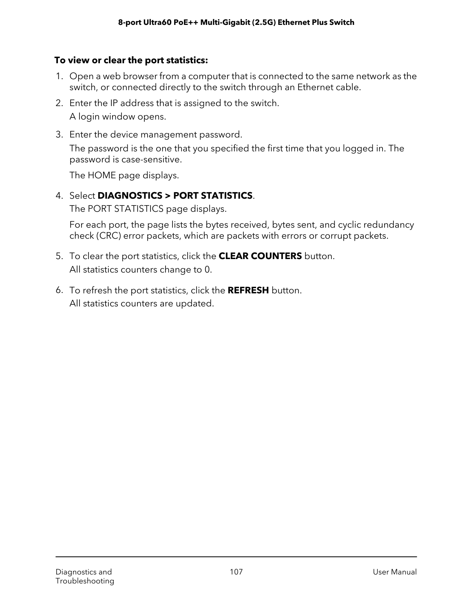### **To view or clear the port statistics:**

- 1. Open a web browser from a computer that is connected to the same network as the switch, or connected directly to the switch through an Ethernet cable.
- 2. Enter the IP address that is assigned to the switch.

A login window opens.

3. Enter the device management password.

The password is the one that you specified the first time that you logged in. The password is case-sensitive.

The HOME page displays.

### 4. Select **DIAGNOSTICS > PORT STATISTICS**.

The PORT STATISTICS page displays.

For each port, the page lists the bytes received, bytes sent, and cyclic redundancy check (CRC) error packets, which are packets with errors or corrupt packets.

- 5. To clear the port statistics, click the **CLEAR COUNTERS** button. All statistics counters change to 0.
- 6. To refresh the port statistics, click the **REFRESH** button. All statistics counters are updated.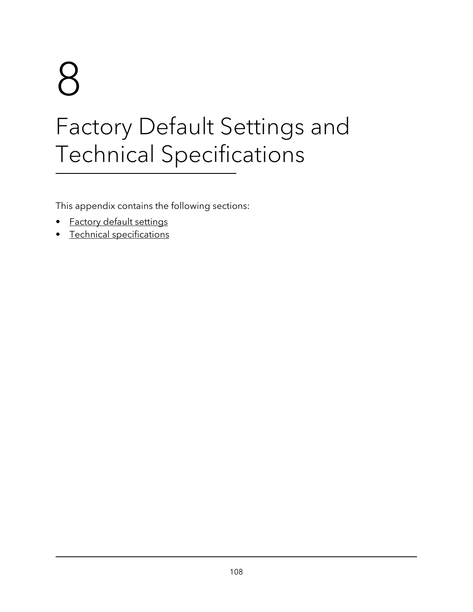# 8 Factory Default Settings and Technical Specifications

This appendix contains the following sections:

- **Factory default [settings](#page-108-0)**
- Technical [specifications](#page-109-0)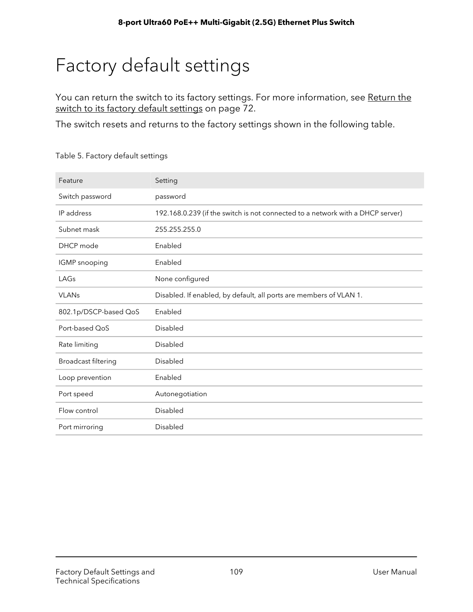# Factory default settings

You can return the switch to its factory settings. For more information, see [Return](#page-71-0) the switch to its factory default [settings](#page-71-0) on page 72.

The switch resets and returns to the factory settings shown in the following table.

| Feature               | Setting                                                                        |
|-----------------------|--------------------------------------------------------------------------------|
| Switch password       | password                                                                       |
| IP address            | 192.168.0.239 (if the switch is not connected to a network with a DHCP server) |
| Subnet mask           | 255.255.255.0                                                                  |
| DHCP mode             | Enabled                                                                        |
| IGMP snooping         | Enabled                                                                        |
| LAGs                  | None configured                                                                |
| <b>VLANs</b>          | Disabled. If enabled, by default, all ports are members of VLAN 1.             |
| 802.1p/DSCP-based QoS | Enabled                                                                        |
|                       |                                                                                |
| Port-based OoS        | Disabled                                                                       |
| Rate limiting         | <b>Disabled</b>                                                                |
| Broadcast filtering   | <b>Disabled</b>                                                                |
| Loop prevention       | Enabled                                                                        |
| Port speed            | Autonegotiation                                                                |
| Flow control          | Disabled                                                                       |

Table 5. Factory default settings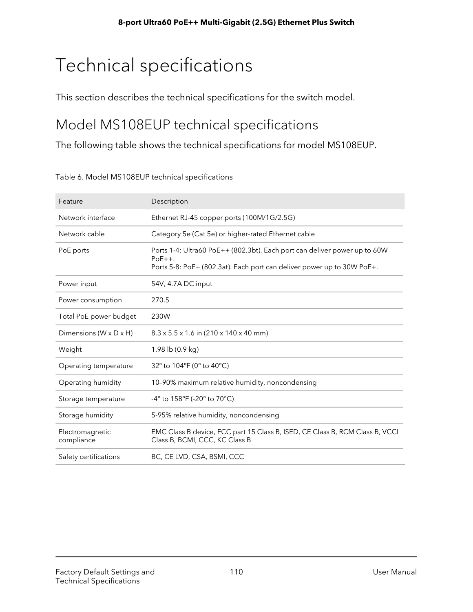# Technical specifications

This section describes the technical specifications for the switch model.

### Model MS108EUP technical specifications

The following table shows the technical specifications for model MS108EUP.

| Feature                       | Description                                                                                                                                                      |
|-------------------------------|------------------------------------------------------------------------------------------------------------------------------------------------------------------|
| Network interface             | Ethernet RJ-45 copper ports (100M/1G/2.5G)                                                                                                                       |
| Network cable                 | Category 5e (Cat 5e) or higher-rated Ethernet cable                                                                                                              |
| PoE ports                     | Ports 1-4: Ultra60 PoE++ (802.3bt). Each port can deliver power up to 60W<br>$PoE++$ .<br>Ports 5-8: PoE+ (802.3at). Each port can deliver power up to 30W PoE+. |
| Power input                   | 54V, 4.7A DC input                                                                                                                                               |
| Power consumption             | 270.5                                                                                                                                                            |
| Total PoE power budget        | 230W                                                                                                                                                             |
| Dimensions (W x D x H)        | $8.3 \times 5.5 \times 1.6$ in (210 x 140 x 40 mm)                                                                                                               |
| Weight                        | 1.98 lb (0.9 kg)                                                                                                                                                 |
| Operating temperature         | 32° to 104°F (0° to 40°C)                                                                                                                                        |
| Operating humidity            | 10-90% maximum relative humidity, noncondensing                                                                                                                  |
| Storage temperature           | -4° to 158°F (-20° to 70°C)                                                                                                                                      |
| Storage humidity              | 5-95% relative humidity, noncondensing                                                                                                                           |
| Electromagnetic<br>compliance | EMC Class B device, FCC part 15 Class B, ISED, CE Class B, RCM Class B, VCCI<br>Class B, BCMI, CCC, KC Class B                                                   |
| Safety certifications         | BC, CE LVD, CSA, BSMI, CCC                                                                                                                                       |

Table 6. Model MS108EUP technical specifications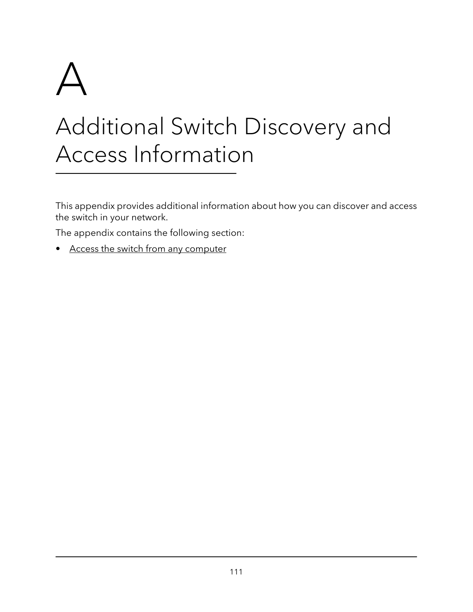

# Additional Switch Discovery and Access Information

This appendix provides additional information about how you can discover and access the switch in your network.

The appendix contains the following section:

• Access the switch from any [computer](#page-111-0)